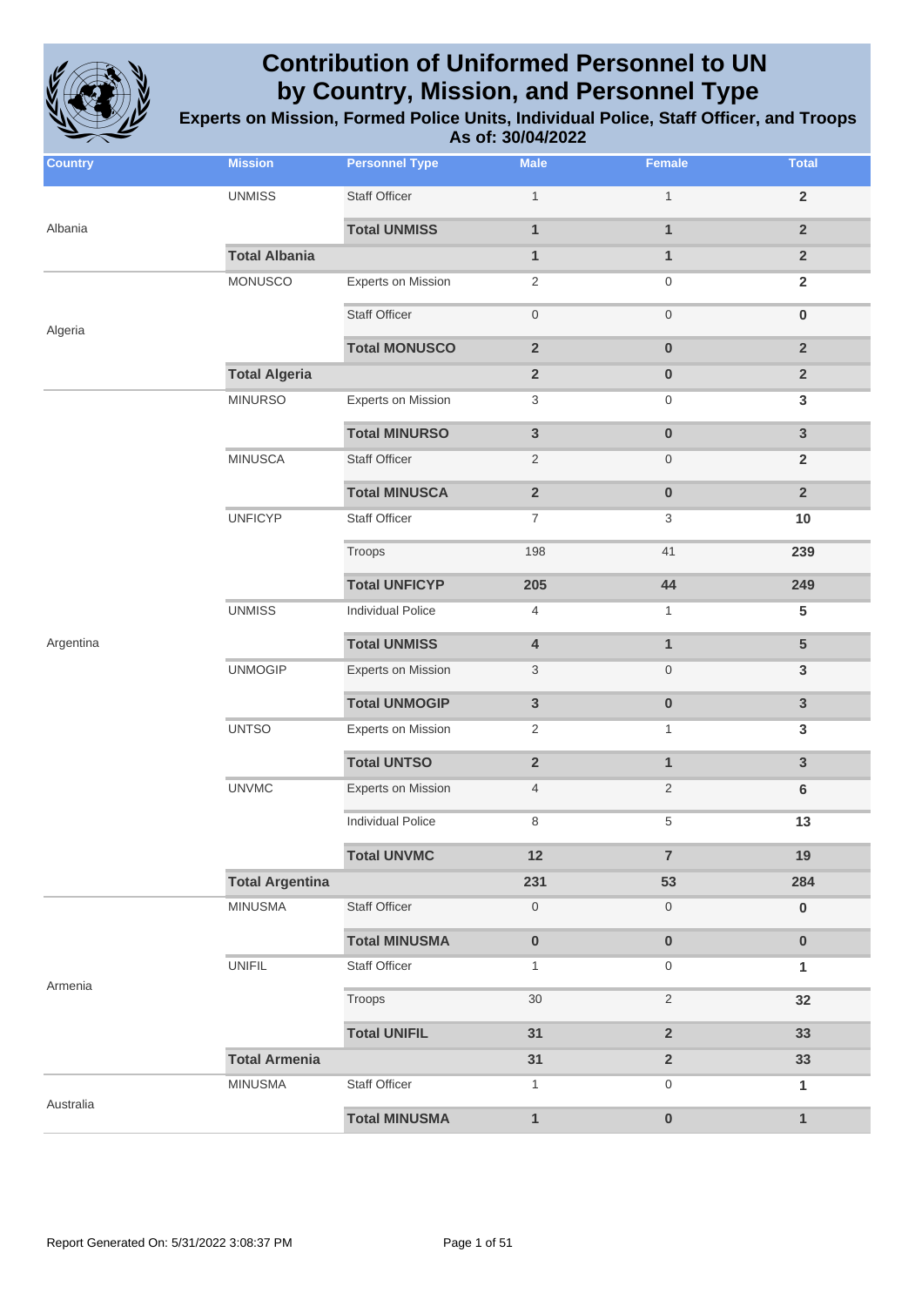

| <b>Country</b> | <b>Mission</b>         | <b>Personnel Type</b>     | <b>Male</b>             | <b>Female</b>           | <b>Total</b>    |
|----------------|------------------------|---------------------------|-------------------------|-------------------------|-----------------|
|                | <b>UNMISS</b>          | <b>Staff Officer</b>      | $\mathbf{1}$            | $\mathbf{1}$            | $\overline{2}$  |
| Albania        |                        | <b>Total UNMISS</b>       | $\mathbf{1}$            | $\mathbf{1}$            | $\overline{2}$  |
|                | <b>Total Albania</b>   |                           | $\mathbf{1}$            | $\mathbf{1}$            | $\overline{2}$  |
|                | MONUSCO                | <b>Experts on Mission</b> | $\overline{2}$          | 0                       | $\overline{2}$  |
| Algeria        |                        | <b>Staff Officer</b>      | $\boldsymbol{0}$        | $\mathsf{O}\xspace$     | $\pmb{0}$       |
|                |                        | <b>Total MONUSCO</b>      | $\overline{2}$          | $\pmb{0}$               | $\overline{2}$  |
|                | <b>Total Algeria</b>   |                           | $\overline{\mathbf{2}}$ | $\bf{0}$                | $\overline{2}$  |
|                | <b>MINURSO</b>         | <b>Experts on Mission</b> | 3                       | $\mathbf 0$             | 3               |
|                |                        | <b>Total MINURSO</b>      | 3                       | $\pmb{0}$               | $\mathbf{3}$    |
|                | <b>MINUSCA</b>         | <b>Staff Officer</b>      | $\overline{2}$          | $\boldsymbol{0}$        | $\overline{2}$  |
|                |                        | <b>Total MINUSCA</b>      | $\overline{\mathbf{2}}$ | $\pmb{0}$               | $\overline{2}$  |
|                | <b>UNFICYP</b>         | <b>Staff Officer</b>      | $\boldsymbol{7}$        | 3                       | 10              |
|                |                        | Troops                    | 198                     | 41                      | 239             |
|                |                        | <b>Total UNFICYP</b>      | 205                     | 44                      | 249             |
|                | <b>UNMISS</b>          | <b>Individual Police</b>  | 4                       | $\mathbf{1}$            | $5\phantom{.0}$ |
| Argentina      |                        | <b>Total UNMISS</b>       | 4                       | $\mathbf{1}$            | $5\phantom{.0}$ |
|                | <b>UNMOGIP</b>         | Experts on Mission        | 3                       | $\boldsymbol{0}$        | $\mathbf{3}$    |
|                |                        | <b>Total UNMOGIP</b>      | 3                       | $\pmb{0}$               | $\mathbf{3}$    |
|                | <b>UNTSO</b>           | <b>Experts on Mission</b> | 2                       | $\mathbf{1}$            | 3               |
|                |                        | <b>Total UNTSO</b>        | $\overline{2}$          | $\mathbf{1}$            | $\mathbf{3}$    |
|                | <b>UNVMC</b>           | <b>Experts on Mission</b> | $\overline{4}$          | $\overline{2}$          | 6               |
|                |                        | <b>Individual Police</b>  | 8                       | 5                       | 13              |
|                |                        | <b>Total UNVMC</b>        | 12                      | $\overline{7}$          | 19              |
|                | <b>Total Argentina</b> |                           | 231                     | 53                      | 284             |
|                | <b>MINUSMA</b>         | <b>Staff Officer</b>      | $\mathsf{O}\xspace$     | $\boldsymbol{0}$        | $\pmb{0}$       |
|                |                        | <b>Total MINUSMA</b>      | $\pmb{0}$               | $\pmb{0}$               | $\pmb{0}$       |
| Armenia        | <b>UNIFIL</b>          | <b>Staff Officer</b>      | $\mathbf{1}$            | $\mathbf 0$             | 1               |
|                |                        | Troops                    | 30                      | $\sqrt{2}$              | 32              |
|                |                        | <b>Total UNIFIL</b>       | 31                      | $\overline{\mathbf{2}}$ | 33              |
|                | <b>Total Armenia</b>   |                           | 31                      | $\overline{\mathbf{2}}$ | 33              |
| Australia      | <b>MINUSMA</b>         | Staff Officer             | $\mathbf{1}$            | 0                       | $\mathbf{1}$    |
|                |                        | <b>Total MINUSMA</b>      | $\mathbf{1}$            | $\pmb{0}$               | $\mathbf{1}$    |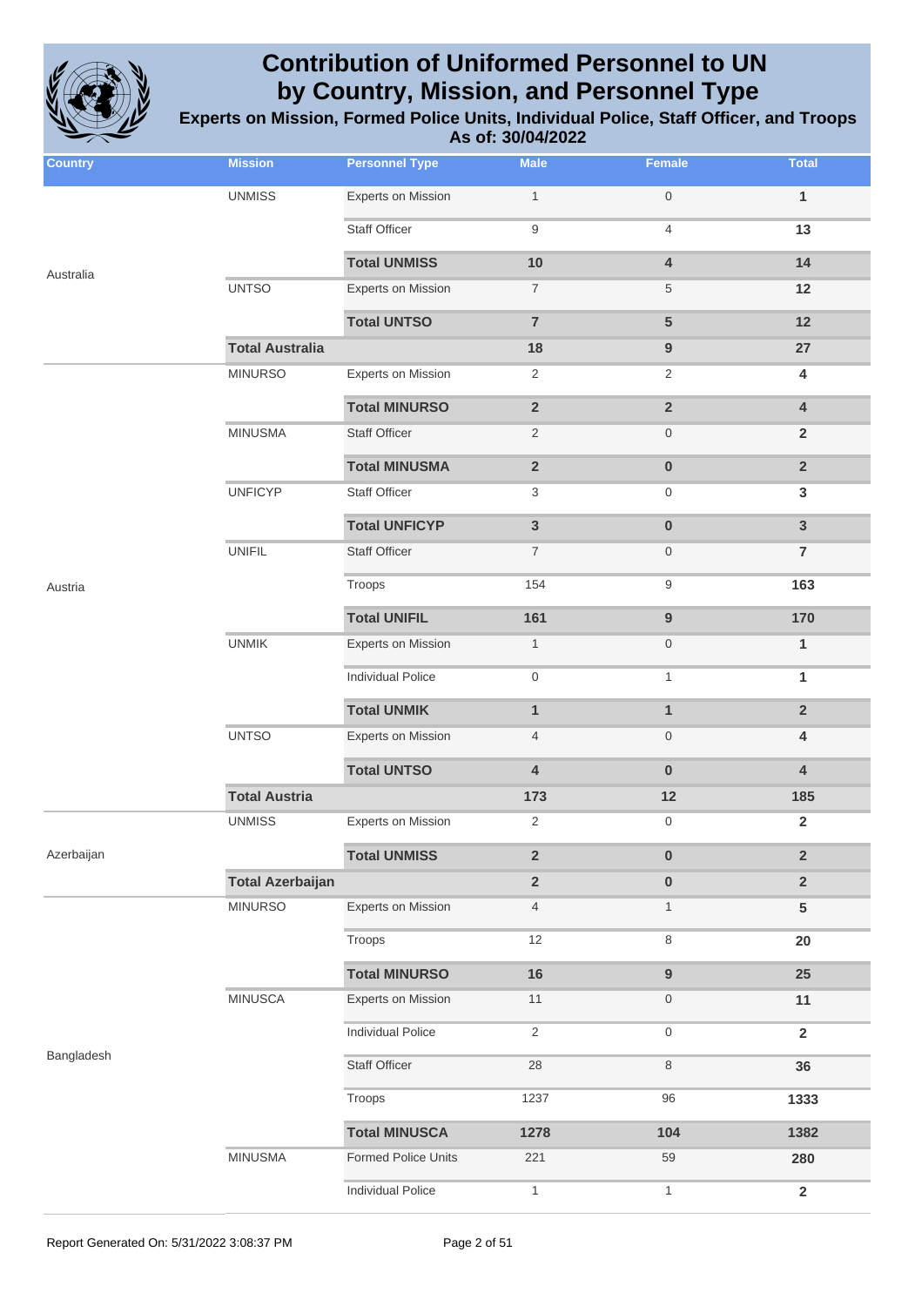

| <b>Country</b> | <b>Mission</b>          | <b>Personnel Type</b>      | <b>Male</b>             | <b>Female</b>           | <b>Total</b>            |
|----------------|-------------------------|----------------------------|-------------------------|-------------------------|-------------------------|
|                | <b>UNMISS</b>           | Experts on Mission         | $\mathbf{1}$            | $\mathsf{O}\xspace$     | $\mathbf{1}$            |
|                |                         | <b>Staff Officer</b>       | 9                       | $\overline{4}$          | 13                      |
| Australia      |                         | <b>Total UNMISS</b>        | 10                      | 4                       | 14                      |
|                | <b>UNTSO</b>            | <b>Experts on Mission</b>  | $\boldsymbol{7}$        | 5                       | 12                      |
|                |                         | <b>Total UNTSO</b>         | $\overline{7}$          | $5\phantom{1}$          | 12                      |
|                | <b>Total Australia</b>  |                            | 18                      | $\boldsymbol{9}$        | 27                      |
|                | <b>MINURSO</b>          | <b>Experts on Mission</b>  | $\overline{2}$          | $\overline{2}$          | 4                       |
|                |                         | <b>Total MINURSO</b>       | $\overline{\mathbf{2}}$ | $\overline{\mathbf{2}}$ | $\overline{\mathbf{4}}$ |
|                | <b>MINUSMA</b>          | <b>Staff Officer</b>       | $\overline{2}$          | $\boldsymbol{0}$        | $\overline{2}$          |
|                |                         | <b>Total MINUSMA</b>       | $\overline{\mathbf{2}}$ | $\pmb{0}$               | $\overline{2}$          |
|                | <b>UNFICYP</b>          | <b>Staff Officer</b>       | 3                       | 0                       | $\mathbf{3}$            |
|                |                         | <b>Total UNFICYP</b>       | $\mathbf{3}$            | $\pmb{0}$               | $\overline{3}$          |
|                | <b>UNIFIL</b>           | <b>Staff Officer</b>       | $\overline{7}$          | $\boldsymbol{0}$        | $\overline{7}$          |
| Austria        |                         | Troops                     | 154                     | $\boldsymbol{9}$        | 163                     |
|                |                         | <b>Total UNIFIL</b>        | 161                     | $\boldsymbol{9}$        | 170                     |
|                | <b>UNMIK</b>            | Experts on Mission         | $\mathbf{1}$            | $\boldsymbol{0}$        | $\mathbf{1}$            |
|                |                         | <b>Individual Police</b>   | 0                       | $\mathbf{1}$            | 1                       |
|                |                         | <b>Total UNMIK</b>         | $\mathbf{1}$            | $\mathbf{1}$            | $\overline{2}$          |
|                | <b>UNTSO</b>            | Experts on Mission         | $\overline{4}$          | $\boldsymbol{0}$        | $\overline{\mathbf{4}}$ |
|                |                         | <b>Total UNTSO</b>         | 4                       | $\pmb{0}$               | $\overline{\mathbf{4}}$ |
|                | <b>Total Austria</b>    |                            | 173                     | 12                      | 185                     |
|                | <b>UNMISS</b>           | <b>Experts on Mission</b>  | 2                       | 0                       | $\overline{\mathbf{2}}$ |
| Azerbaijan     |                         | <b>Total UNMISS</b>        | $\overline{\mathbf{2}}$ | $\pmb{0}$               | $\overline{2}$          |
|                | <b>Total Azerbaijan</b> |                            | $\overline{\mathbf{2}}$ | $\pmb{0}$               | $\overline{2}$          |
|                | <b>MINURSO</b>          | Experts on Mission         | $\overline{4}$          | $\mathbf{1}$            | $5\phantom{.0}$         |
|                |                         | Troops                     | 12                      | 8                       | 20                      |
|                |                         | <b>Total MINURSO</b>       | 16                      | $\boldsymbol{9}$        | 25                      |
|                | <b>MINUSCA</b>          | <b>Experts on Mission</b>  | 11                      | $\boldsymbol{0}$        | 11                      |
|                |                         | <b>Individual Police</b>   | $\overline{2}$          | $\mathsf{O}\xspace$     | $\overline{\mathbf{2}}$ |
| Bangladesh     |                         | <b>Staff Officer</b>       | 28                      | 8                       | 36                      |
|                |                         | Troops                     | 1237                    | 96                      | 1333                    |
|                |                         | <b>Total MINUSCA</b>       | 1278                    | 104                     | 1382                    |
|                | <b>MINUSMA</b>          | <b>Formed Police Units</b> | 221                     | 59                      | 280                     |
|                |                         | Individual Police          | $\mathbf{1}$            | $\mathbf{1}$            | $\mathbf 2$             |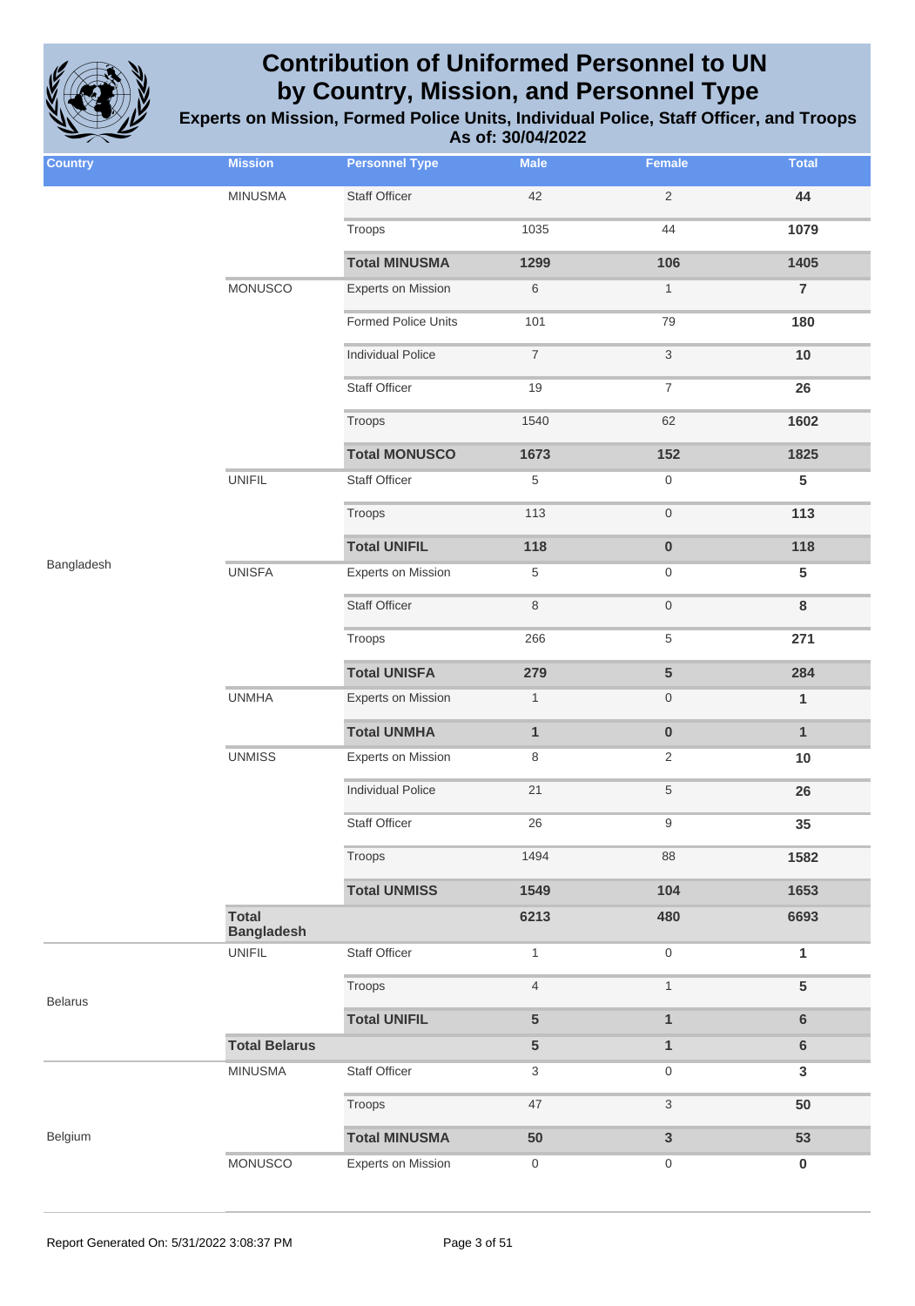

| <b>Country</b> | <b>Mission</b>                    | <b>Personnel Type</b>      | <b>Male</b>              | Female                    | <b>Total</b>    |
|----------------|-----------------------------------|----------------------------|--------------------------|---------------------------|-----------------|
|                | <b>MINUSMA</b>                    | <b>Staff Officer</b>       | 42                       | $\sqrt{2}$                | 44              |
|                |                                   | Troops                     | 1035                     | 44                        | 1079            |
|                |                                   | <b>Total MINUSMA</b>       | 1299                     | 106                       | 1405            |
|                | <b>MONUSCO</b>                    | <b>Experts on Mission</b>  | $\,6$                    | $\mathbf{1}$              | $\overline{7}$  |
|                |                                   | <b>Formed Police Units</b> | 101                      | 79                        | 180             |
|                |                                   | <b>Individual Police</b>   | $\overline{\mathcal{I}}$ | $\ensuremath{\mathsf{3}}$ | $10$            |
|                |                                   | Staff Officer              | 19                       | $\boldsymbol{7}$          | 26              |
|                |                                   | Troops                     | 1540                     | 62                        | 1602            |
|                |                                   | <b>Total MONUSCO</b>       | 1673                     | 152                       | 1825            |
|                | <b>UNIFIL</b>                     | <b>Staff Officer</b>       | 5                        | $\boldsymbol{0}$          | $5\phantom{.0}$ |
|                |                                   | Troops                     | 113                      | $\mathsf{O}\xspace$       | 113             |
|                |                                   | <b>Total UNIFIL</b>        | 118                      | $\pmb{0}$                 | 118             |
| Bangladesh     | <b>UNISFA</b>                     | <b>Experts on Mission</b>  | $\,$ 5 $\,$              | $\boldsymbol{0}$          | $5\phantom{.0}$ |
|                |                                   | <b>Staff Officer</b>       | $\,8\,$                  | $\mathsf{O}\xspace$       | 8               |
|                |                                   | Troops                     | 266                      | $\,$ 5 $\,$               | 271             |
|                |                                   | <b>Total UNISFA</b>        | 279                      | $\overline{5}$            | 284             |
|                | <b>UNMHA</b>                      | <b>Experts on Mission</b>  | $\mathbf{1}$             | $\boldsymbol{0}$          | $\mathbf{1}$    |
|                |                                   | <b>Total UNMHA</b>         | $\mathbf{1}$             | $\pmb{0}$                 | $\mathbf{1}$    |
|                | <b>UNMISS</b>                     | <b>Experts on Mission</b>  | 8                        | $\overline{2}$            | 10              |
|                |                                   | <b>Individual Police</b>   | 21                       | $\,$ 5 $\,$               | 26              |
|                |                                   | <b>Staff Officer</b>       | 26                       | $\boldsymbol{9}$          | 35              |
|                |                                   | Troops                     | 1494                     | 88                        | 1582            |
|                |                                   | <b>Total UNMISS</b>        | 1549                     | 104                       | 1653            |
|                | <b>Total</b><br><b>Bangladesh</b> |                            | 6213                     | 480                       | 6693            |
|                | <b>UNIFIL</b>                     | Staff Officer              | $\mathbf{1}$             | $\mathsf{O}\xspace$       | 1               |
| <b>Belarus</b> |                                   | Troops                     | $\overline{4}$           | $\mathbf{1}$              | $5\phantom{.0}$ |
|                |                                   | <b>Total UNIFIL</b>        | 5                        | $\mathbf{1}$              | $6\phantom{1}$  |
|                | <b>Total Belarus</b>              |                            | ${\bf 5}$                | $\mathbf{1}$              | $\bf 6$         |
|                | <b>MINUSMA</b>                    | Staff Officer              | 3                        | $\mathbf 0$               | $\mathbf{3}$    |
|                |                                   | Troops                     | 47                       | $\ensuremath{\mathsf{3}}$ | 50              |
| Belgium        |                                   | <b>Total MINUSMA</b>       | 50                       | $\mathbf{3}$              | 53              |
|                | MONUSCO                           | <b>Experts on Mission</b>  | $\boldsymbol{0}$         | $\boldsymbol{0}$          | $\bf{0}$        |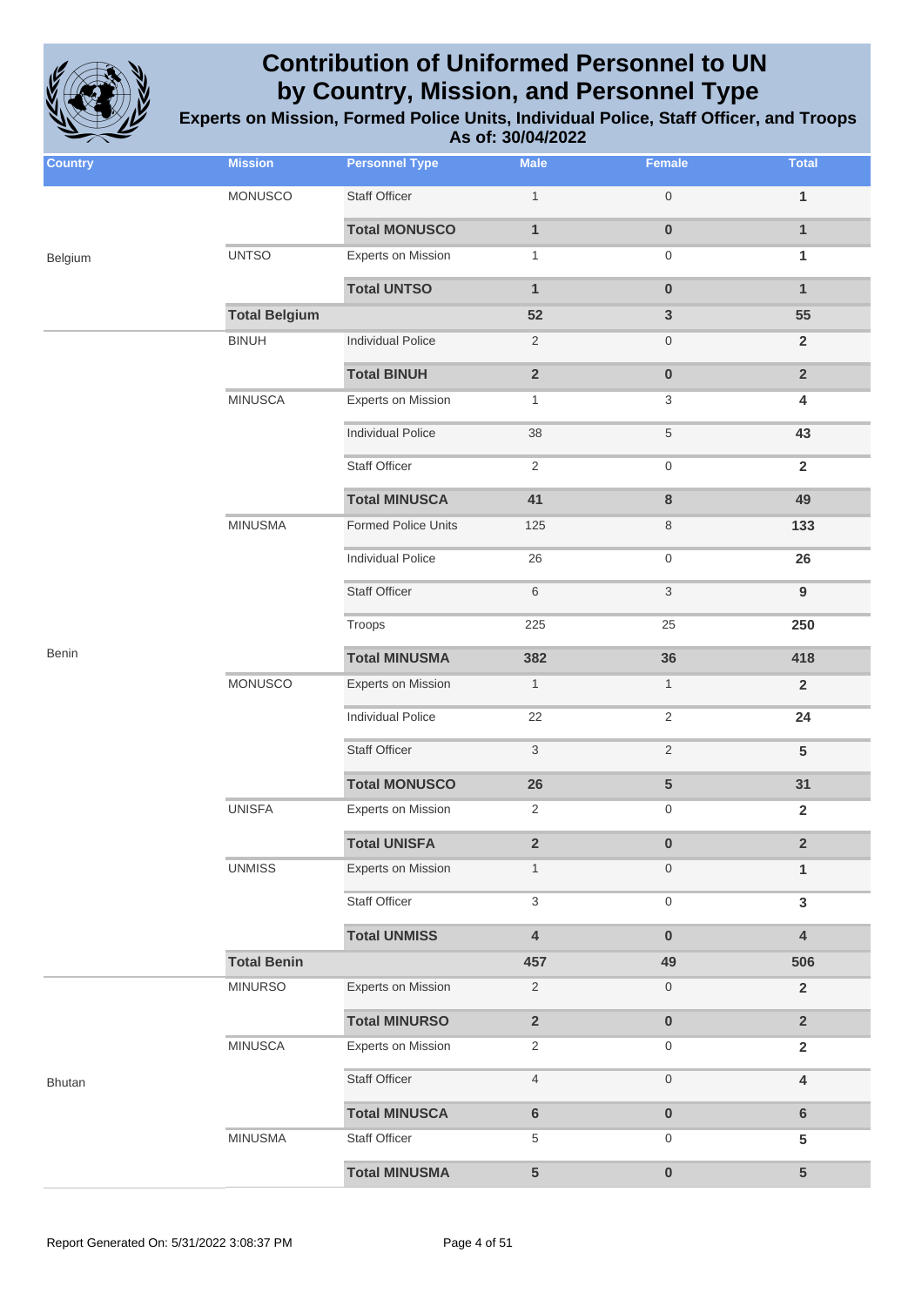

| <b>Country</b> | <b>Mission</b>       | <b>Personnel Type</b>     | <b>Male</b>             | Female                    | <b>Total</b>            |
|----------------|----------------------|---------------------------|-------------------------|---------------------------|-------------------------|
|                | <b>MONUSCO</b>       | <b>Staff Officer</b>      | $\mathbf{1}$            | $\mathbf 0$               | $\mathbf{1}$            |
|                |                      | <b>Total MONUSCO</b>      | $\mathbf{1}$            | $\bf{0}$                  | $\mathbf{1}$            |
| Belgium        | <b>UNTSO</b>         | <b>Experts on Mission</b> | $\mathbf{1}$            | $\boldsymbol{0}$          | 1                       |
|                |                      | <b>Total UNTSO</b>        | $\mathbf{1}$            | $\mathbf 0$               | $\mathbf{1}$            |
|                | <b>Total Belgium</b> |                           | 52                      | $\mathbf{3}$              | 55                      |
|                | <b>BINUH</b>         | <b>Individual Police</b>  | $\overline{2}$          | $\mathbf 0$               | $\overline{2}$          |
|                |                      | <b>Total BINUH</b>        | $\mathbf 2$             | $\pmb{0}$                 | $\overline{2}$          |
|                | <b>MINUSCA</b>       | <b>Experts on Mission</b> | $\mathbf{1}$            | 3                         | 4                       |
|                |                      | <b>Individual Police</b>  | 38                      | $\sqrt{5}$                | 43                      |
|                |                      | Staff Officer             | $\sqrt{2}$              | $\boldsymbol{0}$          | $\overline{2}$          |
|                |                      | <b>Total MINUSCA</b>      | 41                      | $\bf 8$                   | 49                      |
|                | <b>MINUSMA</b>       | Formed Police Units       | 125                     | $\,8\,$                   | 133                     |
|                |                      | <b>Individual Police</b>  | 26                      | $\boldsymbol{0}$          | 26                      |
|                |                      | <b>Staff Officer</b>      | 6                       | $\ensuremath{\mathsf{3}}$ | $\boldsymbol{9}$        |
|                |                      | Troops                    | 225                     | 25                        | 250                     |
| Benin          |                      | <b>Total MINUSMA</b>      | 382                     | 36                        | 418                     |
|                | <b>MONUSCO</b>       | <b>Experts on Mission</b> | $\mathbf{1}$            | $\mathbf{1}$              | $\overline{2}$          |
|                |                      | <b>Individual Police</b>  | 22                      | $\sqrt{2}$                | 24                      |
|                |                      | <b>Staff Officer</b>      | 3                       | $\overline{2}$            | $5\phantom{.0}$         |
|                |                      | <b>Total MONUSCO</b>      | 26                      | $\sqrt{5}$                | 31                      |
|                | <b>UNISFA</b>        | <b>Experts on Mission</b> | $\overline{2}$          | $\boldsymbol{0}$          | $\overline{\mathbf{2}}$ |
|                |                      | <b>Total UNISFA</b>       | $\overline{\mathbf{2}}$ | $\bf{0}$                  | $\overline{2}$          |
|                | <b>UNMISS</b>        | <b>Experts on Mission</b> | $\mathbf{1}$            | $\mathbf 0$               | 1                       |
|                |                      | Staff Officer             | 3                       | $\boldsymbol{0}$          | $\mathbf{3}$            |
|                |                      | <b>Total UNMISS</b>       | $\pmb{4}$               | $\pmb{0}$                 | $\overline{4}$          |
|                | <b>Total Benin</b>   |                           | 457                     | 49                        | 506                     |
|                | <b>MINURSO</b>       | <b>Experts on Mission</b> | $\sqrt{2}$              | $\mathsf{O}\xspace$       | $\overline{2}$          |
|                |                      | <b>Total MINURSO</b>      | $\overline{\mathbf{2}}$ | $\pmb{0}$                 | $\overline{2}$          |
|                | <b>MINUSCA</b>       | <b>Experts on Mission</b> | 2                       | $\boldsymbol{0}$          | $\overline{2}$          |
| <b>Bhutan</b>  |                      | <b>Staff Officer</b>      | $\overline{4}$          | $\boldsymbol{0}$          | 4                       |
|                |                      | <b>Total MINUSCA</b>      | $\bf 6$                 | $\pmb{0}$                 | $\bf 6$                 |
|                | <b>MINUSMA</b>       | Staff Officer             | $\,$ 5 $\,$             | $\boldsymbol{0}$          | $5\phantom{.0}$         |
|                |                      | <b>Total MINUSMA</b>      | 5                       | $\pmb{0}$                 | 5                       |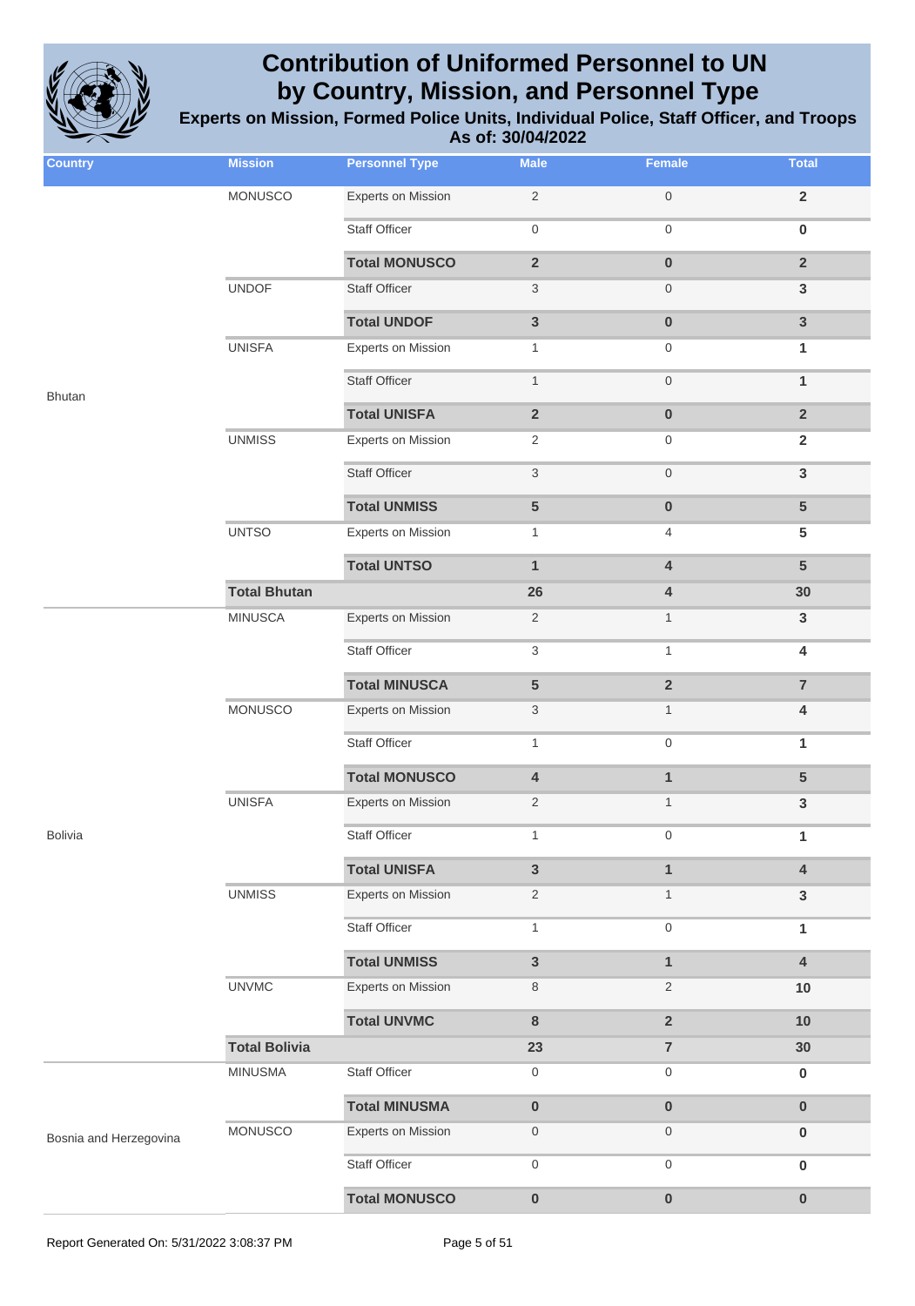

| <b>Country</b>         | <b>Mission</b>       | <b>Personnel Type</b>     | <b>Male</b>               | Female                  | <b>Total</b>            |
|------------------------|----------------------|---------------------------|---------------------------|-------------------------|-------------------------|
|                        | MONUSCO              | <b>Experts on Mission</b> | $\sqrt{2}$                | $\mathbf 0$             | $\mathbf 2$             |
|                        |                      | <b>Staff Officer</b>      | $\mathbf 0$               | $\mathbf 0$             | $\pmb{0}$               |
|                        |                      | <b>Total MONUSCO</b>      | $\mathbf 2$               | $\pmb{0}$               | $\overline{2}$          |
|                        | <b>UNDOF</b>         | Staff Officer             | $\sqrt{3}$                | $\mathbf 0$             | $\mathbf{3}$            |
|                        |                      | <b>Total UNDOF</b>        | $\mathbf{3}$              | $\mathbf 0$             | $\mathbf{3}$            |
|                        | <b>UNISFA</b>        | <b>Experts on Mission</b> | $\mathbf{1}$              | $\mathbf 0$             | 1                       |
| <b>Bhutan</b>          |                      | Staff Officer             | $\mathbf{1}$              | $\mathbf 0$             | $\mathbf{1}$            |
|                        |                      | <b>Total UNISFA</b>       | $\overline{2}$            | $\mathbf 0$             | $\overline{2}$          |
|                        | <b>UNMISS</b>        | <b>Experts on Mission</b> | $\overline{c}$            | $\boldsymbol{0}$        | $\overline{2}$          |
|                        |                      | Staff Officer             | $\ensuremath{\mathsf{3}}$ | $\mathbf 0$             | $\mathbf{3}$            |
|                        |                      | <b>Total UNMISS</b>       | $\sqrt{5}$                | $\pmb{0}$               | ${\bf 5}$               |
|                        | <b>UNTSO</b>         | <b>Experts on Mission</b> | $\mathbf{1}$              | $\overline{4}$          | $5\phantom{.0}$         |
|                        |                      | <b>Total UNTSO</b>        | $\mathbf{1}$              | $\overline{\mathbf{4}}$ | $5\phantom{1}$          |
|                        | <b>Total Bhutan</b>  |                           | 26                        | $\overline{\mathbf{4}}$ | 30                      |
|                        | <b>MINUSCA</b>       | <b>Experts on Mission</b> | $\sqrt{2}$                | $\mathbf{1}$            | $\mathbf{3}$            |
|                        |                      | <b>Staff Officer</b>      | $\sqrt{3}$                | $\mathbf{1}$            | $\overline{\mathbf{4}}$ |
|                        |                      | <b>Total MINUSCA</b>      | ${\bf 5}$                 | $\overline{2}$          | $\overline{7}$          |
|                        | MONUSCO              | <b>Experts on Mission</b> | $\ensuremath{\mathsf{3}}$ | $\mathbf{1}$            | $\overline{\mathbf{4}}$ |
|                        |                      | <b>Staff Officer</b>      | $\mathbf{1}$              | $\boldsymbol{0}$        | 1                       |
|                        |                      | <b>Total MONUSCO</b>      | $\pmb{4}$                 | $\mathbf{1}$            | ${\bf 5}$               |
|                        | <b>UNISFA</b>        | <b>Experts on Mission</b> | $\overline{2}$            | $\mathbf{1}$            | $\mathbf{3}$            |
| <b>Bolivia</b>         |                      | Staff Officer             | $\mathbf{1}$              | $\Omega$                | 1                       |
|                        |                      | <b>Total UNISFA</b>       | $\mathbf{3}$              | $\mathbf{1}$            | $\pmb{4}$               |
|                        | <b>UNMISS</b>        | <b>Experts on Mission</b> | $\overline{2}$            | $\mathbf{1}$            | $\mathbf{3}$            |
|                        |                      | <b>Staff Officer</b>      | $\mathbf{1}$              | $\mathbf 0$             | 1                       |
|                        |                      | <b>Total UNMISS</b>       | $\mathbf{3}$              | $\mathbf{1}$            | $\pmb{4}$               |
|                        | <b>UNVMC</b>         | Experts on Mission        | $\,8\,$                   | $\overline{2}$          | 10                      |
|                        |                      | <b>Total UNVMC</b>        | $\bf 8$                   | $\mathbf 2$             | 10                      |
|                        | <b>Total Bolivia</b> |                           | 23                        | $\overline{\mathbf{7}}$ | 30                      |
|                        | <b>MINUSMA</b>       | Staff Officer             | $\boldsymbol{0}$          | $\boldsymbol{0}$        | $\bf{0}$                |
|                        |                      | <b>Total MINUSMA</b>      | $\pmb{0}$                 | $\pmb{0}$               | $\pmb{0}$               |
| Bosnia and Herzegovina | MONUSCO              | <b>Experts on Mission</b> | $\mathbf 0$               | $\mathbf 0$             | $\bf{0}$                |
|                        |                      | Staff Officer             | $\boldsymbol{0}$          | $\boldsymbol{0}$        | $\pmb{0}$               |
|                        |                      | <b>Total MONUSCO</b>      | $\pmb{0}$                 | $\pmb{0}$               | $\pmb{0}$               |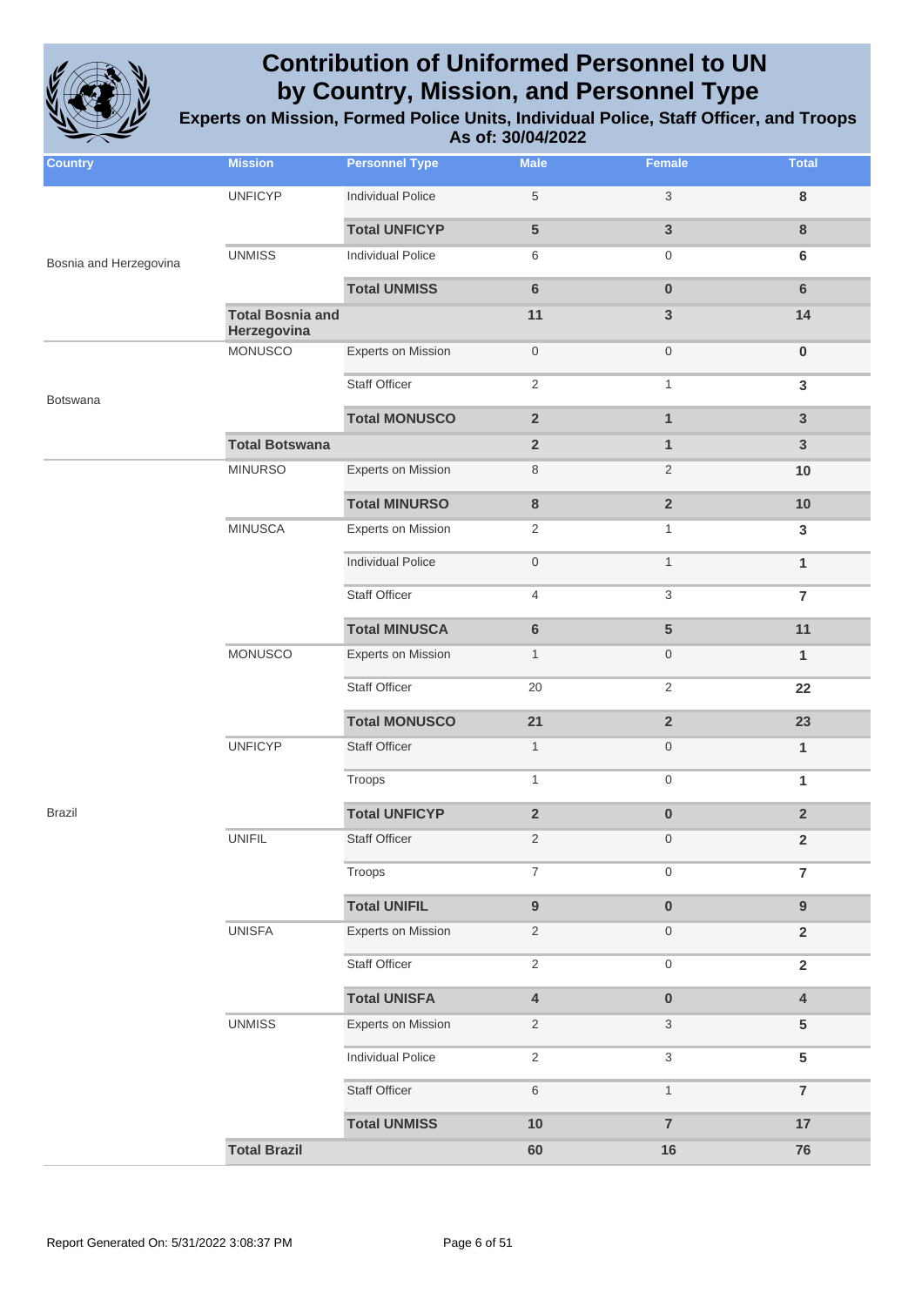

| <b>Country</b>         | <b>Mission</b>                         | <b>Personnel Type</b>     | <b>Male</b>             | Female                    | <b>Total</b>            |
|------------------------|----------------------------------------|---------------------------|-------------------------|---------------------------|-------------------------|
|                        | <b>UNFICYP</b>                         | <b>Individual Police</b>  | 5                       | $\ensuremath{\mathsf{3}}$ | $\bf 8$                 |
|                        |                                        | <b>Total UNFICYP</b>      | 5                       | $\mathbf{3}$              | $\bf 8$                 |
| Bosnia and Herzegovina | <b>UNMISS</b>                          | <b>Individual Police</b>  | 6                       | 0                         | 6                       |
|                        |                                        | <b>Total UNMISS</b>       | $6\phantom{a}$          | $\pmb{0}$                 | $6\phantom{1}6$         |
|                        | <b>Total Bosnia and</b><br>Herzegovina |                           | 11                      | $\mathbf{3}$              | 14                      |
|                        | <b>MONUSCO</b>                         | <b>Experts on Mission</b> | $\mathsf{O}\xspace$     | $\mathsf{O}\xspace$       | $\pmb{0}$               |
| <b>Botswana</b>        |                                        | <b>Staff Officer</b>      | $\overline{2}$          | $\mathbf{1}$              | $\mathbf{3}$            |
|                        |                                        | <b>Total MONUSCO</b>      | $\overline{2}$          | $\mathbf{1}$              | $\overline{3}$          |
|                        | <b>Total Botswana</b>                  |                           | $\overline{\mathbf{2}}$ | $\mathbf{1}$              | $\mathbf{3}$            |
|                        | <b>MINURSO</b>                         | <b>Experts on Mission</b> | 8                       | $\sqrt{2}$                | 10                      |
|                        |                                        | <b>Total MINURSO</b>      | $\bf 8$                 | $\overline{2}$            | 10                      |
|                        | <b>MINUSCA</b>                         | <b>Experts on Mission</b> | $\overline{2}$          | $\mathbf{1}$              | 3                       |
|                        |                                        | <b>Individual Police</b>  | $\mathsf{O}\xspace$     | $\mathbf{1}$              | $\mathbf{1}$            |
|                        |                                        | <b>Staff Officer</b>      | 4                       | 3                         | $\overline{7}$          |
|                        |                                        | <b>Total MINUSCA</b>      | 6                       | $5\phantom{1}$            | 11                      |
|                        | <b>MONUSCO</b>                         | Experts on Mission        | $\mathbf{1}$            | $\boldsymbol{0}$          | $\mathbf{1}$            |
|                        |                                        | <b>Staff Officer</b>      | 20                      | $\mathbf{2}$              | 22                      |
|                        |                                        | <b>Total MONUSCO</b>      | 21                      | $\overline{2}$            | 23                      |
|                        | <b>UNFICYP</b>                         | <b>Staff Officer</b>      | $\mathbf{1}$            | $\boldsymbol{0}$          | $\mathbf{1}$            |
|                        |                                        | Troops                    | $\mathbf{1}$            | $\mathsf{O}\xspace$       | 1                       |
| <b>Brazil</b>          |                                        | <b>Total UNFICYP</b>      | $\overline{2}$          | $\pmb{0}$                 | $\overline{2}$          |
|                        | <b>UNIFIL</b>                          | Staff Officer             | $\overline{c}$          | $\boldsymbol{0}$          | $\mathbf 2$             |
|                        |                                        | Troops                    | $\boldsymbol{7}$        | $\mathsf{O}\xspace$       | $\overline{7}$          |
|                        |                                        | <b>Total UNIFIL</b>       | $\boldsymbol{9}$        | $\pmb{0}$                 | $\boldsymbol{9}$        |
|                        | <b>UNISFA</b>                          | Experts on Mission        | $\sqrt{2}$              | $\boldsymbol{0}$          | $\mathbf{2}$            |
|                        |                                        | <b>Staff Officer</b>      | $\overline{2}$          | $\mathsf{O}\xspace$       | $\mathbf 2$             |
|                        |                                        | <b>Total UNISFA</b>       | 4                       | $\pmb{0}$                 | $\overline{\mathbf{4}}$ |
|                        | <b>UNMISS</b>                          | <b>Experts on Mission</b> | $\overline{c}$          | 3                         | $\sqrt{5}$              |
|                        |                                        | <b>Individual Police</b>  | $\overline{c}$          | $\ensuremath{\mathsf{3}}$ | $5\phantom{.0}$         |
|                        |                                        | Staff Officer             | 6                       | $\mathbf{1}$              | $\overline{7}$          |
|                        |                                        | <b>Total UNMISS</b>       | 10                      | $\overline{7}$            | $17$                    |
|                        | <b>Total Brazil</b>                    |                           | 60                      | $16$                      | 76                      |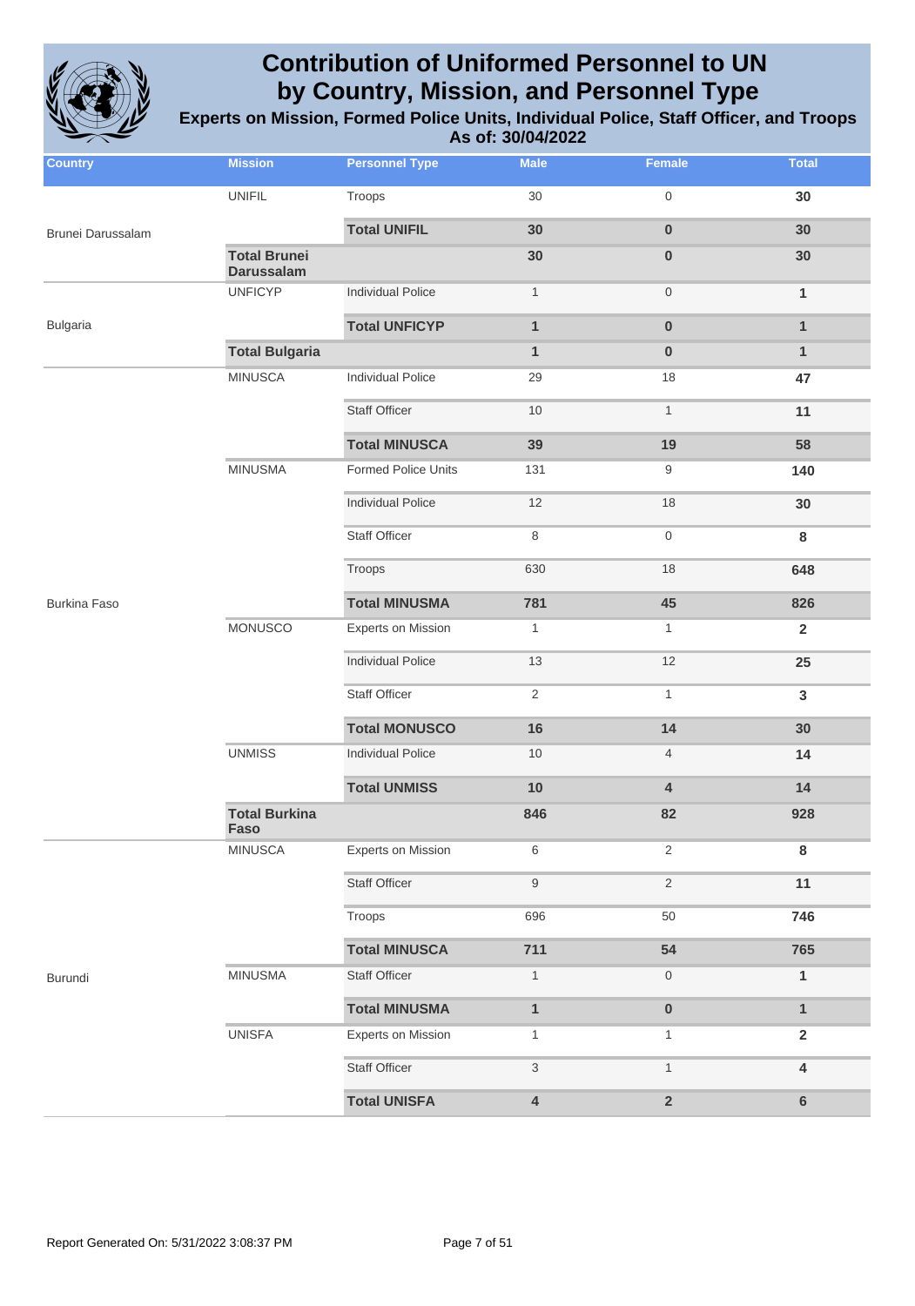

| <b>Country</b>      | <b>Mission</b>                           | <b>Personnel Type</b>     | <b>Male</b>               | Female           | <b>Total</b>   |
|---------------------|------------------------------------------|---------------------------|---------------------------|------------------|----------------|
|                     | <b>UNIFIL</b>                            | Troops                    | $30\,$                    | 0                | 30             |
| Brunei Darussalam   |                                          | <b>Total UNIFIL</b>       | 30                        | $\pmb{0}$        | 30             |
|                     | <b>Total Brunei</b><br><b>Darussalam</b> |                           | 30                        | $\pmb{0}$        | 30             |
|                     | <b>UNFICYP</b>                           | <b>Individual Police</b>  | $\mathbf{1}$              | $\boldsymbol{0}$ | $\mathbf{1}$   |
| <b>Bulgaria</b>     |                                          | <b>Total UNFICYP</b>      | $\mathbf{1}$              | $\pmb{0}$        | $\mathbf{1}$   |
|                     | <b>Total Bulgaria</b>                    |                           | $\mathbf{1}$              | $\bf{0}$         | $\mathbf{1}$   |
|                     | <b>MINUSCA</b>                           | <b>Individual Police</b>  | 29                        | 18               | 47             |
|                     |                                          | <b>Staff Officer</b>      | 10                        | $\mathbf{1}$     | 11             |
|                     |                                          | <b>Total MINUSCA</b>      | 39                        | 19               | 58             |
|                     | <b>MINUSMA</b>                           | Formed Police Units       | 131                       | 9                | 140            |
|                     |                                          | <b>Individual Police</b>  | 12                        | 18               | 30             |
|                     |                                          | <b>Staff Officer</b>      | 8                         | 0                | $\bf8$         |
|                     |                                          | Troops                    | 630                       | 18               | 648            |
| <b>Burkina Faso</b> |                                          | <b>Total MINUSMA</b>      | 781                       | 45               | 826            |
|                     | MONUSCO                                  | <b>Experts on Mission</b> | $\mathbf{1}$              | $\mathbf{1}$     | $\overline{2}$ |
|                     |                                          | <b>Individual Police</b>  | 13                        | 12               | 25             |
|                     |                                          | <b>Staff Officer</b>      | $\sqrt{2}$                | $\mathbf{1}$     | $\mathbf{3}$   |
|                     |                                          | <b>Total MONUSCO</b>      | 16                        | 14               | 30             |
|                     | <b>UNMISS</b>                            | <b>Individual Police</b>  | 10                        | $\overline{4}$   | 14             |
|                     |                                          | <b>Total UNMISS</b>       | 10                        | 4                | 14             |
|                     | <b>Total Burkina</b><br><b>Faso</b>      |                           | 846                       | 82               | 928            |
|                     | <b>MINUSCA</b>                           | <b>Experts on Mission</b> | 6                         | $\overline{2}$   | 8              |
|                     |                                          | <b>Staff Officer</b>      | $\boldsymbol{9}$          | $\mathbf{2}$     | 11             |
|                     |                                          | Troops                    | 696                       | 50               | 746            |
|                     |                                          | <b>Total MINUSCA</b>      | 711                       | 54               | 765            |
| Burundi             | <b>MINUSMA</b>                           | <b>Staff Officer</b>      | $\mathbf{1}$              | 0                | 1              |
|                     |                                          | <b>Total MINUSMA</b>      | $\mathbf{1}$              | $\pmb{0}$        | $\mathbf{1}$   |
|                     | <b>UNISFA</b>                            | <b>Experts on Mission</b> | $\mathbf{1}$              | $\mathbf{1}$     | $\overline{2}$ |
|                     |                                          | <b>Staff Officer</b>      | $\ensuremath{\mathsf{3}}$ | $\mathbf{1}$     | 4              |
|                     |                                          | <b>Total UNISFA</b>       | $\pmb{4}$                 | $\mathbf 2$      | $\bf 6$        |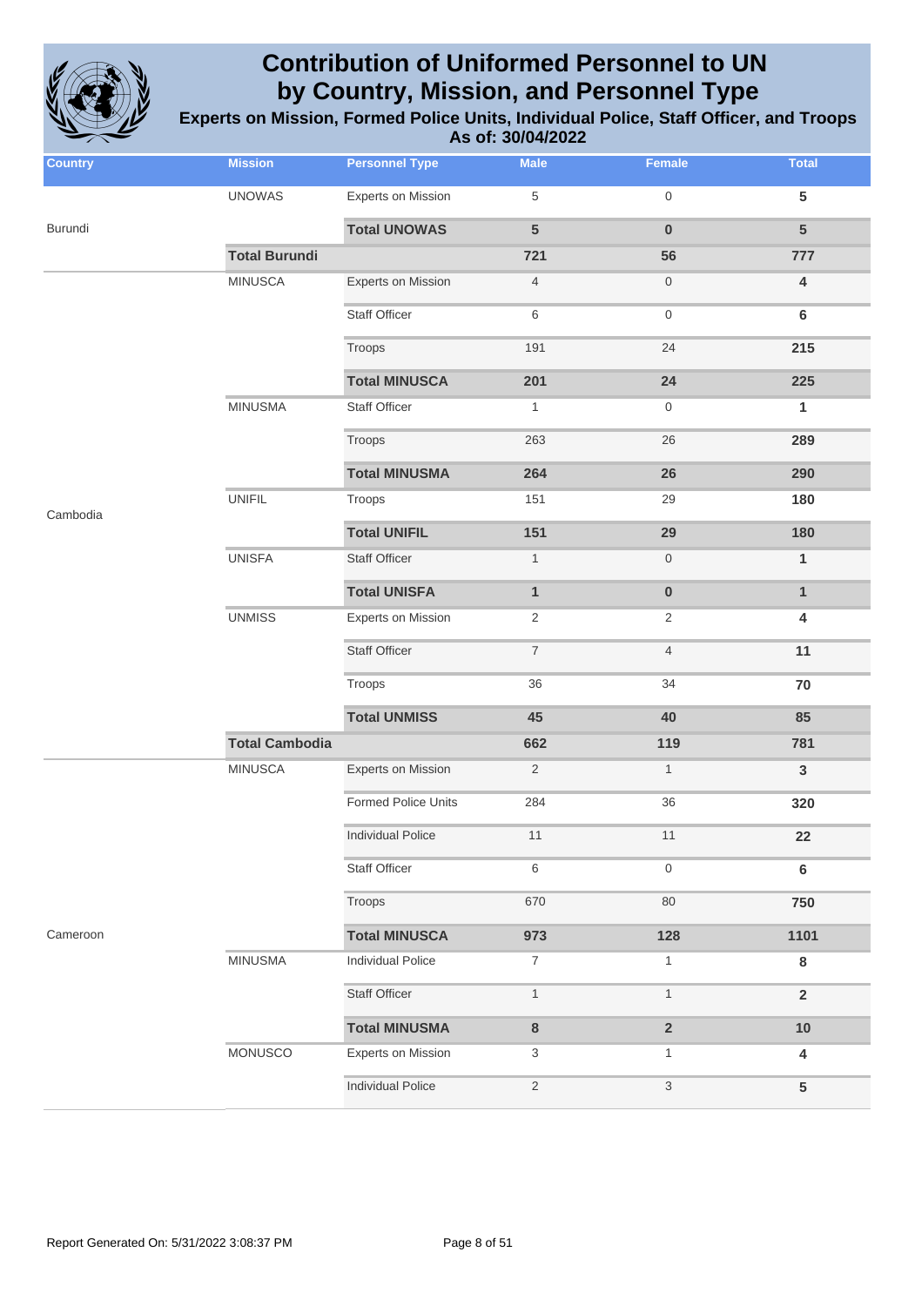

| <b>Country</b> | <b>Mission</b>        | <b>Personnel Type</b>     | <b>Male</b>      | <b>Female</b>           | <b>Total</b>            |
|----------------|-----------------------|---------------------------|------------------|-------------------------|-------------------------|
|                | <b>UNOWAS</b>         | <b>Experts on Mission</b> | 5                | $\mathsf{O}\xspace$     | $5\phantom{.0}$         |
| Burundi        |                       | <b>Total UNOWAS</b>       | 5                | $\bf{0}$                | $5\phantom{1}$          |
|                | <b>Total Burundi</b>  |                           | 721              | 56                      | 777                     |
|                | <b>MINUSCA</b>        | Experts on Mission        | $\overline{4}$   | $\boldsymbol{0}$        | $\overline{\mathbf{4}}$ |
|                |                       | <b>Staff Officer</b>      | 6                | $\mathsf{O}\xspace$     | $\bf 6$                 |
|                |                       | Troops                    | 191              | 24                      | 215                     |
|                |                       | <b>Total MINUSCA</b>      | 201              | 24                      | 225                     |
|                | <b>MINUSMA</b>        | <b>Staff Officer</b>      | $\mathbf{1}$     | 0                       | 1                       |
|                |                       | Troops                    | 263              | 26                      | 289                     |
|                |                       | <b>Total MINUSMA</b>      | 264              | 26                      | 290                     |
| Cambodia       | <b>UNIFIL</b>         | Troops                    | 151              | 29                      | 180                     |
|                |                       | <b>Total UNIFIL</b>       | 151              | 29                      | 180                     |
|                | <b>UNISFA</b>         | <b>Staff Officer</b>      | $\mathbf{1}$     | $\boldsymbol{0}$        | $\mathbf{1}$            |
|                |                       | <b>Total UNISFA</b>       | $\mathbf{1}$     | $\pmb{0}$               | $\mathbf{1}$            |
|                | <b>UNMISS</b>         | <b>Experts on Mission</b> | $\overline{2}$   | $\overline{2}$          | $\overline{\mathbf{4}}$ |
|                |                       | <b>Staff Officer</b>      | $\boldsymbol{7}$ | $\overline{4}$          | 11                      |
|                |                       | Troops                    | 36               | 34                      | 70                      |
|                |                       | <b>Total UNMISS</b>       | 45               | 40                      | 85                      |
|                | <b>Total Cambodia</b> |                           | 662              | 119                     | 781                     |
|                | <b>MINUSCA</b>        | Experts on Mission        | $\sqrt{2}$       | $\mathbf{1}$            | $\mathbf{3}$            |
|                |                       | Formed Police Units       | 284              | 36                      | 320                     |
|                |                       | Individual Police         | 11               | 11                      | 22                      |
|                |                       | <b>Staff Officer</b>      | 6                | 0                       | $\bf 6$                 |
|                |                       | Troops                    | 670              | 80                      | 750                     |
| Cameroon       |                       | <b>Total MINUSCA</b>      | 973              | 128                     | 1101                    |
|                | <b>MINUSMA</b>        | <b>Individual Police</b>  | 7                | 1                       | 8                       |
|                |                       | <b>Staff Officer</b>      | $\mathbf{1}$     | $\mathbf{1}$            | $\overline{2}$          |
|                |                       | <b>Total MINUSMA</b>      | 8                | $\overline{\mathbf{2}}$ | 10                      |
|                | MONUSCO               | <b>Experts on Mission</b> | 3                | 1                       | 4                       |
|                |                       | <b>Individual Police</b>  | $\mathbf{2}$     | $\sqrt{3}$              | 5                       |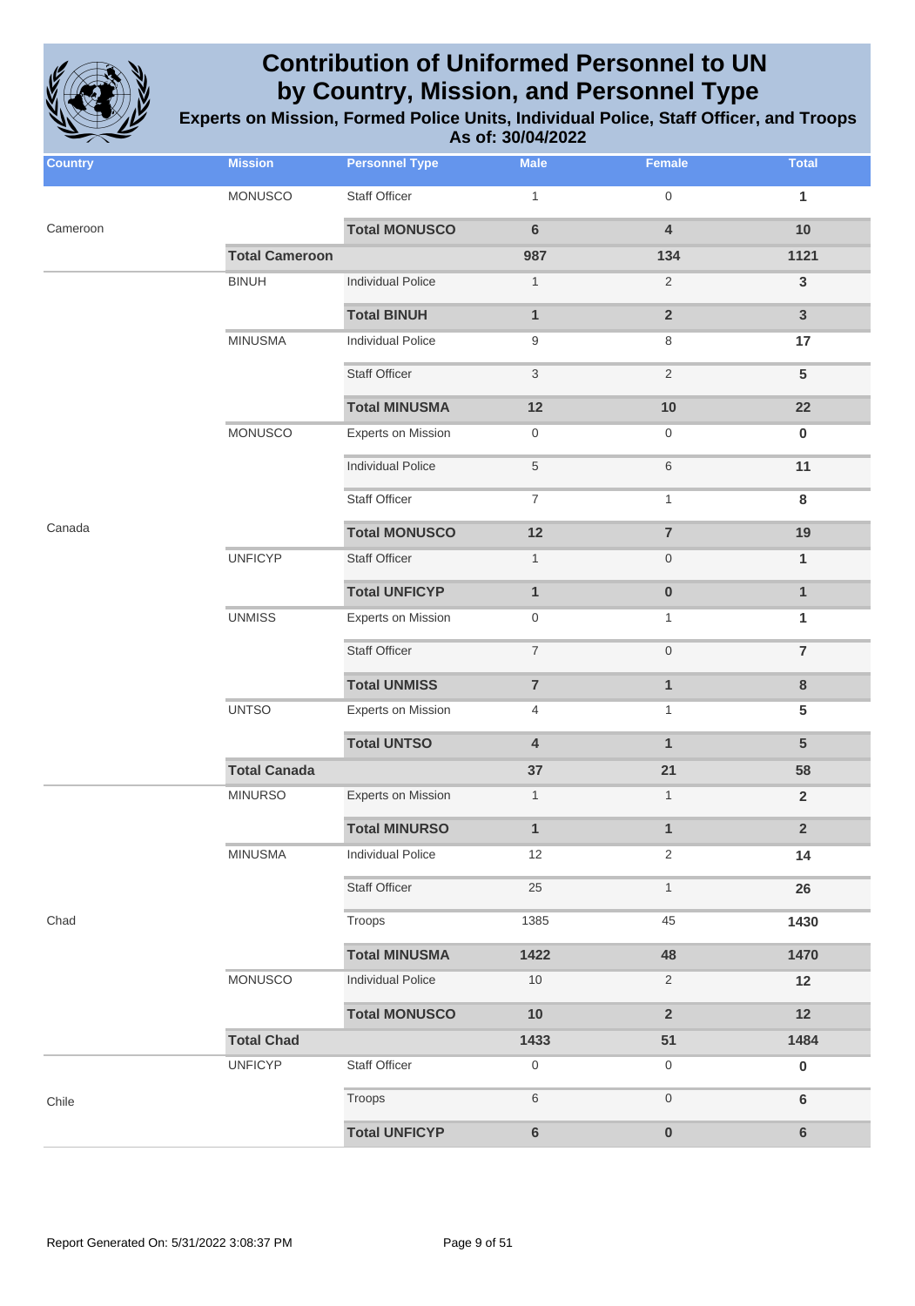

| <b>Country</b> | <b>Mission</b>        | <b>Personnel Type</b>     | <b>Male</b>               | Female                  | <b>Total</b>            |
|----------------|-----------------------|---------------------------|---------------------------|-------------------------|-------------------------|
|                | MONUSCO               | Staff Officer             | $\mathbf{1}$              | $\mathsf{O}\xspace$     | 1                       |
| Cameroon       |                       | <b>Total MONUSCO</b>      | $6\phantom{a}$            | $\overline{\mathbf{4}}$ | 10                      |
|                | <b>Total Cameroon</b> |                           | 987                       | 134                     | 1121                    |
|                | <b>BINUH</b>          | <b>Individual Police</b>  | $\mathbf{1}$              | $\sqrt{2}$              | $\mathbf{3}$            |
|                |                       | <b>Total BINUH</b>        | $\mathbf{1}$              | $\overline{\mathbf{2}}$ | $\overline{3}$          |
|                | <b>MINUSMA</b>        | <b>Individual Police</b>  | 9                         | 8                       | 17                      |
|                |                       | <b>Staff Officer</b>      | $\ensuremath{\mathsf{3}}$ | $\sqrt{2}$              | ${\bf 5}$               |
|                |                       | <b>Total MINUSMA</b>      | 12                        | 10                      | 22                      |
|                | <b>MONUSCO</b>        | <b>Experts on Mission</b> | $\boldsymbol{0}$          | $\boldsymbol{0}$        | $\pmb{0}$               |
|                |                       | <b>Individual Police</b>  | $\,$ 5 $\,$               | 6                       | 11                      |
|                |                       | <b>Staff Officer</b>      | $\overline{7}$            | $\mathbf{1}$            | 8                       |
| Canada         |                       | <b>Total MONUSCO</b>      | 12                        | $\overline{7}$          | 19                      |
|                | <b>UNFICYP</b>        | <b>Staff Officer</b>      | $\mathbf{1}$              | $\boldsymbol{0}$        | 1                       |
|                |                       | <b>Total UNFICYP</b>      | $\mathbf{1}$              | $\pmb{0}$               | $\mathbf{1}$            |
|                | <b>UNMISS</b>         | Experts on Mission        | $\boldsymbol{0}$          | $\mathbf{1}$            | 1                       |
|                |                       | <b>Staff Officer</b>      | $\boldsymbol{7}$          | $\boldsymbol{0}$        | $\overline{7}$          |
|                |                       | <b>Total UNMISS</b>       | $\overline{7}$            | $\mathbf{1}$            | $\bf 8$                 |
|                | <b>UNTSO</b>          | <b>Experts on Mission</b> | 4                         | $\mathbf{1}$            | $5\phantom{.0}$         |
|                |                       | <b>Total UNTSO</b>        | 4                         | $\mathbf{1}$            | $5\phantom{1}$          |
|                | <b>Total Canada</b>   |                           | 37                        | 21                      | 58                      |
|                | <b>MINURSO</b>        | <b>Experts on Mission</b> | $\mathbf{1}$              | $\mathbf{1}$            | $\overline{2}$          |
|                |                       | <b>Total MINURSO</b>      | $\mathbf{1}$              | $\mathbf{1}$            | $\overline{\mathbf{2}}$ |
|                | <b>MINUSMA</b>        | <b>Individual Police</b>  | 12                        | $\overline{2}$          | 14                      |
|                |                       | <b>Staff Officer</b>      | 25                        | $\mathbf{1}$            | 26                      |
| Chad           |                       | Troops                    | 1385                      | 45                      | 1430                    |
|                |                       | <b>Total MINUSMA</b>      | 1422                      | 48                      | 1470                    |
|                | <b>MONUSCO</b>        | <b>Individual Police</b>  | 10                        | $\overline{c}$          | 12                      |
|                |                       | <b>Total MONUSCO</b>      | $10$                      | $\overline{2}$          | 12                      |
|                | <b>Total Chad</b>     |                           | 1433                      | 51                      | 1484                    |
|                | <b>UNFICYP</b>        | Staff Officer             | 0                         | $\boldsymbol{0}$        | $\pmb{0}$               |
| Chile          |                       | Troops                    | 6                         | $\boldsymbol{0}$        | $\bf 6$                 |
|                |                       | <b>Total UNFICYP</b>      | $\bf 6$                   | $\pmb{0}$               | $\bf 6$                 |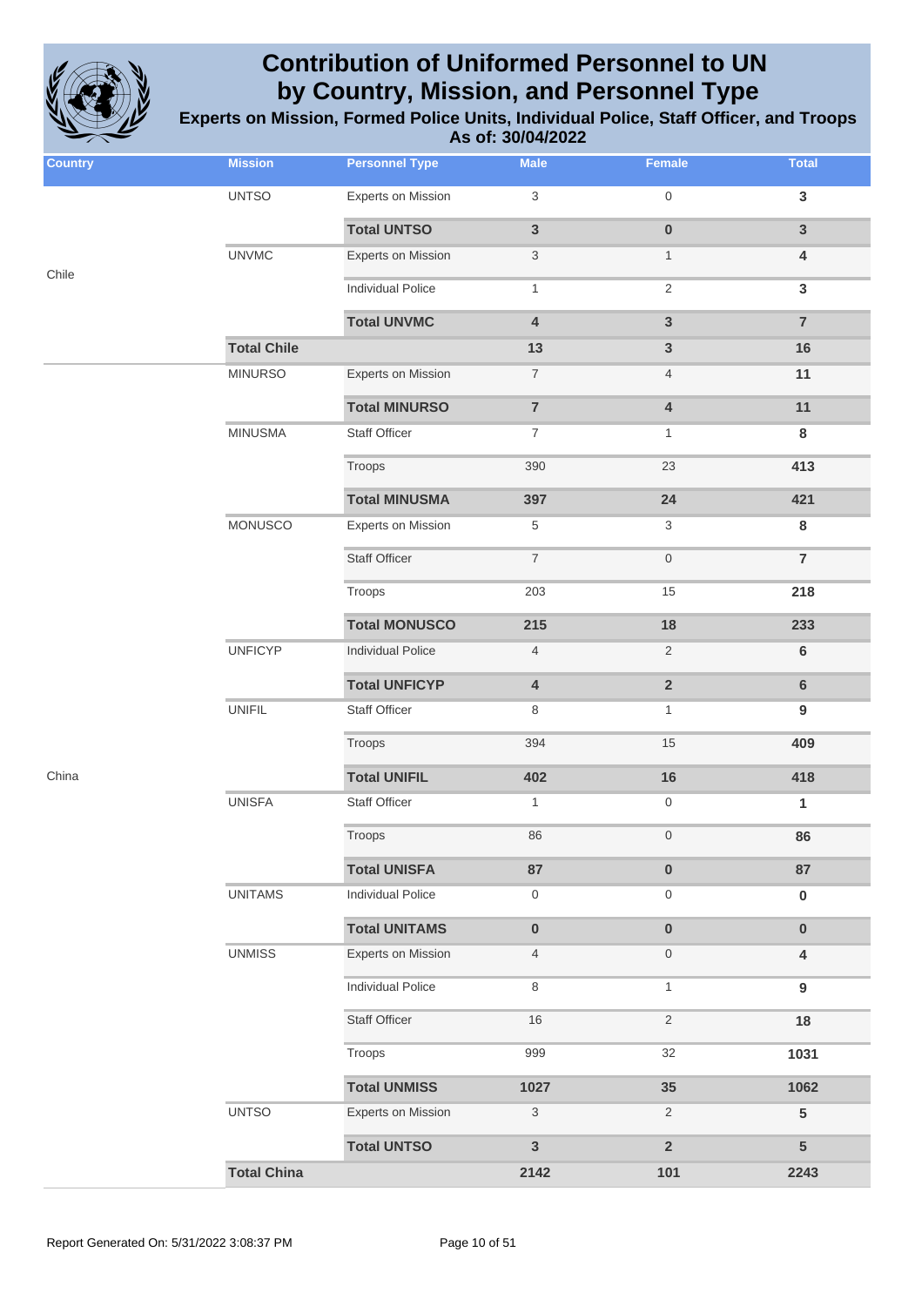

| <b>Country</b> | <b>Mission</b>     | <b>Personnel Type</b>     | <b>Male</b>               | Female                    | <b>Total</b>     |
|----------------|--------------------|---------------------------|---------------------------|---------------------------|------------------|
|                | <b>UNTSO</b>       | <b>Experts on Mission</b> | $\ensuremath{\mathsf{3}}$ | $\mathbf 0$               | 3                |
|                |                    | <b>Total UNTSO</b>        | $\mathsf 3$               | $\pmb{0}$                 | 3                |
| Chile          | <b>UNVMC</b>       | Experts on Mission        | $\ensuremath{\mathsf{3}}$ | $\mathbf{1}$              | 4                |
|                |                    | <b>Individual Police</b>  | $\mathbf{1}$              | $\sqrt{2}$                | 3                |
|                |                    | <b>Total UNVMC</b>        | $\pmb{4}$                 | $\mathbf{3}$              | $\overline{7}$   |
|                | <b>Total Chile</b> |                           | 13                        | $\mathbf{3}$              | 16               |
|                | <b>MINURSO</b>     | Experts on Mission        | $\overline{\mathcal{I}}$  | $\overline{4}$            | 11               |
|                |                    | <b>Total MINURSO</b>      | $\overline{\mathbf{7}}$   | $\pmb{4}$                 | 11               |
|                | <b>MINUSMA</b>     | <b>Staff Officer</b>      | $\boldsymbol{7}$          | $\mathbf{1}$              | 8                |
|                |                    | Troops                    | 390                       | 23                        | 413              |
|                |                    | <b>Total MINUSMA</b>      | 397                       | 24                        | 421              |
|                | MONUSCO            | Experts on Mission        | $\,$ 5 $\,$               | $\ensuremath{\mathsf{3}}$ | 8                |
|                |                    | <b>Staff Officer</b>      | $\overline{7}$            | $\,0\,$                   | $\overline{7}$   |
|                |                    | Troops                    | 203                       | 15                        | 218              |
|                |                    | <b>Total MONUSCO</b>      | 215                       | 18                        | 233              |
|                | <b>UNFICYP</b>     | <b>Individual Police</b>  | $\overline{4}$            | $\overline{2}$            | $\bf 6$          |
|                |                    | <b>Total UNFICYP</b>      | $\pmb{4}$                 | $\mathbf 2$               | 6                |
|                | <b>UNIFIL</b>      | <b>Staff Officer</b>      | $\,8\,$                   | $\mathbf{1}$              | $\boldsymbol{9}$ |
|                |                    | Troops                    | 394                       | 15                        | 409              |
| China          |                    | <b>Total UNIFIL</b>       | 402                       | 16                        | 418              |
|                | <b>UNISFA</b>      | <b>Staff Officer</b>      | $\mathbf{1}$              | $\,0\,$                   | 1                |
|                |                    | Troops                    | 86                        | $\mathbf 0$               | 86               |
|                |                    | <b>Total UNISFA</b>       | 87                        | $\pmb{0}$                 | 87               |
|                | <b>UNITAMS</b>     | Individual Police         | $\mathsf{O}\xspace$       | $\,0\,$                   | $\pmb{0}$        |
|                |                    | <b>Total UNITAMS</b>      | $\pmb{0}$                 | $\pmb{0}$                 | $\pmb{0}$        |
|                | <b>UNMISS</b>      | <b>Experts on Mission</b> | $\overline{4}$            | $\,0\,$                   | 4                |
|                |                    | <b>Individual Police</b>  | $\,8\,$                   | $\mathbf{1}$              | $\boldsymbol{9}$ |
|                |                    | <b>Staff Officer</b>      | $16$                      | $\overline{2}$            | 18               |
|                |                    | Troops                    | 999                       | 32                        | 1031             |
|                |                    | <b>Total UNMISS</b>       | 1027                      | 35                        | 1062             |
|                | <b>UNTSO</b>       | Experts on Mission        | $\sqrt{3}$                | $\overline{2}$            | 5                |
|                |                    | <b>Total UNTSO</b>        | $\mathbf{3}$              | $\overline{2}$            | 5                |
|                | <b>Total China</b> |                           | 2142                      | 101                       | 2243             |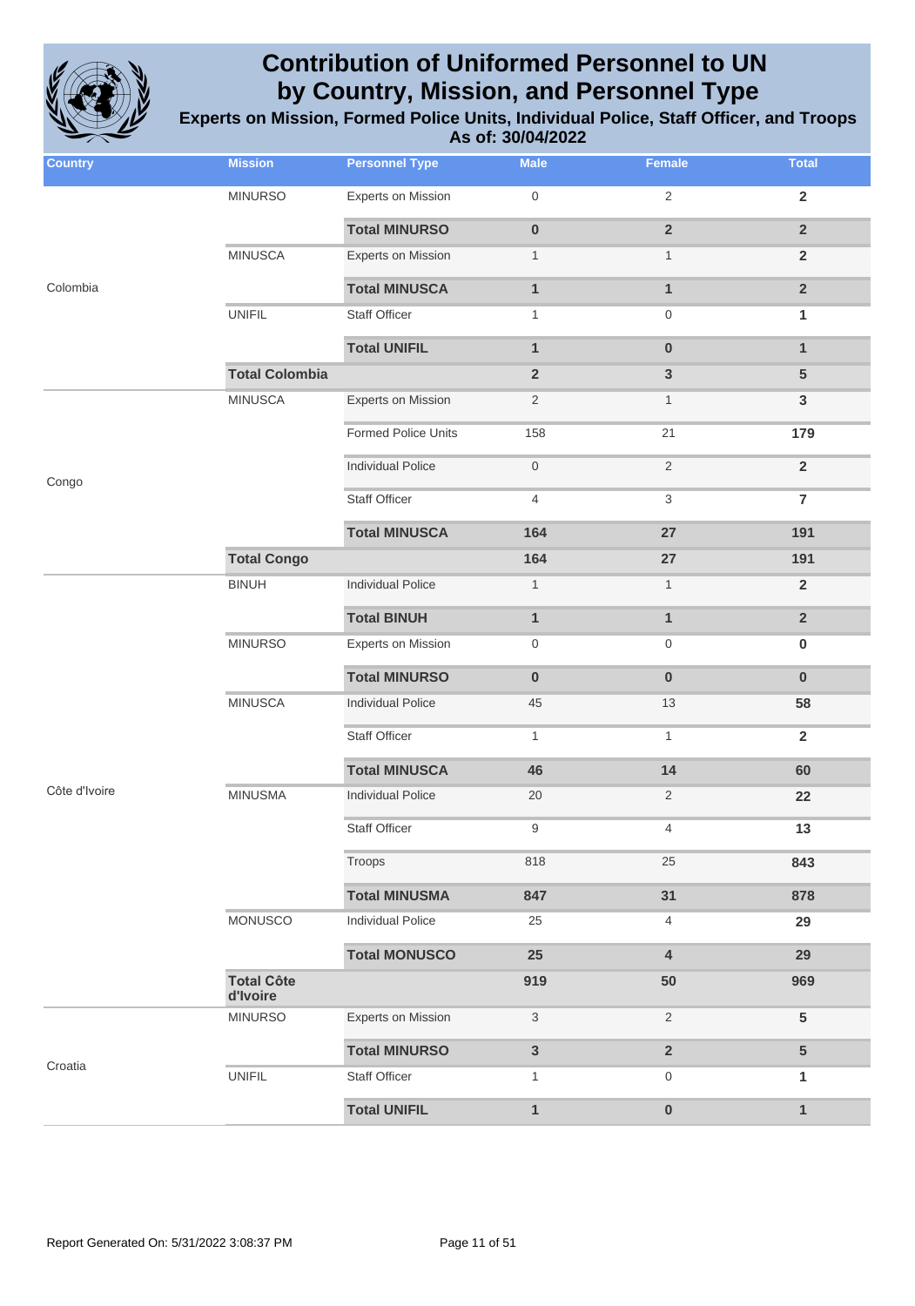

| <b>Country</b> | <b>Mission</b>                | <b>Personnel Type</b>     | <b>Male</b>               | Female                    | <b>Total</b>    |
|----------------|-------------------------------|---------------------------|---------------------------|---------------------------|-----------------|
|                | <b>MINURSO</b>                | <b>Experts on Mission</b> | $\boldsymbol{0}$          | $\overline{2}$            | $\overline{2}$  |
|                |                               | <b>Total MINURSO</b>      | $\pmb{0}$                 | $\mathbf 2$               | $\overline{2}$  |
|                | <b>MINUSCA</b>                | <b>Experts on Mission</b> | $\mathbf{1}$              | $\mathbf{1}$              | $\overline{2}$  |
| Colombia       |                               | <b>Total MINUSCA</b>      | $\mathbf{1}$              | $\mathbf{1}$              | $\overline{2}$  |
|                | <b>UNIFIL</b>                 | <b>Staff Officer</b>      | $\mathbf{1}$              | $\boldsymbol{0}$          | $\mathbf{1}$    |
|                |                               | <b>Total UNIFIL</b>       | $\mathbf{1}$              | $\pmb{0}$                 | $\mathbf{1}$    |
|                | <b>Total Colombia</b>         |                           | $\overline{2}$            | $\mathbf{3}$              | $5\phantom{.0}$ |
|                | <b>MINUSCA</b>                | <b>Experts on Mission</b> | $\overline{2}$            | $\mathbf{1}$              | $\mathbf{3}$    |
|                |                               | Formed Police Units       | 158                       | 21                        | 179             |
| Congo          |                               | <b>Individual Police</b>  | $\boldsymbol{0}$          | $\overline{2}$            | $\overline{2}$  |
|                |                               | <b>Staff Officer</b>      | $\overline{4}$            | $\ensuremath{\mathsf{3}}$ | $\overline{7}$  |
|                |                               | <b>Total MINUSCA</b>      | 164                       | 27                        | 191             |
|                | <b>Total Congo</b>            |                           | 164                       | 27                        | 191             |
|                | <b>BINUH</b>                  | <b>Individual Police</b>  | $\mathbf{1}$              | $\mathbf{1}$              | $\overline{2}$  |
|                |                               | <b>Total BINUH</b>        | $\mathbf{1}$              | $\mathbf{1}$              | $\overline{2}$  |
|                | <b>MINURSO</b>                | <b>Experts on Mission</b> | $\boldsymbol{0}$          | $\boldsymbol{0}$          | $\bf{0}$        |
|                |                               | <b>Total MINURSO</b>      | $\bf{0}$                  | $\bf{0}$                  | $\bf{0}$        |
|                | <b>MINUSCA</b>                | <b>Individual Police</b>  | 45                        | 13                        | 58              |
|                |                               | <b>Staff Officer</b>      | $\mathbf{1}$              | $\mathbf{1}$              | $\overline{2}$  |
|                |                               | <b>Total MINUSCA</b>      | 46                        | 14                        | 60              |
| Côte d'Ivoire  | <b>MINUSMA</b>                | <b>Individual Police</b>  | 20                        | $\overline{2}$            | 22              |
|                |                               | <b>Staff Officer</b>      | 9                         | 4                         | 13              |
|                |                               | Troops                    | 818                       | 25                        | 843             |
|                |                               | <b>Total MINUSMA</b>      | 847                       | 31                        | 878             |
|                | MONUSCO                       | <b>Individual Police</b>  | 25                        | 4                         | 29              |
|                |                               | <b>Total MONUSCO</b>      | 25                        | 4                         | 29              |
|                | <b>Total Côte</b><br>d'Ivoire |                           | 919                       | 50                        | 969             |
|                | <b>MINURSO</b>                | <b>Experts on Mission</b> | $\ensuremath{\mathsf{3}}$ | $\overline{2}$            | $5\phantom{.0}$ |
|                |                               | <b>Total MINURSO</b>      | $\mathbf{3}$              | $\mathbf 2$               | 5               |
| Croatia        | <b>UNIFIL</b>                 | <b>Staff Officer</b>      | $\mathbf{1}$              | $\mathbf 0$               | 1               |
|                |                               | <b>Total UNIFIL</b>       | $\mathbf{1}$              | $\bf{0}$                  | $\mathbf{1}$    |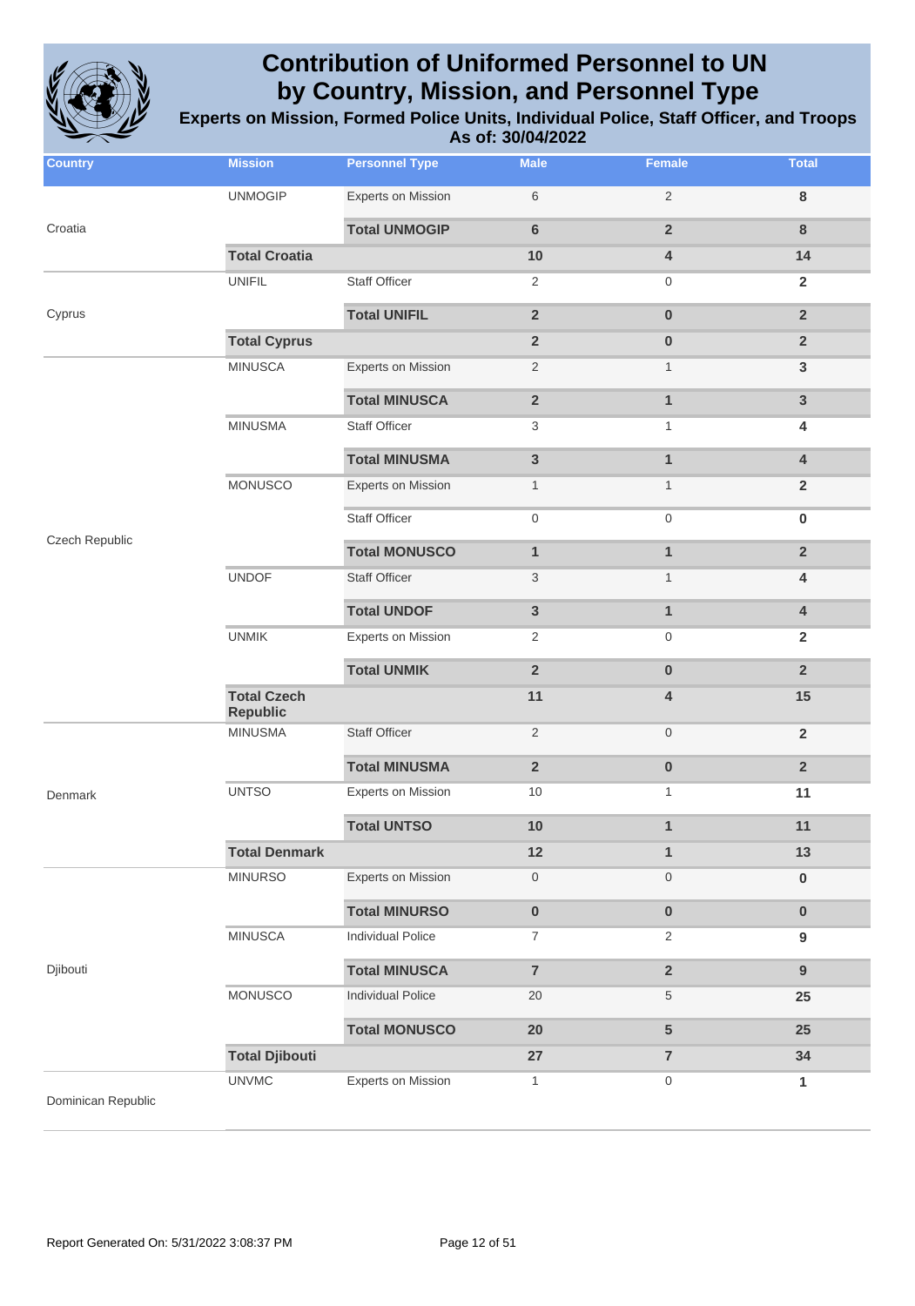

| <b>Country</b>     | <b>Mission</b>        | <b>Personnel Type</b>                                                                                                                                                                                                                                                                                                                                                                                                                                                                                                                                                                                                                                                                                                                                                                                                                                                                                                                                                                             | <b>Male</b>    | <b>Female</b>                                                                                                                                                                                                                   | <b>Total</b>            |
|--------------------|-----------------------|---------------------------------------------------------------------------------------------------------------------------------------------------------------------------------------------------------------------------------------------------------------------------------------------------------------------------------------------------------------------------------------------------------------------------------------------------------------------------------------------------------------------------------------------------------------------------------------------------------------------------------------------------------------------------------------------------------------------------------------------------------------------------------------------------------------------------------------------------------------------------------------------------------------------------------------------------------------------------------------------------|----------------|---------------------------------------------------------------------------------------------------------------------------------------------------------------------------------------------------------------------------------|-------------------------|
|                    | <b>UNMOGIP</b>        | <b>Experts on Mission</b>                                                                                                                                                                                                                                                                                                                                                                                                                                                                                                                                                                                                                                                                                                                                                                                                                                                                                                                                                                         | 6              | $\sqrt{2}$                                                                                                                                                                                                                      | $\bf 8$                 |
| Croatia            |                       | <b>Total UNMOGIP</b>                                                                                                                                                                                                                                                                                                                                                                                                                                                                                                                                                                                                                                                                                                                                                                                                                                                                                                                                                                              | $6\phantom{1}$ | $\overline{2}$                                                                                                                                                                                                                  | $\bf 8$                 |
|                    | <b>Total Croatia</b>  | 10<br>4<br><b>UNIFIL</b><br><b>Staff Officer</b><br>$\overline{2}$<br>0<br><b>Total UNIFIL</b><br>$\overline{2}$<br>$\pmb{0}$<br><b>Total Cyprus</b><br>$\overline{2}$<br>$\bf{0}$<br><b>MINUSCA</b><br>Experts on Mission<br>$\overline{2}$<br>$\mathbf{1}$<br><b>Total MINUSCA</b><br>$\overline{\mathbf{2}}$<br>$\mathbf{1}$<br><b>MINUSMA</b><br><b>Staff Officer</b><br>3<br>$\mathbf{1}$<br><b>Total MINUSMA</b><br>3<br>$\mathbf{1}$<br>MONUSCO<br><b>Experts on Mission</b><br>$\mathbf{1}$<br>$\mathbf{1}$<br><b>Staff Officer</b><br>0<br>$\mathsf{O}\xspace$<br><b>Total MONUSCO</b><br>$\mathbf{1}$<br>$\mathbf{1}$<br><b>UNDOF</b><br><b>Staff Officer</b><br>3<br>$\mathbf{1}$<br><b>Total UNDOF</b><br>3<br>$\mathbf{1}$<br><b>UNMIK</b><br><b>Experts on Mission</b><br>2<br>$\mathbf 0$<br><b>Total UNMIK</b><br>$\overline{2}$<br>$\pmb{0}$<br><b>Total Czech</b><br>11<br>4<br><b>Republic</b><br><b>Staff Officer</b><br><b>MINUSMA</b><br>$\overline{2}$<br>$\boldsymbol{0}$ | 14             |                                                                                                                                                                                                                                 |                         |
|                    |                       |                                                                                                                                                                                                                                                                                                                                                                                                                                                                                                                                                                                                                                                                                                                                                                                                                                                                                                                                                                                                   |                |                                                                                                                                                                                                                                 | $\overline{2}$          |
| Cyprus             |                       |                                                                                                                                                                                                                                                                                                                                                                                                                                                                                                                                                                                                                                                                                                                                                                                                                                                                                                                                                                                                   |                |                                                                                                                                                                                                                                 | $\overline{2}$          |
|                    |                       |                                                                                                                                                                                                                                                                                                                                                                                                                                                                                                                                                                                                                                                                                                                                                                                                                                                                                                                                                                                                   |                |                                                                                                                                                                                                                                 | $\overline{2}$          |
|                    |                       |                                                                                                                                                                                                                                                                                                                                                                                                                                                                                                                                                                                                                                                                                                                                                                                                                                                                                                                                                                                                   |                |                                                                                                                                                                                                                                 | $\mathbf{3}$            |
|                    |                       |                                                                                                                                                                                                                                                                                                                                                                                                                                                                                                                                                                                                                                                                                                                                                                                                                                                                                                                                                                                                   |                |                                                                                                                                                                                                                                 | $\mathbf{3}$            |
|                    |                       |                                                                                                                                                                                                                                                                                                                                                                                                                                                                                                                                                                                                                                                                                                                                                                                                                                                                                                                                                                                                   |                |                                                                                                                                                                                                                                 | 4                       |
|                    |                       |                                                                                                                                                                                                                                                                                                                                                                                                                                                                                                                                                                                                                                                                                                                                                                                                                                                                                                                                                                                                   |                |                                                                                                                                                                                                                                 | $\overline{\mathbf{4}}$ |
|                    |                       |                                                                                                                                                                                                                                                                                                                                                                                                                                                                                                                                                                                                                                                                                                                                                                                                                                                                                                                                                                                                   |                |                                                                                                                                                                                                                                 | $\overline{2}$          |
|                    |                       |                                                                                                                                                                                                                                                                                                                                                                                                                                                                                                                                                                                                                                                                                                                                                                                                                                                                                                                                                                                                   |                |                                                                                                                                                                                                                                 | $\pmb{0}$               |
| Czech Republic     |                       |                                                                                                                                                                                                                                                                                                                                                                                                                                                                                                                                                                                                                                                                                                                                                                                                                                                                                                                                                                                                   |                |                                                                                                                                                                                                                                 | $\overline{2}$          |
|                    |                       |                                                                                                                                                                                                                                                                                                                                                                                                                                                                                                                                                                                                                                                                                                                                                                                                                                                                                                                                                                                                   |                |                                                                                                                                                                                                                                 | 4                       |
|                    |                       |                                                                                                                                                                                                                                                                                                                                                                                                                                                                                                                                                                                                                                                                                                                                                                                                                                                                                                                                                                                                   |                |                                                                                                                                                                                                                                 | $\overline{\mathbf{4}}$ |
|                    |                       |                                                                                                                                                                                                                                                                                                                                                                                                                                                                                                                                                                                                                                                                                                                                                                                                                                                                                                                                                                                                   |                |                                                                                                                                                                                                                                 | $\overline{2}$          |
|                    |                       |                                                                                                                                                                                                                                                                                                                                                                                                                                                                                                                                                                                                                                                                                                                                                                                                                                                                                                                                                                                                   |                |                                                                                                                                                                                                                                 | $\overline{2}$          |
|                    |                       |                                                                                                                                                                                                                                                                                                                                                                                                                                                                                                                                                                                                                                                                                                                                                                                                                                                                                                                                                                                                   |                |                                                                                                                                                                                                                                 | 15                      |
|                    |                       |                                                                                                                                                                                                                                                                                                                                                                                                                                                                                                                                                                                                                                                                                                                                                                                                                                                                                                                                                                                                   |                |                                                                                                                                                                                                                                 | $\overline{2}$          |
|                    |                       | <b>Total MINUSMA</b>                                                                                                                                                                                                                                                                                                                                                                                                                                                                                                                                                                                                                                                                                                                                                                                                                                                                                                                                                                              | $\overline{2}$ | $\pmb{0}$                                                                                                                                                                                                                       | $\overline{2}$          |
| Denmark            | <b>UNTSO</b>          | <b>Experts on Mission</b>                                                                                                                                                                                                                                                                                                                                                                                                                                                                                                                                                                                                                                                                                                                                                                                                                                                                                                                                                                         | 10             | $\mathbf{1}$                                                                                                                                                                                                                    | 11                      |
|                    |                       | <b>Total UNTSO</b>                                                                                                                                                                                                                                                                                                                                                                                                                                                                                                                                                                                                                                                                                                                                                                                                                                                                                                                                                                                | 10             | 1                                                                                                                                                                                                                               | 11                      |
|                    | <b>Total Denmark</b>  |                                                                                                                                                                                                                                                                                                                                                                                                                                                                                                                                                                                                                                                                                                                                                                                                                                                                                                                                                                                                   | 12             | $\mathbf{1}$<br>0<br>$\boldsymbol{0}$<br>$\pmb{0}$<br>$\pmb{0}$<br>$\boldsymbol{7}$<br>$\overline{2}$<br>$\overline{7}$<br>$\overline{\mathbf{2}}$<br>20<br>$\,$ 5 $\,$<br>20<br>5<br>27<br>$\overline{7}$<br>$\mathbf{1}$<br>0 | 13                      |
|                    | <b>MINURSO</b>        | Experts on Mission                                                                                                                                                                                                                                                                                                                                                                                                                                                                                                                                                                                                                                                                                                                                                                                                                                                                                                                                                                                |                |                                                                                                                                                                                                                                 | $\pmb{0}$               |
|                    |                       | <b>Total MINURSO</b>                                                                                                                                                                                                                                                                                                                                                                                                                                                                                                                                                                                                                                                                                                                                                                                                                                                                                                                                                                              |                |                                                                                                                                                                                                                                 | $\pmb{0}$               |
|                    | <b>MINUSCA</b>        | Individual Police                                                                                                                                                                                                                                                                                                                                                                                                                                                                                                                                                                                                                                                                                                                                                                                                                                                                                                                                                                                 |                |                                                                                                                                                                                                                                 | 9                       |
| Djibouti           |                       | <b>Total MINUSCA</b>                                                                                                                                                                                                                                                                                                                                                                                                                                                                                                                                                                                                                                                                                                                                                                                                                                                                                                                                                                              |                |                                                                                                                                                                                                                                 | $\boldsymbol{9}$        |
|                    | MONUSCO               | <b>Individual Police</b>                                                                                                                                                                                                                                                                                                                                                                                                                                                                                                                                                                                                                                                                                                                                                                                                                                                                                                                                                                          |                |                                                                                                                                                                                                                                 | 25                      |
|                    |                       | <b>Total MONUSCO</b>                                                                                                                                                                                                                                                                                                                                                                                                                                                                                                                                                                                                                                                                                                                                                                                                                                                                                                                                                                              |                |                                                                                                                                                                                                                                 | 25                      |
|                    | <b>Total Djibouti</b> |                                                                                                                                                                                                                                                                                                                                                                                                                                                                                                                                                                                                                                                                                                                                                                                                                                                                                                                                                                                                   |                |                                                                                                                                                                                                                                 | 34                      |
| Dominican Republic | <b>UNVMC</b>          | <b>Experts on Mission</b>                                                                                                                                                                                                                                                                                                                                                                                                                                                                                                                                                                                                                                                                                                                                                                                                                                                                                                                                                                         |                |                                                                                                                                                                                                                                 | 1                       |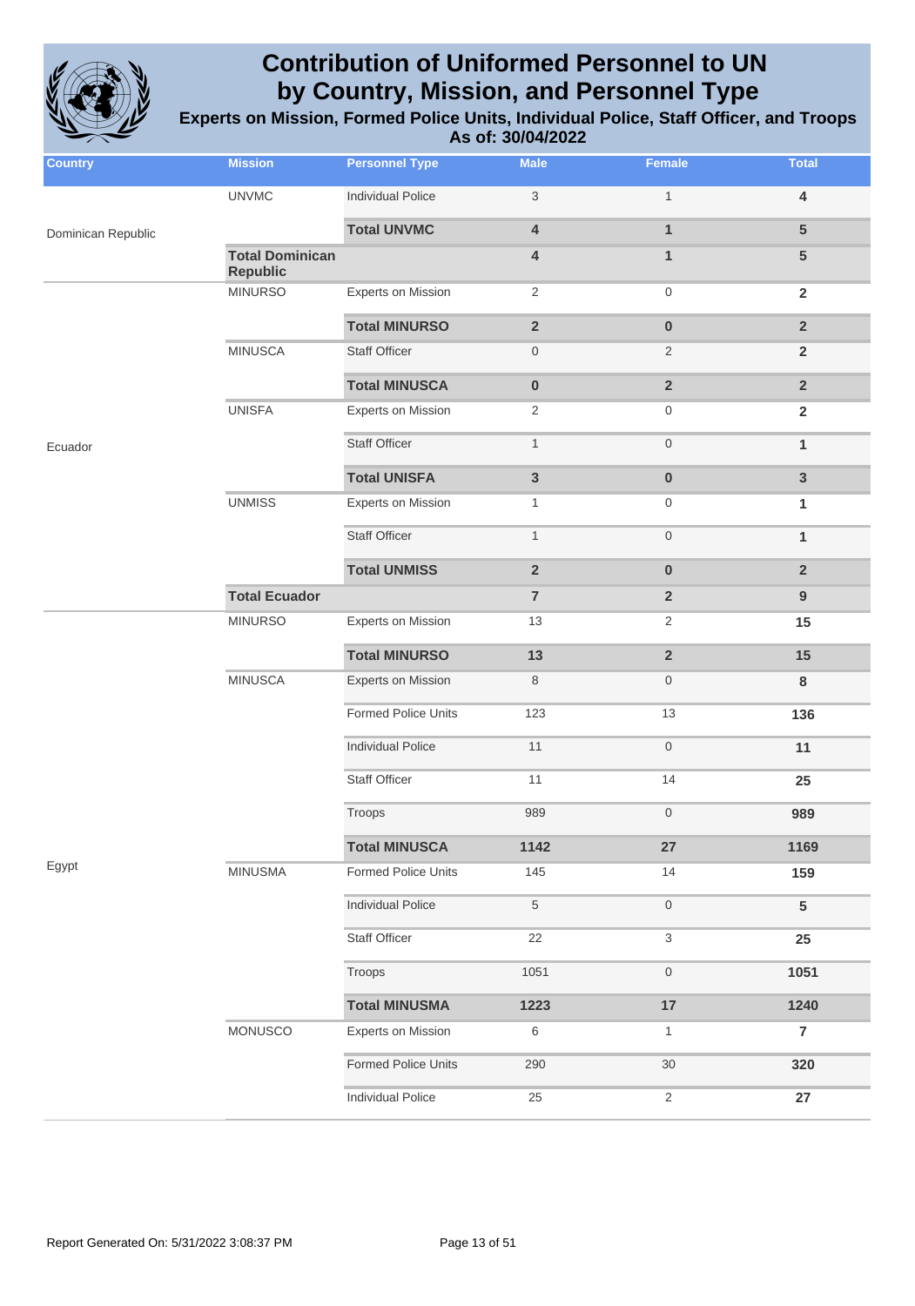

| <b>Country</b>     | <b>Mission</b>                            | <b>Personnel Type</b>      | <b>Male</b>             | <b>Female</b>           | <b>Total</b>            |
|--------------------|-------------------------------------------|----------------------------|-------------------------|-------------------------|-------------------------|
|                    | <b>UNVMC</b>                              | <b>Individual Police</b>   | 3                       | $\mathbf{1}$            | $\overline{\mathbf{4}}$ |
| Dominican Republic |                                           | <b>Total UNVMC</b>         | 4                       | $\mathbf{1}$            | $5\phantom{.0}$         |
|                    | <b>Total Dominican</b><br><b>Republic</b> |                            | 4                       | $\mathbf{1}$            | $5\phantom{.0}$         |
|                    | <b>MINURSO</b>                            | <b>Experts on Mission</b>  | $\overline{2}$          | $\mathsf{O}\xspace$     | $\overline{2}$          |
|                    |                                           | <b>Total MINURSO</b>       | $\overline{\mathbf{2}}$ | $\pmb{0}$               | $\overline{2}$          |
|                    | <b>MINUSCA</b>                            | <b>Staff Officer</b>       | 0                       | $\overline{2}$          | $\overline{2}$          |
|                    |                                           | <b>Total MINUSCA</b>       | $\pmb{0}$               | $\overline{2}$          | $\overline{2}$          |
|                    | <b>UNISFA</b>                             | <b>Experts on Mission</b>  | $\overline{2}$          | 0                       | $\mathbf{2}$            |
| Ecuador            |                                           | <b>Staff Officer</b>       | $\mathbf{1}$            | $\mathsf{O}\xspace$     | $\mathbf{1}$            |
|                    |                                           | <b>Total UNISFA</b>        | $\mathbf{3}$            | $\pmb{0}$               | $\overline{3}$          |
|                    | <b>UNMISS</b>                             | <b>Experts on Mission</b>  | $\mathbf{1}$            | $\mathbf 0$             | 1                       |
|                    |                                           | <b>Staff Officer</b>       | $\mathbf{1}$            | $\mathsf{O}\xspace$     | $\mathbf{1}$            |
|                    |                                           | <b>Total UNMISS</b>        | $\overline{2}$          | $\pmb{0}$               | $\overline{2}$          |
|                    | <b>Total Ecuador</b>                      |                            | $\overline{7}$          | $\overline{2}$          | 9                       |
|                    | <b>MINURSO</b>                            | <b>Experts on Mission</b>  | 13                      | $\overline{2}$          | 15                      |
|                    |                                           | <b>Total MINURSO</b>       | 13                      | $\overline{\mathbf{2}}$ | 15                      |
|                    | <b>MINUSCA</b>                            | <b>Experts on Mission</b>  | 8                       | $\boldsymbol{0}$        | 8                       |
|                    |                                           | Formed Police Units        | 123                     | 13                      | 136                     |
|                    |                                           | <b>Individual Police</b>   | 11                      | $\boldsymbol{0}$        | 11                      |
|                    |                                           | <b>Staff Officer</b>       | 11                      | 14                      | 25                      |
|                    |                                           | Troops                     | 989                     | $\boldsymbol{0}$        | 989                     |
|                    |                                           | <b>Total MINUSCA</b>       | 1142                    | 27                      | 1169                    |
| Egypt              | <b>MINUSMA</b>                            | <b>Formed Police Units</b> | 145                     | 14                      | 159                     |
|                    |                                           | <b>Individual Police</b>   | 5                       | $\boldsymbol{0}$        | ${\bf 5}$               |
|                    |                                           | <b>Staff Officer</b>       | 22                      | 3                       | 25                      |
|                    |                                           | Troops                     | 1051                    | $\boldsymbol{0}$        | 1051                    |
|                    |                                           | <b>Total MINUSMA</b>       | 1223                    | 17                      | 1240                    |
|                    | MONUSCO                                   | <b>Experts on Mission</b>  | 6                       | $\mathbf{1}$            | $\overline{7}$          |
|                    |                                           | Formed Police Units        | 290                     | 30                      | 320                     |
|                    |                                           | Individual Police          | 25                      | 2                       | 27                      |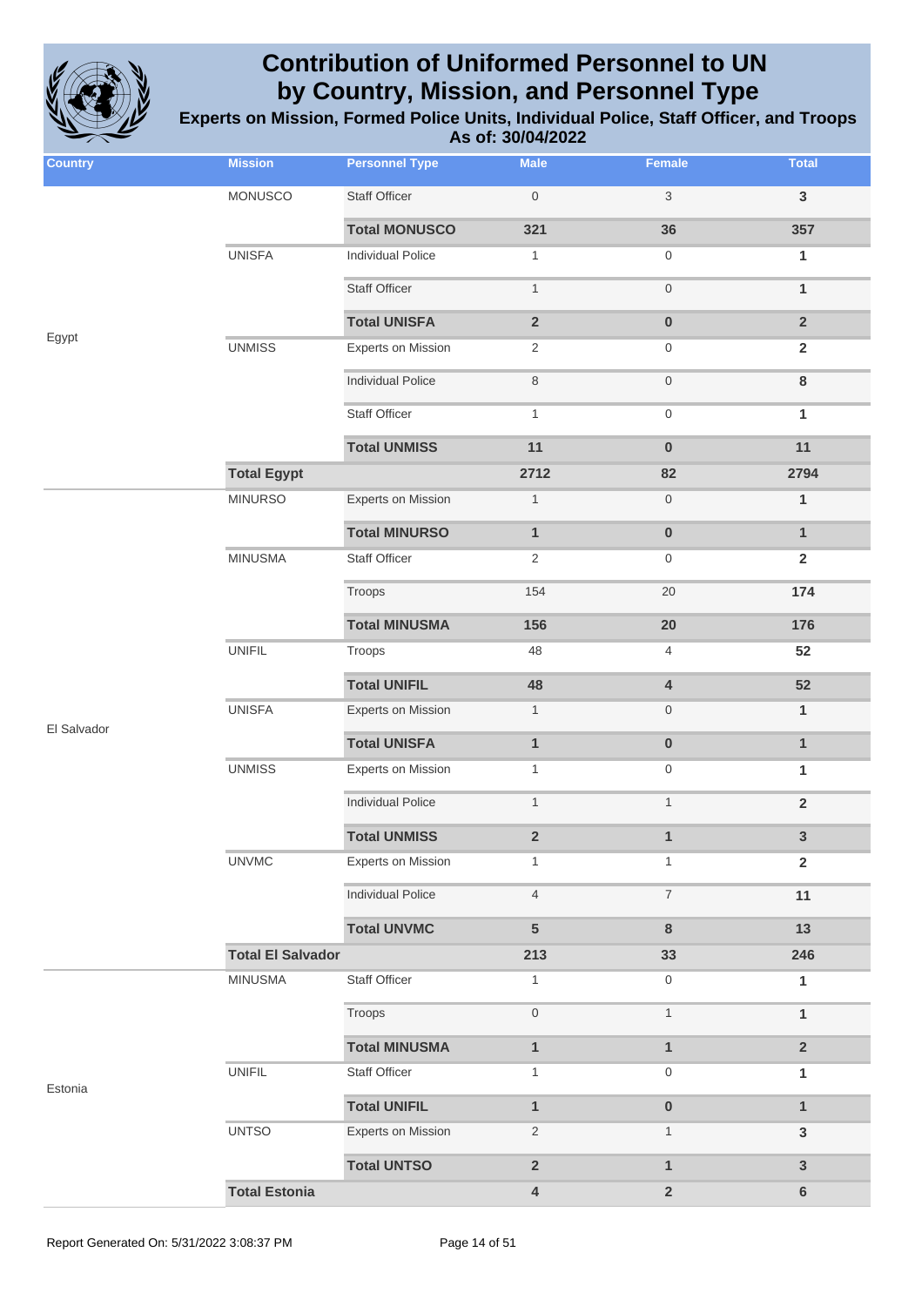

**Experts on Mission, Formed Police Units, Individual Police, Staff Officer, and Troops As of: 30/04/2022**

| <b>Country</b> | <b>Mission</b>           | <b>Personnel Type</b>     | <b>Male</b>             | Female                    | <b>Total</b>            |
|----------------|--------------------------|---------------------------|-------------------------|---------------------------|-------------------------|
|                | <b>MONUSCO</b>           | <b>Staff Officer</b>      | $\,0\,$                 | $\ensuremath{\mathsf{3}}$ | $\mathbf{3}$            |
|                |                          | <b>Total MONUSCO</b>      | 321                     | 36                        | 357                     |
|                | <b>UNISFA</b>            | <b>Individual Police</b>  | $\mathbf{1}$            | $\boldsymbol{0}$          | $\mathbf{1}$            |
|                |                          | <b>Staff Officer</b>      | $\mathbf{1}$            | $\mathbf 0$               | $\mathbf{1}$            |
|                |                          | <b>Total UNISFA</b>       | $\overline{2}$          | $\pmb{0}$                 | $\overline{2}$          |
| Egypt          | <b>UNMISS</b>            | <b>Experts on Mission</b> | $\overline{c}$          | $\boldsymbol{0}$          | $\overline{2}$          |
|                |                          | <b>Individual Police</b>  | $\,8\,$                 | $\mathbf 0$               | $\bf 8$                 |
|                |                          | <b>Staff Officer</b>      | $\mathbf{1}$            | $\boldsymbol{0}$          | $\mathbf{1}$            |
|                |                          | <b>Total UNMISS</b>       | 11                      | $\pmb{0}$                 | 11                      |
|                | <b>Total Egypt</b>       |                           | 2712                    | 82                        | 2794                    |
|                | <b>MINURSO</b>           | <b>Experts on Mission</b> | $\mathbf{1}$            | $\mathbf 0$               | $\mathbf{1}$            |
|                |                          | <b>Total MINURSO</b>      | $\mathbf{1}$            | $\pmb{0}$                 | $\mathbf{1}$            |
|                | <b>MINUSMA</b>           | <b>Staff Officer</b>      | $\overline{2}$          | $\mathbf 0$               | $\overline{2}$          |
|                |                          | Troops                    | 154                     | 20                        | 174                     |
|                |                          | <b>Total MINUSMA</b>      | 156                     | 20                        | 176                     |
|                | <b>UNIFIL</b>            | Troops                    | 48                      | $\overline{4}$            | 52                      |
|                |                          | <b>Total UNIFIL</b>       | 48                      | $\pmb{4}$                 | 52                      |
| El Salvador    | <b>UNISFA</b>            | <b>Experts on Mission</b> | $\mathbf{1}$            | $\boldsymbol{0}$          | $\mathbf{1}$            |
|                |                          | <b>Total UNISFA</b>       | $\mathbf{1}$            | $\mathbf 0$               | $\mathbf{1}$            |
|                | <b>UNMISS</b>            | <b>Experts on Mission</b> | $\mathbf{1}$            | $\boldsymbol{0}$          | $\mathbf{1}$            |
|                |                          | <b>Individual Police</b>  | $\mathbf{1}$            | $\mathbf{1}$              | $\overline{\mathbf{2}}$ |
|                |                          | <b>Total UNMISS</b>       | $\overline{\mathbf{2}}$ | $\mathbf{1}$              | 3                       |
|                | <b>UNVMC</b>             | <b>Experts on Mission</b> | $\mathbf{1}$            | $\mathbf{1}$              | $\overline{2}$          |
|                |                          | <b>Individual Police</b>  | $\overline{4}$          | $\boldsymbol{7}$          | 11                      |
|                |                          | <b>Total UNVMC</b>        | 5                       | $\bf8$                    | 13                      |
|                | <b>Total El Salvador</b> |                           | 213                     | 33                        | 246                     |
|                | <b>MINUSMA</b>           | Staff Officer             | $\mathbf{1}$            | $\boldsymbol{0}$          | $\mathbf{1}$            |
|                |                          | Troops                    | $\mathbf 0$             | $\mathbf{1}$              | $\mathbf{1}$            |
|                |                          | <b>Total MINUSMA</b>      | $\mathbf{1}$            | $\mathbf{1}$              | $\mathbf 2$             |
| Estonia        | <b>UNIFIL</b>            | Staff Officer             | $\mathbf{1}$            | $\boldsymbol{0}$          | 1                       |
|                |                          | <b>Total UNIFIL</b>       | $\mathbf{1}$            | $\pmb{0}$                 | $\mathbf{1}$            |
|                | <b>UNTSO</b>             | <b>Experts on Mission</b> | $\overline{2}$          | $\mathbf{1}$              | $\mathsf 3$             |
|                |                          | <b>Total UNTSO</b>        | $\mathbf 2$             | $\mathbf{1}$              | 3                       |
|                | <b>Total Estonia</b>     |                           | 4                       | $\mathbf 2$               | 6                       |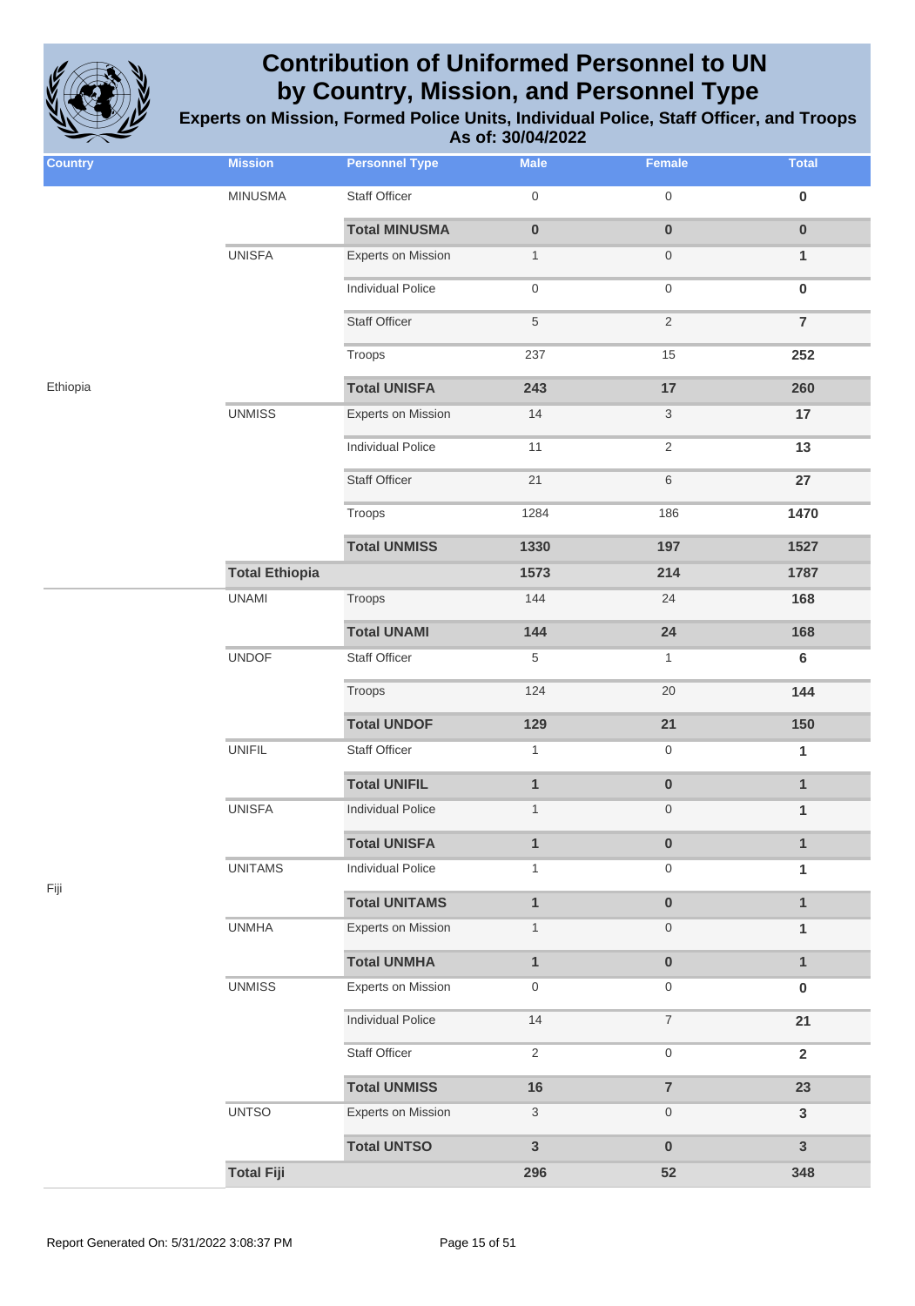

| <b>Country</b> | <b>Mission</b>        | <b>Personnel Type</b>     | <b>Male</b>         | Female                   | <b>Total</b>   |
|----------------|-----------------------|---------------------------|---------------------|--------------------------|----------------|
|                | <b>MINUSMA</b>        | <b>Staff Officer</b>      | $\mathsf{O}\xspace$ | $\mathsf{O}\xspace$      | $\pmb{0}$      |
|                |                       | <b>Total MINUSMA</b>      | $\pmb{0}$           | $\pmb{0}$                | $\pmb{0}$      |
|                | <b>UNISFA</b>         | Experts on Mission        | $\mathbf{1}$        | $\boldsymbol{0}$         | $\mathbf{1}$   |
|                |                       | <b>Individual Police</b>  | $\mathsf{O}\xspace$ | $\mathsf{O}\xspace$      | $\pmb{0}$      |
|                |                       | <b>Staff Officer</b>      | $\,$ 5 $\,$         | $\overline{2}$           | $\overline{7}$ |
|                |                       | Troops                    | 237                 | 15                       | 252            |
| Ethiopia       |                       | <b>Total UNISFA</b>       | 243                 | 17                       | 260            |
|                | <b>UNMISS</b>         | Experts on Mission        | 14                  | 3                        | 17             |
|                |                       | <b>Individual Police</b>  | 11                  | $\sqrt{2}$               | 13             |
|                |                       | <b>Staff Officer</b>      | 21                  | $\,6$                    | 27             |
|                |                       | Troops                    | 1284                | 186                      | 1470           |
|                |                       | <b>Total UNMISS</b>       | 1330                | 197                      | 1527           |
|                | <b>Total Ethiopia</b> |                           | 1573                | 214                      | 1787           |
|                | <b>UNAMI</b>          | Troops                    | 144                 | 24                       | 168            |
|                |                       | <b>Total UNAMI</b>        | 144                 | 24                       | 168            |
|                | <b>UNDOF</b>          | <b>Staff Officer</b>      | 5                   | $\mathbf{1}$             | $6\phantom{1}$ |
|                |                       | Troops                    | 124                 | 20                       | 144            |
|                |                       | <b>Total UNDOF</b>        | 129                 | 21                       | 150            |
|                | <b>UNIFIL</b>         | <b>Staff Officer</b>      | $\mathbf{1}$        | $\boldsymbol{0}$         | 1              |
|                |                       | <b>Total UNIFIL</b>       | $\mathbf{1}$        | $\pmb{0}$                | $\mathbf{1}$   |
|                | <b>UNISFA</b>         | <b>Individual Police</b>  | $\mathbf{1}$        | $\boldsymbol{0}$         | $\mathbf{1}$   |
|                |                       | <b>Total UNISFA</b>       | $\mathbf{1}$        | $\pmb{0}$                | $\mathbf{1}$   |
| Fiji           | <b>UNITAMS</b>        | <b>Individual Police</b>  | $\mathbf{1}$        | $\boldsymbol{0}$         | 1              |
|                |                       | <b>Total UNITAMS</b>      | $\mathbf{1}$        | $\pmb{0}$                | $\mathbf{1}$   |
|                | <b>UNMHA</b>          | Experts on Mission        | $\mathbf{1}$        | $\boldsymbol{0}$         | $\mathbf{1}$   |
|                |                       | <b>Total UNMHA</b>        | $\mathbf{1}$        | $\pmb{0}$                | $\mathbf{1}$   |
|                | <b>UNMISS</b>         | <b>Experts on Mission</b> | $\boldsymbol{0}$    | $\boldsymbol{0}$         | $\bf{0}$       |
|                |                       | <b>Individual Police</b>  | 14                  | $\overline{\mathcal{I}}$ | 21             |
|                |                       | Staff Officer             | $\overline{2}$      | $\mathsf{O}\xspace$      | $\mathbf 2$    |
|                |                       | <b>Total UNMISS</b>       | $16$                | $\overline{7}$           | 23             |
|                | <b>UNTSO</b>          | <b>Experts on Mission</b> | $\sqrt{3}$          | $\boldsymbol{0}$         | $\mathbf{3}$   |
|                |                       | <b>Total UNTSO</b>        | $\mathbf{3}$        | $\bf{0}$                 | $\overline{3}$ |
|                | <b>Total Fiji</b>     |                           | 296                 | 52                       | 348            |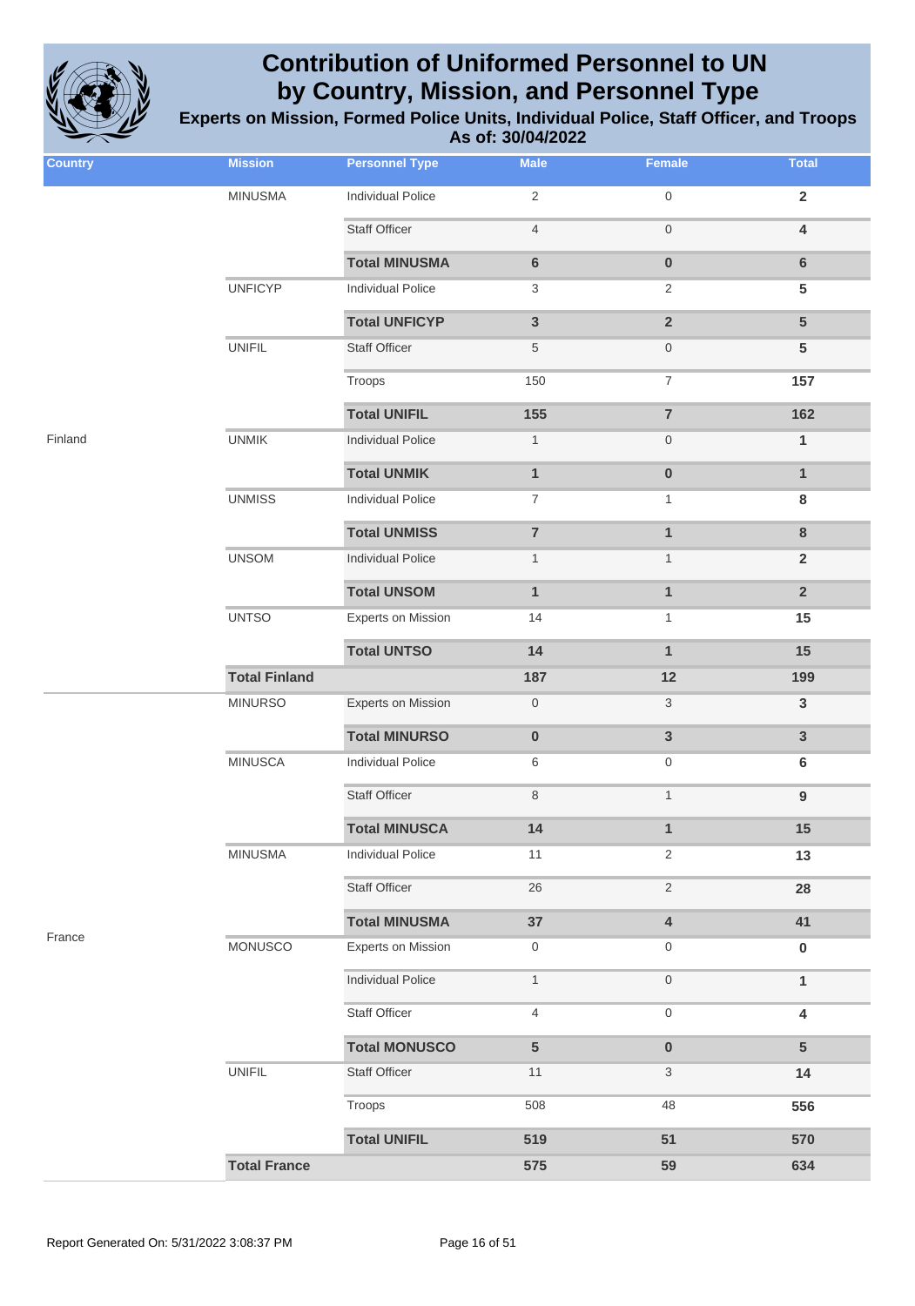

| <b>Country</b> | <b>Mission</b>       | <b>Personnel Type</b>     | <b>Male</b>      | Female                    | <b>Total</b>            |
|----------------|----------------------|---------------------------|------------------|---------------------------|-------------------------|
|                | <b>MINUSMA</b>       | <b>Individual Police</b>  | $\sqrt{2}$       | $\mathsf{O}\xspace$       | $\overline{2}$          |
|                |                      | <b>Staff Officer</b>      | $\overline{4}$   | $\boldsymbol{0}$          | $\overline{\mathbf{4}}$ |
|                |                      | <b>Total MINUSMA</b>      | $\bf 6$          | $\pmb{0}$                 | $\bf 6$                 |
|                | <b>UNFICYP</b>       | <b>Individual Police</b>  | 3                | $\overline{2}$            | 5                       |
|                |                      | <b>Total UNFICYP</b>      | $\mathbf{3}$     | $\overline{2}$            | $5\phantom{1}$          |
|                | <b>UNIFIL</b>        | Staff Officer             | $\,$ 5 $\,$      | $\boldsymbol{0}$          | $5\phantom{1}$          |
|                |                      | Troops                    | 150              | $\boldsymbol{7}$          | 157                     |
|                |                      | <b>Total UNIFIL</b>       | 155              | $\overline{7}$            | 162                     |
| Finland        | <b>UNMIK</b>         | <b>Individual Police</b>  | $\mathbf{1}$     | $\boldsymbol{0}$          | $\mathbf{1}$            |
|                |                      | <b>Total UNMIK</b>        | $\mathbf{1}$     | $\pmb{0}$                 | $\mathbf{1}$            |
|                | <b>UNMISS</b>        | <b>Individual Police</b>  | $\boldsymbol{7}$ | 1                         | 8                       |
|                |                      | <b>Total UNMISS</b>       | $\overline{7}$   | $\mathbf{1}$              | $\bf{8}$                |
|                | <b>UNSOM</b>         | <b>Individual Police</b>  | $\mathbf{1}$     | $\mathbf{1}$              | $\overline{2}$          |
|                |                      | <b>Total UNSOM</b>        | $\mathbf{1}$     | $\mathbf{1}$              | $\overline{2}$          |
|                | <b>UNTSO</b>         | Experts on Mission        | 14               | $\mathbf{1}$              | 15                      |
|                |                      | <b>Total UNTSO</b>        | 14               | $\mathbf{1}$              | 15                      |
|                | <b>Total Finland</b> |                           | 187              | 12                        | 199                     |
|                | <b>MINURSO</b>       | <b>Experts on Mission</b> | $\boldsymbol{0}$ | $\ensuremath{\mathsf{3}}$ | $\mathbf{3}$            |
|                |                      | <b>Total MINURSO</b>      | $\pmb{0}$        | $\mathbf{3}$              | $\mathbf{3}$            |
|                | <b>MINUSCA</b>       | <b>Individual Police</b>  | 6                | $\boldsymbol{0}$          | 6                       |
|                |                      | <b>Staff Officer</b>      | 8                | $\mathbf{1}$              | $\boldsymbol{9}$        |
|                |                      | <b>Total MINUSCA</b>      | 14               | $\mathbf{1}$              | 15                      |
|                | <b>MINUSMA</b>       | <b>Individual Police</b>  | 11               | $\overline{2}$            | 13                      |
|                |                      | Staff Officer             | 26               | $\sqrt{2}$                | 28                      |
|                |                      | <b>Total MINUSMA</b>      | 37               | $\overline{\mathbf{4}}$   | 41                      |
| France         | <b>MONUSCO</b>       | <b>Experts on Mission</b> | $\boldsymbol{0}$ | $\boldsymbol{0}$          | $\bf{0}$                |
|                |                      | <b>Individual Police</b>  | $\mathbf{1}$     | $\boldsymbol{0}$          | $\mathbf{1}$            |
|                |                      | Staff Officer             | $\overline{4}$   | $\mathsf{O}\xspace$       | $\overline{\mathbf{4}}$ |
|                |                      | <b>Total MONUSCO</b>      | 5                | $\pmb{0}$                 | $5\phantom{.0}$         |
|                | <b>UNIFIL</b>        | <b>Staff Officer</b>      | 11               | 3                         | 14                      |
|                |                      | Troops                    | 508              | 48                        | 556                     |
|                |                      | <b>Total UNIFIL</b>       | 519              | 51                        | 570                     |
|                | <b>Total France</b>  |                           | 575              | 59                        | 634                     |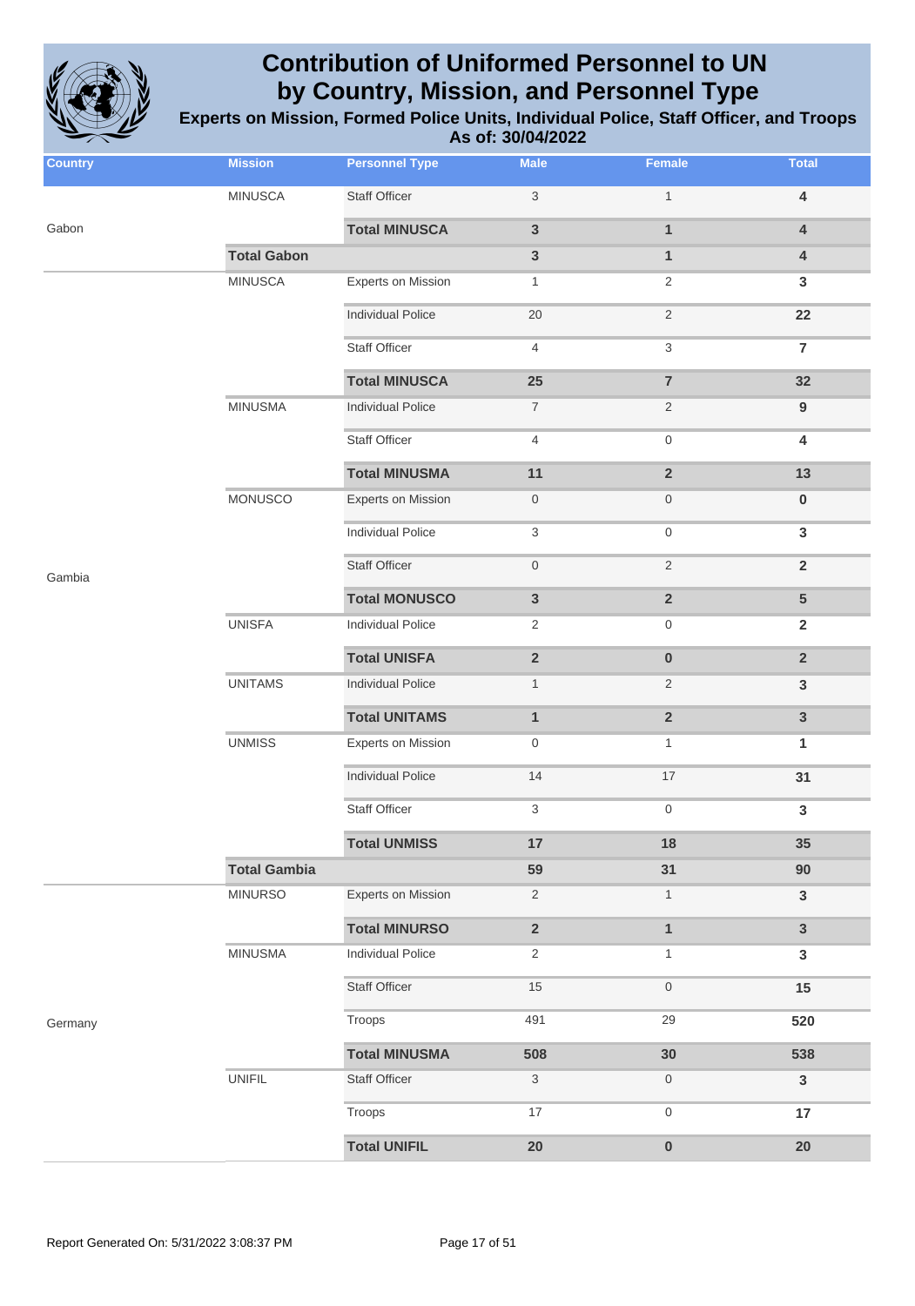

| <b>Country</b> | <b>Mission</b>      | <b>Personnel Type</b>     | <b>Male</b>      | Female                  | <b>Total</b>            |
|----------------|---------------------|---------------------------|------------------|-------------------------|-------------------------|
|                | <b>MINUSCA</b>      | <b>Staff Officer</b>      | 3                | $\mathbf{1}$            | 4                       |
| Gabon          |                     | <b>Total MINUSCA</b>      | $\mathbf{3}$     | $\mathbf{1}$            | $\overline{\mathbf{4}}$ |
|                | <b>Total Gabon</b>  |                           | $\mathbf{3}$     | $\mathbf{1}$            | $\overline{\mathbf{4}}$ |
|                | <b>MINUSCA</b>      | <b>Experts on Mission</b> | 1                | $\overline{2}$          | 3                       |
|                |                     | <b>Individual Police</b>  | 20               | 2                       | 22                      |
|                |                     | <b>Staff Officer</b>      | 4                | 3                       | $\overline{7}$          |
|                |                     | <b>Total MINUSCA</b>      | 25               | $\overline{7}$          | 32                      |
|                | <b>MINUSMA</b>      | <b>Individual Police</b>  | $\boldsymbol{7}$ | $\overline{2}$          | $\boldsymbol{9}$        |
|                |                     | <b>Staff Officer</b>      | 4                | $\mathsf{O}\xspace$     | 4                       |
|                |                     | <b>Total MINUSMA</b>      | 11               | $\overline{\mathbf{2}}$ | 13                      |
|                | MONUSCO             | <b>Experts on Mission</b> | $\overline{0}$   | $\boldsymbol{0}$        | 0                       |
|                |                     | <b>Individual Police</b>  | 3                | $\mathsf{O}\xspace$     | 3                       |
| Gambia         |                     | <b>Staff Officer</b>      | $\mathbf 0$      | $\sqrt{2}$              | $\mathbf 2$             |
|                |                     | <b>Total MONUSCO</b>      | $\mathsf 3$      | $\mathbf 2$             | ${\bf 5}$               |
|                | <b>UNISFA</b>       | <b>Individual Police</b>  | $\overline{2}$   | 0                       | $\overline{\mathbf{2}}$ |
|                |                     | <b>Total UNISFA</b>       | $\mathbf 2$      | $\pmb{0}$               | $\overline{2}$          |
|                | <b>UNITAMS</b>      | <b>Individual Police</b>  | $\mathbf{1}$     | $\overline{c}$          | $\mathsf 3$             |
|                |                     | <b>Total UNITAMS</b>      | $\mathbf{1}$     | $\overline{\mathbf{2}}$ | $\mathbf{3}$            |
|                | <b>UNMISS</b>       | <b>Experts on Mission</b> | 0                | $\mathbf{1}$            | 1                       |
|                |                     | <b>Individual Police</b>  | 14               | 17                      | 31                      |
|                |                     | <b>Staff Officer</b>      | 3                | $\mathsf{O}\xspace$     | 3                       |
|                |                     | <b>Total UNMISS</b>       | 17               | 18                      | 35                      |
|                | <b>Total Gambia</b> |                           | 59               | 31                      | 90                      |
|                | <b>MINURSO</b>      | <b>Experts on Mission</b> | $\sqrt{2}$       | $\mathbf{1}$            | $\mathbf{3}$            |
|                |                     | <b>Total MINURSO</b>      | $\mathbf 2$      | $\mathbf{1}$            | $\mathbf{3}$            |
|                | <b>MINUSMA</b>      | <b>Individual Police</b>  | 2                | 1                       | $\mathbf{3}$            |
|                |                     | Staff Officer             | $15$             | $\boldsymbol{0}$        | 15                      |
| Germany        |                     | Troops                    | 491              | 29                      | 520                     |
|                |                     | <b>Total MINUSMA</b>      | 508              | 30                      | 538                     |
|                | <b>UNIFIL</b>       | Staff Officer             | $\sqrt{3}$       | 0                       | $\mathbf{3}$            |
|                |                     | Troops                    | 17               | $\mathsf{O}\xspace$     | 17                      |
|                |                     | <b>Total UNIFIL</b>       | ${\bf 20}$       | $\pmb{0}$               | $20\,$                  |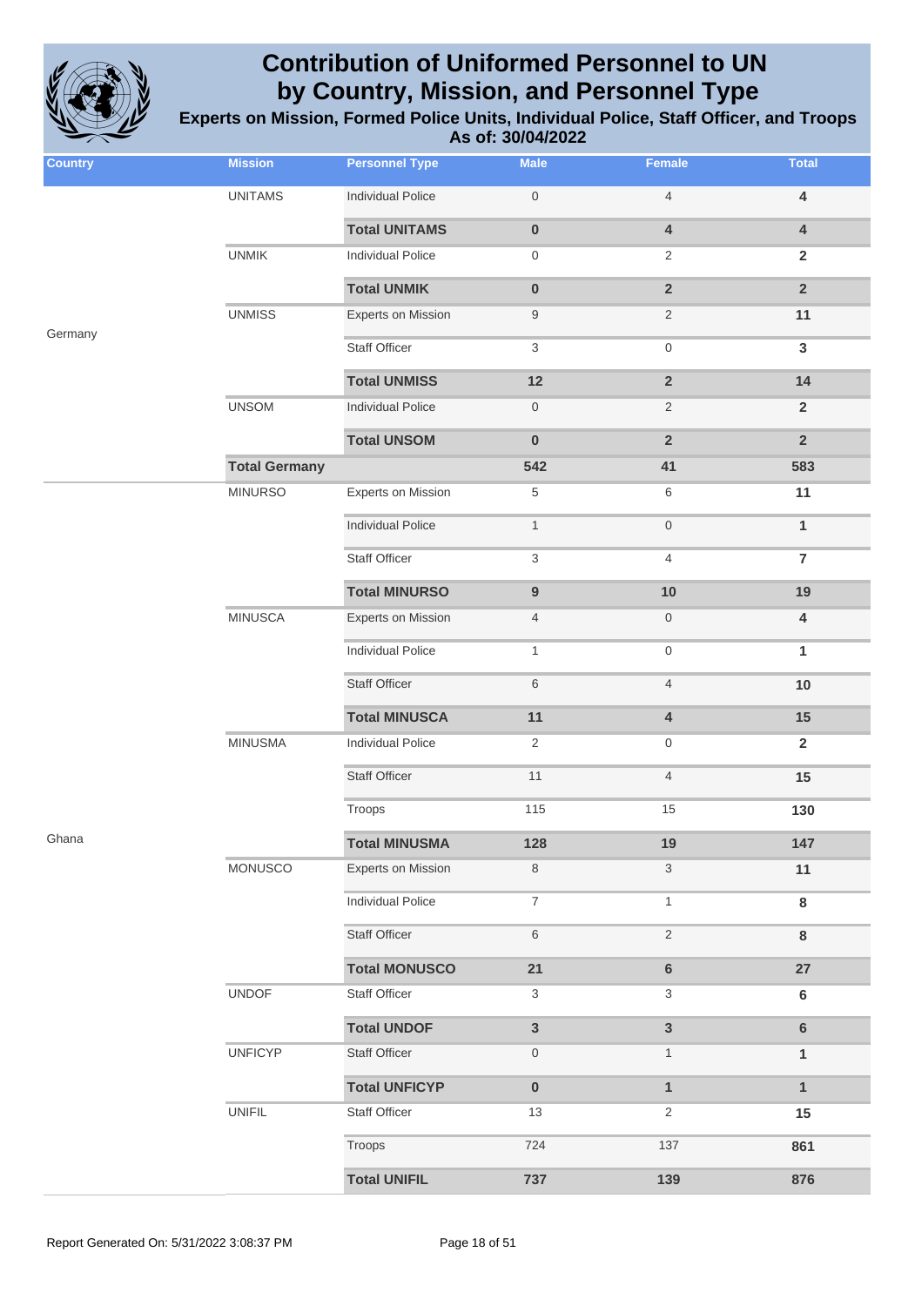

| <b>Country</b> | <b>Mission</b>       | <b>Personnel Type</b>     | <b>Male</b>               | Female                  | <b>Total</b>            |
|----------------|----------------------|---------------------------|---------------------------|-------------------------|-------------------------|
|                | <b>UNITAMS</b>       | <b>Individual Police</b>  | $\mathbf 0$               | $\overline{4}$          | $\overline{\mathbf{4}}$ |
|                |                      | <b>Total UNITAMS</b>      | $\pmb{0}$                 | $\overline{\mathbf{4}}$ | $\pmb{4}$               |
|                | <b>UNMIK</b>         | <b>Individual Police</b>  | $\mathbf 0$               | 2                       | $\mathbf 2$             |
|                |                      | <b>Total UNMIK</b>        | $\pmb{0}$                 | $\overline{2}$          | $\overline{2}$          |
|                | <b>UNMISS</b>        | Experts on Mission        | 9                         | $\overline{2}$          | 11                      |
| Germany        |                      | <b>Staff Officer</b>      | 3                         | $\boldsymbol{0}$        | $\mathbf{3}$            |
|                |                      | <b>Total UNMISS</b>       | 12                        | $\overline{2}$          | 14                      |
|                | <b>UNSOM</b>         | <b>Individual Police</b>  | $\mathbf 0$               | 2                       | $\overline{2}$          |
|                |                      | <b>Total UNSOM</b>        | $\pmb{0}$                 | $\overline{2}$          | $\overline{2}$          |
|                | <b>Total Germany</b> |                           | 542                       | 41                      | 583                     |
|                | <b>MINURSO</b>       | <b>Experts on Mission</b> | $\,$ 5 $\,$               | 6                       | 11                      |
|                |                      | <b>Individual Police</b>  | $\mathbf{1}$              | $\,0\,$                 | $\mathbf{1}$            |
|                |                      | <b>Staff Officer</b>      | $\ensuremath{\mathsf{3}}$ | 4                       | $\overline{7}$          |
|                |                      | <b>Total MINURSO</b>      | $\boldsymbol{9}$          | 10                      | 19                      |
|                | <b>MINUSCA</b>       | <b>Experts on Mission</b> | $\overline{4}$            | $\boldsymbol{0}$        | $\pmb{4}$               |
|                |                      | <b>Individual Police</b>  | $\mathbf{1}$              | $\mathbf 0$             | 1                       |
|                |                      | <b>Staff Officer</b>      | 6                         | $\overline{4}$          | 10                      |
|                |                      | <b>Total MINUSCA</b>      | 11                        | 4                       | 15                      |
|                | <b>MINUSMA</b>       | <b>Individual Police</b>  | 2                         | $\mathbf 0$             | $\overline{2}$          |
|                |                      | <b>Staff Officer</b>      | 11                        | $\overline{4}$          | 15                      |
|                |                      | Troops                    | 115                       | 15                      | 130                     |
| Ghana          |                      | <b>Total MINUSMA</b>      | 128                       | 19                      | 147                     |
|                | MONUSCO              | Experts on Mission        | $\,8\,$                   | 3                       | 11                      |
|                |                      | <b>Individual Police</b>  | $\boldsymbol{7}$          | $\mathbf{1}$            | $\bf8$                  |
|                |                      | <b>Staff Officer</b>      | $\,6\,$                   | $\sqrt{2}$              | $\bf 8$                 |
|                |                      | <b>Total MONUSCO</b>      | 21                        | $\bf 6$                 | 27                      |
|                | <b>UNDOF</b>         | Staff Officer             | $\sqrt{3}$                | 3                       | $\bf 6$                 |
|                |                      | <b>Total UNDOF</b>        | $\mathbf{3}$              | $\mathbf{3}$            | $\bf 6$                 |
|                | <b>UNFICYP</b>       | Staff Officer             | $\boldsymbol{0}$          | $\mathbf{1}$            | 1                       |
|                |                      | <b>Total UNFICYP</b>      | $\pmb{0}$                 | $\mathbf{1}$            | $\mathbf{1}$            |
|                | <b>UNIFIL</b>        | Staff Officer             | 13                        | 2                       | 15                      |
|                |                      | Troops                    | 724                       | 137                     | 861                     |
|                |                      | <b>Total UNIFIL</b>       | 737                       | 139                     | 876                     |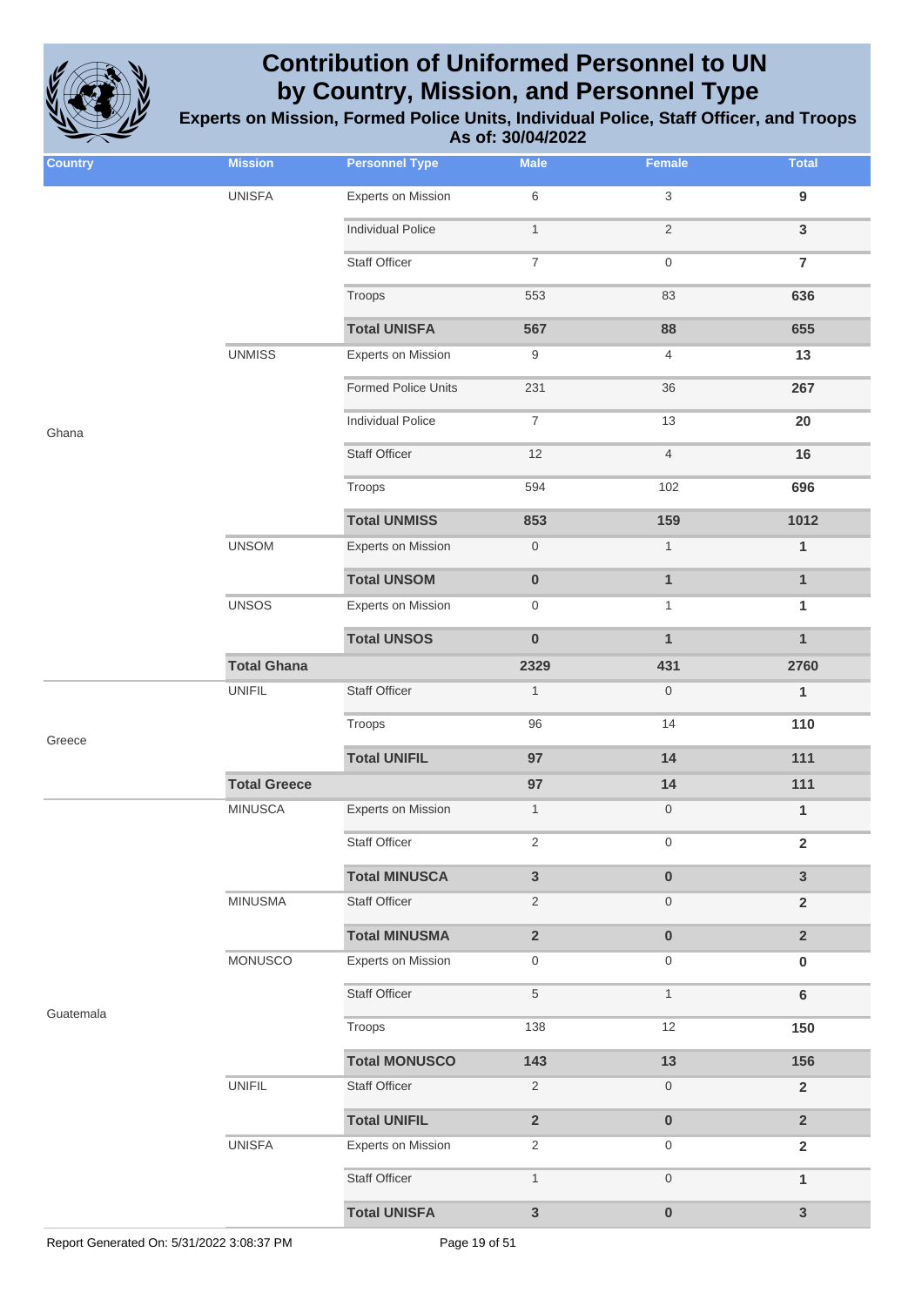

| <b>Country</b> | <b>Mission</b>      | <b>Personnel Type</b>      | <b>Male</b>              | <b>Female</b>    | <b>Total</b>            |
|----------------|---------------------|----------------------------|--------------------------|------------------|-------------------------|
|                | <b>UNISFA</b>       | <b>Experts on Mission</b>  | $\,6$                    | $\mathbf{3}$     | $\boldsymbol{9}$        |
|                |                     | <b>Individual Police</b>   | $\mathbf{1}$             | $\sqrt{2}$       | $\mathbf{3}$            |
|                |                     | <b>Staff Officer</b>       | $\overline{\mathcal{I}}$ | $\boldsymbol{0}$ | $\overline{7}$          |
|                |                     | Troops                     | 553                      | 83               | 636                     |
|                |                     | <b>Total UNISFA</b>        | 567                      | 88               | 655                     |
|                | <b>UNMISS</b>       | <b>Experts on Mission</b>  | 9                        | $\overline{4}$   | 13                      |
|                |                     | <b>Formed Police Units</b> | 231                      | 36               | 267                     |
| Ghana          |                     | <b>Individual Police</b>   | $\overline{7}$           | 13               | 20                      |
|                |                     | <b>Staff Officer</b>       | 12                       | $\overline{4}$   | 16                      |
|                |                     | Troops                     | 594                      | 102              | 696                     |
|                |                     | <b>Total UNMISS</b>        | 853                      | 159              | 1012                    |
|                | <b>UNSOM</b>        | Experts on Mission         | $\boldsymbol{0}$         | $\mathbf{1}$     | $\mathbf{1}$            |
|                |                     | <b>Total UNSOM</b>         | $\pmb{0}$                | $\mathbf{1}$     | $\mathbf{1}$            |
|                | <b>UNSOS</b>        | <b>Experts on Mission</b>  | $\mathbf 0$              | $\mathbf{1}$     | $\mathbf{1}$            |
|                |                     | <b>Total UNSOS</b>         | $\pmb{0}$                | $\mathbf{1}$     | $\mathbf{1}$            |
|                | <b>Total Ghana</b>  |                            | 2329                     | 431              | 2760                    |
|                | <b>UNIFIL</b>       | <b>Staff Officer</b>       | $\mathbf{1}$             | $\mathsf{O}$     | $\mathbf{1}$            |
| Greece         |                     | Troops                     | 96                       | 14               | 110                     |
|                |                     | <b>Total UNIFIL</b>        | 97                       | 14               | 111                     |
|                | <b>Total Greece</b> |                            | 97                       | 14               | 111                     |
|                | <b>MINUSCA</b>      | Experts on Mission         | $\mathbf{1}$             | $\boldsymbol{0}$ | 1                       |
|                |                     | Staff Officer              | 2                        | $\boldsymbol{0}$ | $\overline{\mathbf{2}}$ |
|                |                     | <b>Total MINUSCA</b>       | $\mathbf{3}$             | $\pmb{0}$        | $\overline{3}$          |
|                | <b>MINUSMA</b>      | Staff Officer              | $\overline{2}$           | $\boldsymbol{0}$ | $\overline{2}$          |
|                |                     | <b>Total MINUSMA</b>       | $\mathbf 2$              | $\pmb{0}$        | $\overline{2}$          |
|                | MONUSCO             | <b>Experts on Mission</b>  | $\boldsymbol{0}$         | $\mathbf 0$      | 0                       |
|                |                     | <b>Staff Officer</b>       | 5                        | $\mathbf{1}$     | 6                       |
| Guatemala      |                     | Troops                     | 138                      | 12               | 150                     |
|                |                     | <b>Total MONUSCO</b>       | 143                      | 13               | 156                     |
|                | <b>UNIFIL</b>       | Staff Officer              | $\sqrt{2}$               | $\mathsf{O}$     | $\overline{2}$          |
|                |                     | <b>Total UNIFIL</b>        | $\overline{2}$           | $\pmb{0}$        | $\overline{2}$          |
|                | <b>UNISFA</b>       | <b>Experts on Mission</b>  | $\overline{2}$           | $\mathbf 0$      | $\overline{2}$          |
|                |                     | <b>Staff Officer</b>       | $\mathbf{1}$             | $\,0\,$          | $\mathbf{1}$            |
|                |                     | <b>Total UNISFA</b>        | $\mathbf{3}$             | $\pmb{0}$        | 3                       |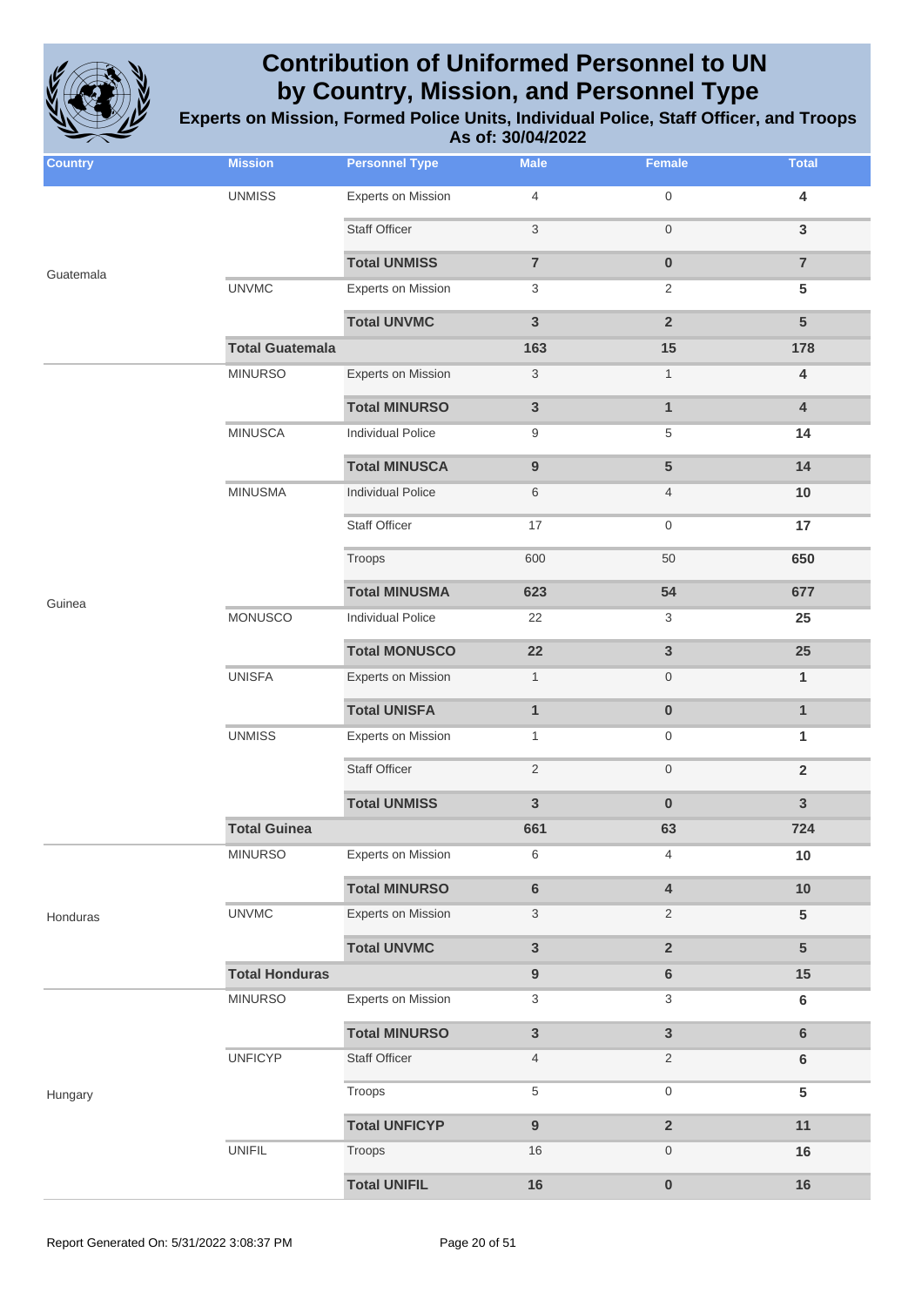

| <b>Country</b> | <b>Mission</b>         | <b>Personnel Type</b>     | <b>Male</b>               | Female                  | <b>Total</b>            |
|----------------|------------------------|---------------------------|---------------------------|-------------------------|-------------------------|
|                | <b>UNMISS</b>          | <b>Experts on Mission</b> | $\overline{4}$            | $\boldsymbol{0}$        | $\overline{\mathbf{4}}$ |
|                |                        | <b>Staff Officer</b>      | 3                         | $\boldsymbol{0}$        | $\mathbf{3}$            |
| Guatemala      |                        | <b>Total UNMISS</b>       | $\overline{7}$            | $\pmb{0}$               | $\overline{7}$          |
|                | <b>UNVMC</b>           | <b>Experts on Mission</b> | 3                         | $\overline{2}$          | $5\phantom{.0}$         |
|                |                        | <b>Total UNVMC</b>        | 3                         | $\overline{2}$          | $5\phantom{1}$          |
|                | <b>Total Guatemala</b> |                           | 163                       | 15                      | 178                     |
|                | <b>MINURSO</b>         | <b>Experts on Mission</b> | $\ensuremath{\mathsf{3}}$ | $\mathbf{1}$            | $\overline{\mathbf{4}}$ |
|                |                        | <b>Total MINURSO</b>      | $\mathbf{3}$              | $\mathbf{1}$            | $\overline{4}$          |
|                | <b>MINUSCA</b>         | <b>Individual Police</b>  | 9                         | 5                       | 14                      |
|                |                        | <b>Total MINUSCA</b>      | $\boldsymbol{9}$          | 5                       | 14                      |
|                | <b>MINUSMA</b>         | <b>Individual Police</b>  | 6                         | $\overline{4}$          | $10$                    |
|                |                        | <b>Staff Officer</b>      | 17                        | $\boldsymbol{0}$        | 17                      |
|                |                        | Troops                    | 600                       | 50                      | 650                     |
| Guinea         |                        | <b>Total MINUSMA</b>      | 623                       | 54                      | 677                     |
|                | <b>MONUSCO</b>         | <b>Individual Police</b>  | 22                        | 3                       | 25                      |
|                |                        | <b>Total MONUSCO</b>      | 22                        | $\mathbf{3}$            | 25                      |
|                | <b>UNISFA</b>          | <b>Experts on Mission</b> | $\mathbf{1}$              | $\boldsymbol{0}$        | $\mathbf{1}$            |
|                |                        | <b>Total UNISFA</b>       | $\mathbf{1}$              | $\pmb{0}$               | $\mathbf{1}$            |
|                | <b>UNMISS</b>          | <b>Experts on Mission</b> | $\mathbf{1}$              | $\boldsymbol{0}$        | 1                       |
|                |                        | <b>Staff Officer</b>      | $\overline{2}$            | $\mathsf{O}\xspace$     | $\overline{2}$          |
|                |                        | <b>Total UNMISS</b>       | $\mathbf{3}$              | $\pmb{0}$               | $\mathbf{3}$            |
|                | <b>Total Guinea</b>    |                           | 661                       | 63                      | 724                     |
|                | <b>MINURSO</b>         | <b>Experts on Mission</b> | 6                         | 4                       | 10                      |
|                |                        | <b>Total MINURSO</b>      | $\bf 6$                   | $\overline{\mathbf{4}}$ | 10                      |
| Honduras       | <b>UNVMC</b>           | <b>Experts on Mission</b> | $\ensuremath{\mathsf{3}}$ | $\overline{2}$          | $5\phantom{.0}$         |
|                |                        | <b>Total UNVMC</b>        | $\mathbf{3}$              | $\mathbf 2$             | $5\phantom{.0}$         |
|                | <b>Total Honduras</b>  |                           | $\boldsymbol{9}$          | $\bf 6$                 | 15                      |
|                | <b>MINURSO</b>         | <b>Experts on Mission</b> | $\ensuremath{\mathsf{3}}$ | 3                       | $6\phantom{1}$          |
|                |                        | <b>Total MINURSO</b>      | $\mathsf 3$               | $\mathbf{3}$            | $\bf 6$                 |
|                | <b>UNFICYP</b>         | <b>Staff Officer</b>      | 4                         | $\overline{2}$          | $\bf 6$                 |
| Hungary        |                        | Troops                    | $\,$ 5 $\,$               | $\mathsf{O}\xspace$     | $5\phantom{.0}$         |
|                |                        | <b>Total UNFICYP</b>      | $\overline{9}$            | $\overline{2}$          | 11                      |
|                | <b>UNIFIL</b>          | Troops                    | 16                        | $\boldsymbol{0}$        | 16                      |
|                |                        | <b>Total UNIFIL</b>       | 16                        | $\pmb{0}$               | 16                      |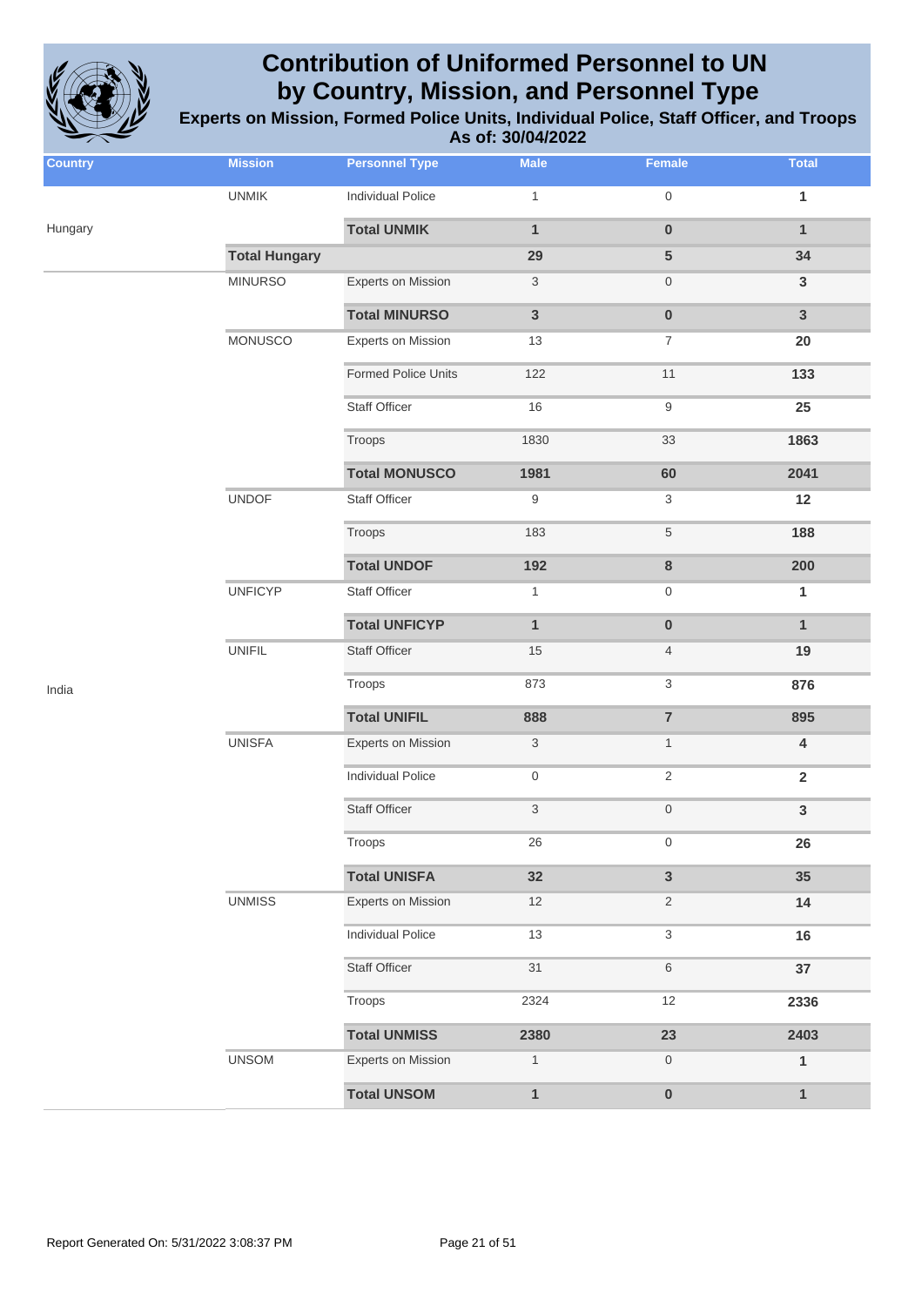

| <b>Country</b> | <b>Mission</b>       | <b>Personnel Type</b>      | <b>Male</b>               | <b>Female</b>    | <b>Total</b>            |
|----------------|----------------------|----------------------------|---------------------------|------------------|-------------------------|
|                | <b>UNMIK</b>         | <b>Individual Police</b>   | $\mathbf{1}$              | 0                | 1                       |
| Hungary        |                      | <b>Total UNMIK</b>         | $\mathbf{1}$              | $\bf{0}$         | $\mathbf{1}$            |
|                | <b>Total Hungary</b> |                            | 29                        | 5                | 34                      |
|                | <b>MINURSO</b>       | <b>Experts on Mission</b>  | 3                         | 0                | $\mathbf{3}$            |
|                |                      | <b>Total MINURSO</b>       | $\mathbf{3}$              | $\pmb{0}$        | $\mathbf{3}$            |
|                | <b>MONUSCO</b>       | <b>Experts on Mission</b>  | 13                        | 7                | 20                      |
|                |                      | <b>Formed Police Units</b> | 122                       | 11               | 133                     |
|                |                      | <b>Staff Officer</b>       | 16                        | 9                | 25                      |
|                |                      | Troops                     | 1830                      | 33               | 1863                    |
|                |                      | <b>Total MONUSCO</b>       | 1981                      | 60               | 2041                    |
|                | <b>UNDOF</b>         | Staff Officer              | 9                         | 3                | 12                      |
|                |                      | Troops                     | 183                       | 5                | 188                     |
|                |                      | <b>Total UNDOF</b>         | 192                       | $\bf8$           | 200                     |
|                | <b>UNFICYP</b>       | Staff Officer              | $\mathbf{1}$              | 0                | 1                       |
|                |                      | <b>Total UNFICYP</b>       | $\mathbf{1}$              | $\bf{0}$         | $\mathbf{1}$            |
|                | <b>UNIFIL</b>        | <b>Staff Officer</b>       | 15                        | $\overline{4}$   | 19                      |
| India          |                      | Troops                     | 873                       | 3                | 876                     |
|                |                      | <b>Total UNIFIL</b>        | 888                       | $\overline{7}$   | 895                     |
|                | <b>UNISFA</b>        | <b>Experts on Mission</b>  | $\ensuremath{\mathsf{3}}$ | $\mathbf{1}$     | $\overline{\mathbf{4}}$ |
|                |                      | <b>Individual Police</b>   | 0                         | 2                | $\mathbf 2$             |
|                |                      | <b>Staff Officer</b>       | $\sqrt{3}$                | $\boldsymbol{0}$ | $\mathbf{3}$            |
|                |                      | Troops                     | 26                        | 0                | 26                      |
|                |                      | <b>Total UNISFA</b>        | 32                        | $\mathbf{3}$     | 35                      |
|                | <b>UNMISS</b>        | <b>Experts on Mission</b>  | 12                        | $\overline{2}$   | 14                      |
|                |                      | <b>Individual Police</b>   | 13                        | 3                | 16                      |
|                |                      | <b>Staff Officer</b>       | 31                        | 6                | 37                      |
|                |                      | Troops                     | 2324                      | 12               | 2336                    |
|                |                      | <b>Total UNMISS</b>        | 2380                      | 23               | 2403                    |
|                | <b>UNSOM</b>         | <b>Experts on Mission</b>  | $\mathbf{1}$              | 0                | $\mathbf{1}$            |
|                |                      | <b>Total UNSOM</b>         | $\mathbf{1}$              | $\pmb{0}$        | $\mathbf{1}$            |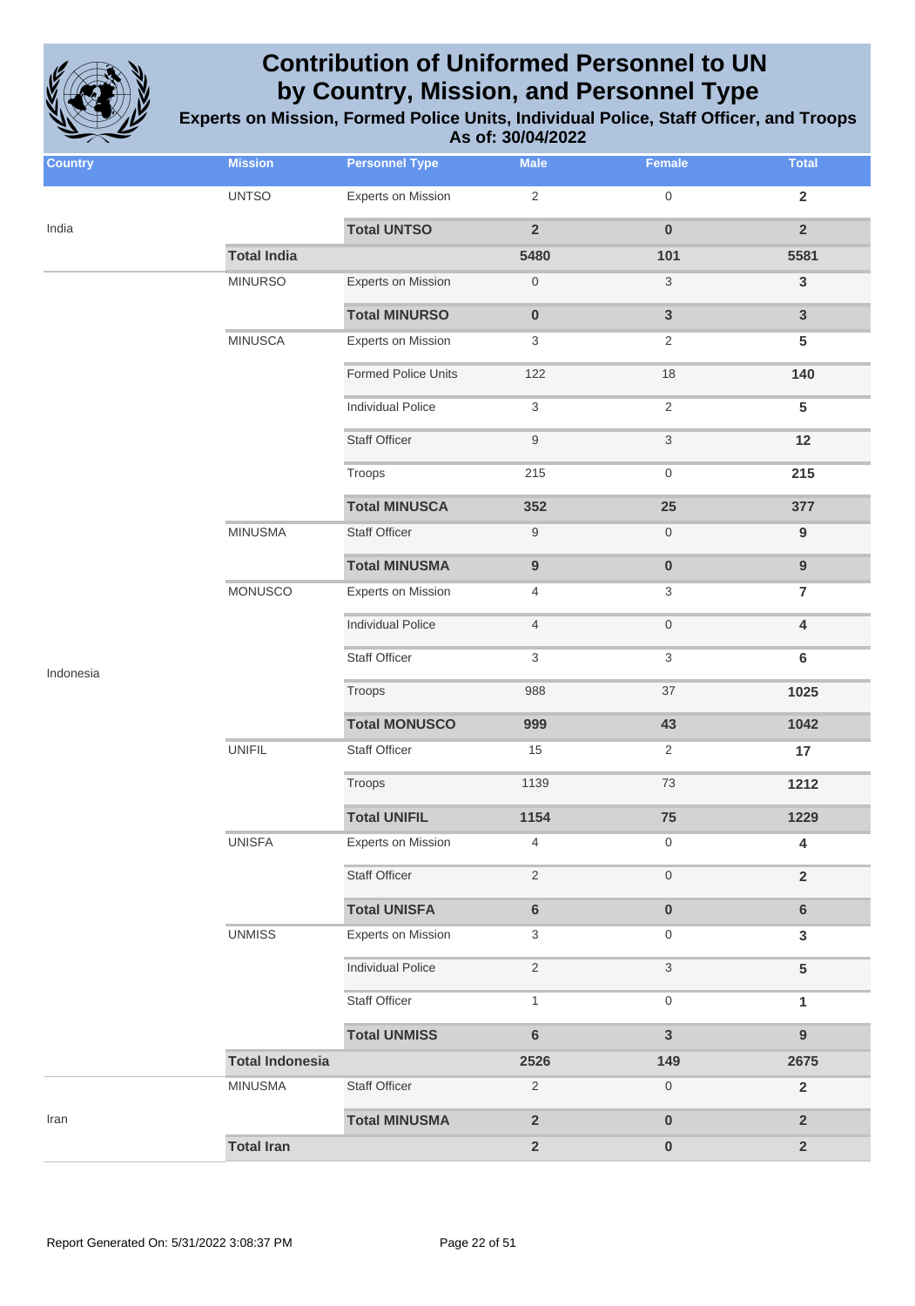

| <b>Country</b> | <b>Mission</b>         | <b>Personnel Type</b>      | <b>Male</b>      | Female                    | <b>Total</b>            |
|----------------|------------------------|----------------------------|------------------|---------------------------|-------------------------|
|                | <b>UNTSO</b>           | Experts on Mission         | $\overline{2}$   | $\mathsf{O}\xspace$       | $\overline{\mathbf{2}}$ |
| India          |                        | <b>Total UNTSO</b>         | $\overline{2}$   | $\pmb{0}$                 | $\overline{2}$          |
|                | <b>Total India</b>     |                            | 5480             | 101                       | 5581                    |
|                | <b>MINURSO</b>         | <b>Experts on Mission</b>  | 0                | 3                         | $\mathsf 3$             |
|                |                        | <b>Total MINURSO</b>       | $\pmb{0}$        | $\mathbf{3}$              | $\mathbf{3}$            |
|                | <b>MINUSCA</b>         | <b>Experts on Mission</b>  | 3                | 2                         | 5                       |
|                |                        | <b>Formed Police Units</b> | 122              | 18                        | 140                     |
|                |                        | <b>Individual Police</b>   | 3                | $\overline{2}$            | 5                       |
|                |                        | <b>Staff Officer</b>       | $\boldsymbol{9}$ | $\ensuremath{\mathsf{3}}$ | 12                      |
|                |                        | Troops                     | 215              | $\mathsf{O}\xspace$       | 215                     |
|                |                        | <b>Total MINUSCA</b>       | 352              | 25                        | 377                     |
|                | <b>MINUSMA</b>         | <b>Staff Officer</b>       | $\boldsymbol{9}$ | $\mathsf{O}\xspace$       | $\boldsymbol{9}$        |
|                |                        | <b>Total MINUSMA</b>       | $\boldsymbol{9}$ | $\pmb{0}$                 | $\boldsymbol{9}$        |
|                | <b>MONUSCO</b>         | <b>Experts on Mission</b>  | 4                | 3                         | $\overline{7}$          |
|                |                        | <b>Individual Police</b>   | $\overline{4}$   | $\mathsf{O}\xspace$       | 4                       |
| Indonesia      |                        | <b>Staff Officer</b>       | 3                | 3                         | 6                       |
|                |                        | Troops                     | 988              | 37                        | 1025                    |
|                |                        | <b>Total MONUSCO</b>       | 999              | 43                        | 1042                    |
|                | <b>UNIFIL</b>          | <b>Staff Officer</b>       | 15               | 2                         | 17                      |
|                |                        | Troops                     | 1139             | 73                        | 1212                    |
|                |                        | <b>Total UNIFIL</b>        | 1154             | 75                        | 1229                    |
|                | <b>UNISFA</b>          | <b>Experts on Mission</b>  | 4                | 0                         | 4                       |
|                |                        | Staff Officer              | 2                | $\mathbf 0$               | $\overline{\mathbf{2}}$ |
|                |                        | <b>Total UNISFA</b>        | $6\phantom{a}$   | $\pmb{0}$                 | $6\phantom{1}$          |
|                | <b>UNMISS</b>          | <b>Experts on Mission</b>  | 3                | 0                         | $\mathbf{3}$            |
|                |                        | <b>Individual Police</b>   | $\mathbf{2}$     | 3                         | 5                       |
|                |                        | Staff Officer              | $\mathbf{1}$     | 0                         | 1                       |
|                |                        | <b>Total UNMISS</b>        | $\bf 6$          | $\mathbf{3}$              | $\overline{9}$          |
|                | <b>Total Indonesia</b> |                            | 2526             | 149                       | 2675                    |
|                | <b>MINUSMA</b>         | Staff Officer              | $\overline{2}$   | $\boldsymbol{0}$          | $\overline{2}$          |
| Iran           |                        | <b>Total MINUSMA</b>       | $\mathbf 2$      | $\pmb{0}$                 | $\overline{2}$          |
|                | <b>Total Iran</b>      |                            | $\mathbf 2$      | $\pmb{0}$                 | $\mathbf 2$             |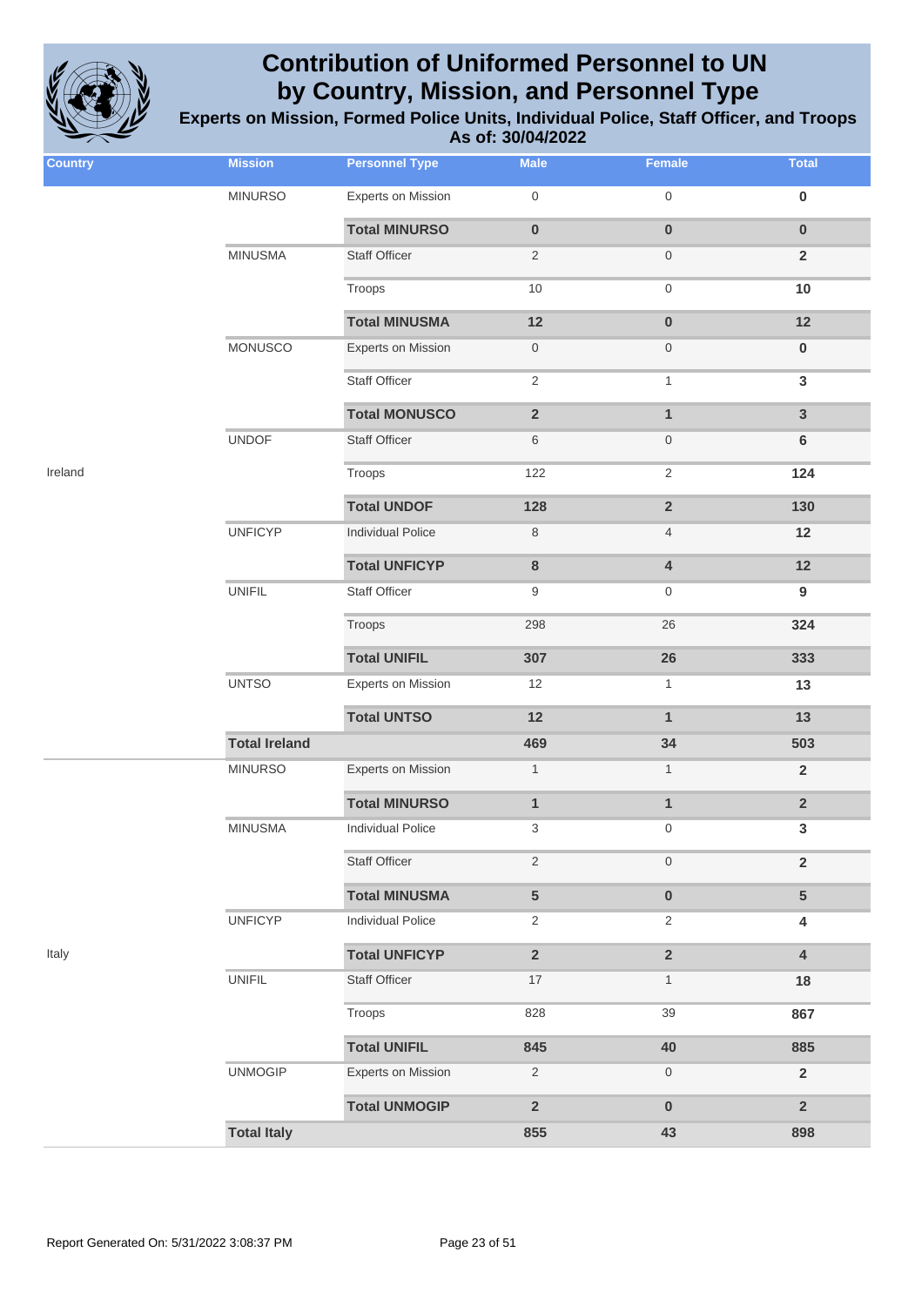

| <b>Country</b> | <b>Mission</b>       | <b>Personnel Type</b>     | <b>Male</b>         | Female                  | <b>Total</b>            |
|----------------|----------------------|---------------------------|---------------------|-------------------------|-------------------------|
|                | <b>MINURSO</b>       | <b>Experts on Mission</b> | $\mathsf{O}\xspace$ | $\mathsf{O}\xspace$     | $\pmb{0}$               |
|                |                      | <b>Total MINURSO</b>      | $\pmb{0}$           | $\pmb{0}$               | $\pmb{0}$               |
|                | <b>MINUSMA</b>       | <b>Staff Officer</b>      | $\overline{2}$      | $\boldsymbol{0}$        | $\overline{\mathbf{2}}$ |
|                |                      | Troops                    | $10$                | $\mathsf{O}\xspace$     | 10                      |
|                |                      | <b>Total MINUSMA</b>      | 12                  | $\pmb{0}$               | 12                      |
|                | <b>MONUSCO</b>       | <b>Experts on Mission</b> | $\boldsymbol{0}$    | $\boldsymbol{0}$        | $\pmb{0}$               |
|                |                      | <b>Staff Officer</b>      | $\sqrt{2}$          | $\mathbf{1}$            | $\mathbf{3}$            |
|                |                      | <b>Total MONUSCO</b>      | $\mathbf 2$         | $\mathbf{1}$            | $\mathbf{3}$            |
|                | <b>UNDOF</b>         | <b>Staff Officer</b>      | $\,6$               | $\boldsymbol{0}$        | $\bf 6$                 |
| Ireland        |                      | Troops                    | 122                 | $\sqrt{2}$              | 124                     |
|                |                      | <b>Total UNDOF</b>        | 128                 | $\overline{\mathbf{2}}$ | 130                     |
|                | <b>UNFICYP</b>       | <b>Individual Police</b>  | $\,8\,$             | $\overline{4}$          | 12                      |
|                |                      | <b>Total UNFICYP</b>      | 8                   | $\overline{\mathbf{4}}$ | 12                      |
|                | <b>UNIFIL</b>        | <b>Staff Officer</b>      | 9                   | $\boldsymbol{0}$        | $\boldsymbol{9}$        |
|                |                      | Troops                    | 298                 | 26                      | 324                     |
|                |                      | <b>Total UNIFIL</b>       | 307                 | 26                      | 333                     |
|                | <b>UNTSO</b>         | <b>Experts on Mission</b> | 12                  | $\mathbf{1}$            | 13                      |
|                |                      | <b>Total UNTSO</b>        | 12                  | $\mathbf{1}$            | 13                      |
|                | <b>Total Ireland</b> |                           | 469                 | 34                      | 503                     |
|                | <b>MINURSO</b>       | Experts on Mission        | $\mathbf{1}$        | $\mathbf{1}$            | $\overline{\mathbf{2}}$ |
|                |                      | <b>Total MINURSO</b>      | $\mathbf{1}$        | $\mathbf{1}$            | $\overline{\mathbf{2}}$ |
|                | <b>MINUSMA</b>       | <b>Individual Police</b>  | 3                   | $\boldsymbol{0}$        | $\mathbf{3}$            |
|                |                      | <b>Staff Officer</b>      | $\sqrt{2}$          | $\mathbf 0$             | $\overline{2}$          |
|                |                      | <b>Total MINUSMA</b>      | 5                   | $\pmb{0}$               | $5\phantom{.}$          |
|                | <b>UNFICYP</b>       | <b>Individual Police</b>  | $\overline{2}$      | 2                       | 4                       |
| Italy          |                      | <b>Total UNFICYP</b>      | $\overline{2}$      | $\overline{2}$          | $\overline{\mathbf{4}}$ |
|                | <b>UNIFIL</b>        | <b>Staff Officer</b>      | $17\,$              | $\mathbf{1}$            | 18                      |
|                |                      | Troops                    | 828                 | 39                      | 867                     |
|                |                      | <b>Total UNIFIL</b>       | 845                 | 40                      | 885                     |
|                | <b>UNMOGIP</b>       | <b>Experts on Mission</b> | $\overline{2}$      | $\boldsymbol{0}$        | $\overline{2}$          |
|                |                      | <b>Total UNMOGIP</b>      | $\overline{2}$      | $\pmb{0}$               | $\overline{2}$          |
|                | <b>Total Italy</b>   |                           | 855                 | 43                      | 898                     |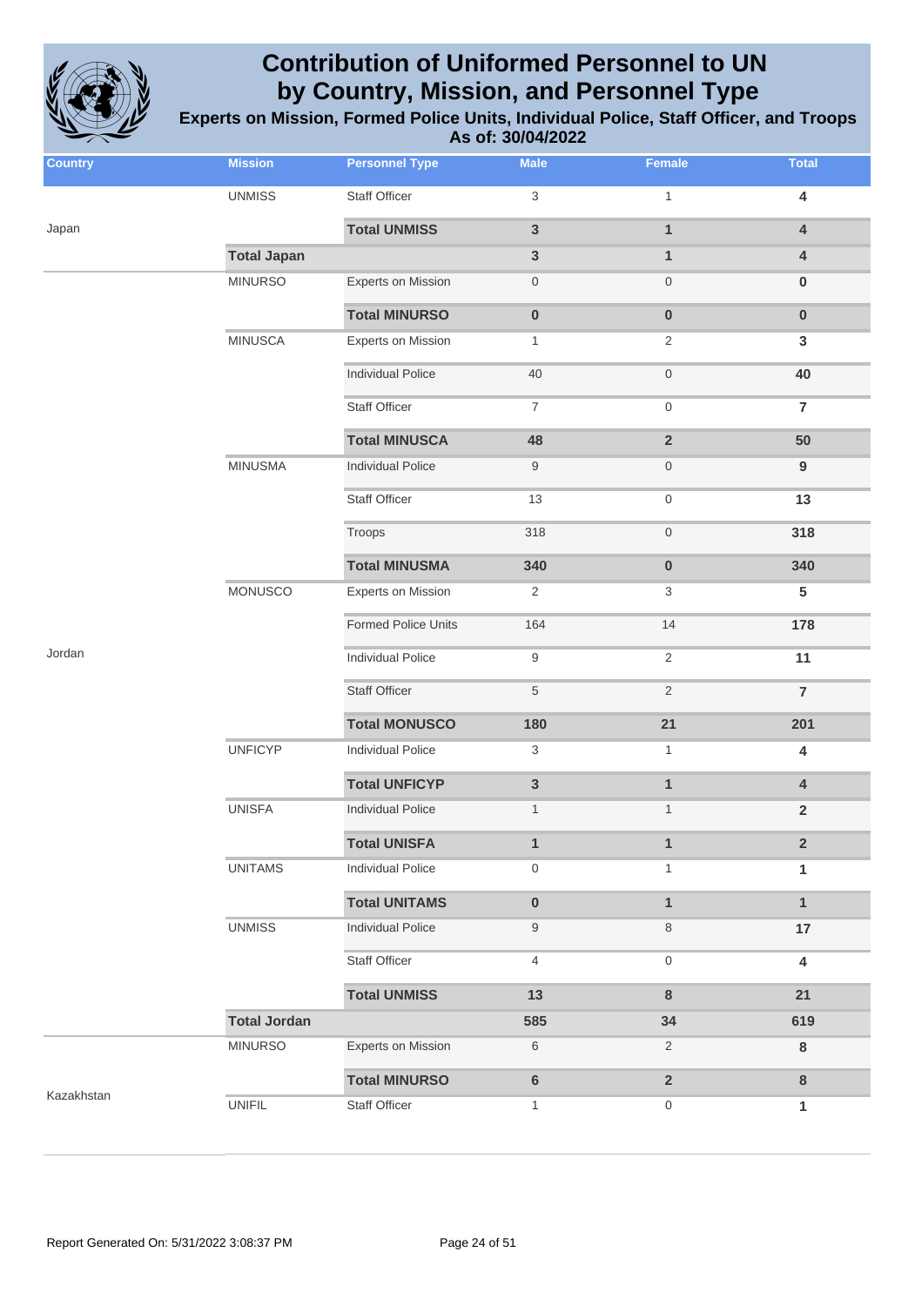

| <b>Country</b> | <b>Mission</b>      | <b>Personnel Type</b>      | <b>Male</b>      | <b>Female</b>       | <b>Total</b>            |
|----------------|---------------------|----------------------------|------------------|---------------------|-------------------------|
|                | <b>UNMISS</b>       | Staff Officer              | 3                | $\mathbf{1}$        | $\overline{\mathbf{4}}$ |
| Japan          |                     | <b>Total UNMISS</b>        | 3                | $\mathbf{1}$        | $\pmb{4}$               |
|                | <b>Total Japan</b>  |                            | 3                | $\mathbf{1}$        | $\overline{4}$          |
|                | <b>MINURSO</b>      | <b>Experts on Mission</b>  | 0                | $\boldsymbol{0}$    | $\bf{0}$                |
|                |                     | <b>Total MINURSO</b>       | $\boldsymbol{0}$ | $\pmb{0}$           | $\pmb{0}$               |
|                | <b>MINUSCA</b>      | <b>Experts on Mission</b>  | $\mathbf{1}$     | $\overline{2}$      | $\mathbf{3}$            |
|                |                     | <b>Individual Police</b>   | 40               | $\mathsf{O}\xspace$ | 40                      |
|                |                     | <b>Staff Officer</b>       | 7                | $\boldsymbol{0}$    | $\overline{7}$          |
|                |                     | <b>Total MINUSCA</b>       | 48               | $\overline{2}$      | 50                      |
|                | <b>MINUSMA</b>      | <b>Individual Police</b>   | 9                | $\boldsymbol{0}$    | $\boldsymbol{9}$        |
|                |                     | <b>Staff Officer</b>       | 13               | $\boldsymbol{0}$    | 13                      |
|                |                     | Troops                     | 318              | $\mathsf{O}\xspace$ | 318                     |
|                |                     | <b>Total MINUSMA</b>       | 340              | $\pmb{0}$           | 340                     |
|                | <b>MONUSCO</b>      | <b>Experts on Mission</b>  | 2                | 3                   | ${\bf 5}$               |
|                |                     | <b>Formed Police Units</b> | 164              | 14                  | 178                     |
| Jordan         |                     | Individual Police          | 9                | $\sqrt{2}$          | 11                      |
|                |                     | <b>Staff Officer</b>       | 5                | $\sqrt{2}$          | $\overline{7}$          |
|                |                     | <b>Total MONUSCO</b>       | 180              | 21                  | 201                     |
|                | <b>UNFICYP</b>      | Individual Police          | 3                | $\mathbf{1}$        | $\overline{\mathbf{4}}$ |
|                |                     | <b>Total UNFICYP</b>       | 3                | $\mathbf{1}$        | $\overline{4}$          |
|                | <b>UNISFA</b>       | <b>Individual Police</b>   | $\mathbf{1}$     | $\mathbf{1}$        | $\mathbf 2$             |
|                |                     | <b>Total UNISFA</b>        | 1                | $\mathbf{1}$        | $\overline{2}$          |
|                | <b>UNITAMS</b>      | <b>Individual Police</b>   | 0                | 1                   | 1                       |
|                |                     | <b>Total UNITAMS</b>       | $\pmb{0}$        | $\mathbf{1}$        | $\mathbf{1}$            |
|                | <b>UNMISS</b>       | <b>Individual Police</b>   | 9                | 8                   | 17                      |
|                |                     | Staff Officer              | 4                | $\boldsymbol{0}$    | $\overline{\mathbf{4}}$ |
|                |                     | <b>Total UNMISS</b>        | 13               | $\bf 8$             | 21                      |
|                | <b>Total Jordan</b> |                            | 585              | 34                  | 619                     |
|                | <b>MINURSO</b>      | <b>Experts on Mission</b>  | 6                | $\overline{2}$      | ${\bf 8}$               |
| Kazakhstan     |                     | <b>Total MINURSO</b>       | 6                | $\overline{2}$      | $\bf 8$                 |
|                | <b>UNIFIL</b>       | <b>Staff Officer</b>       | 1                | $\boldsymbol{0}$    | 1                       |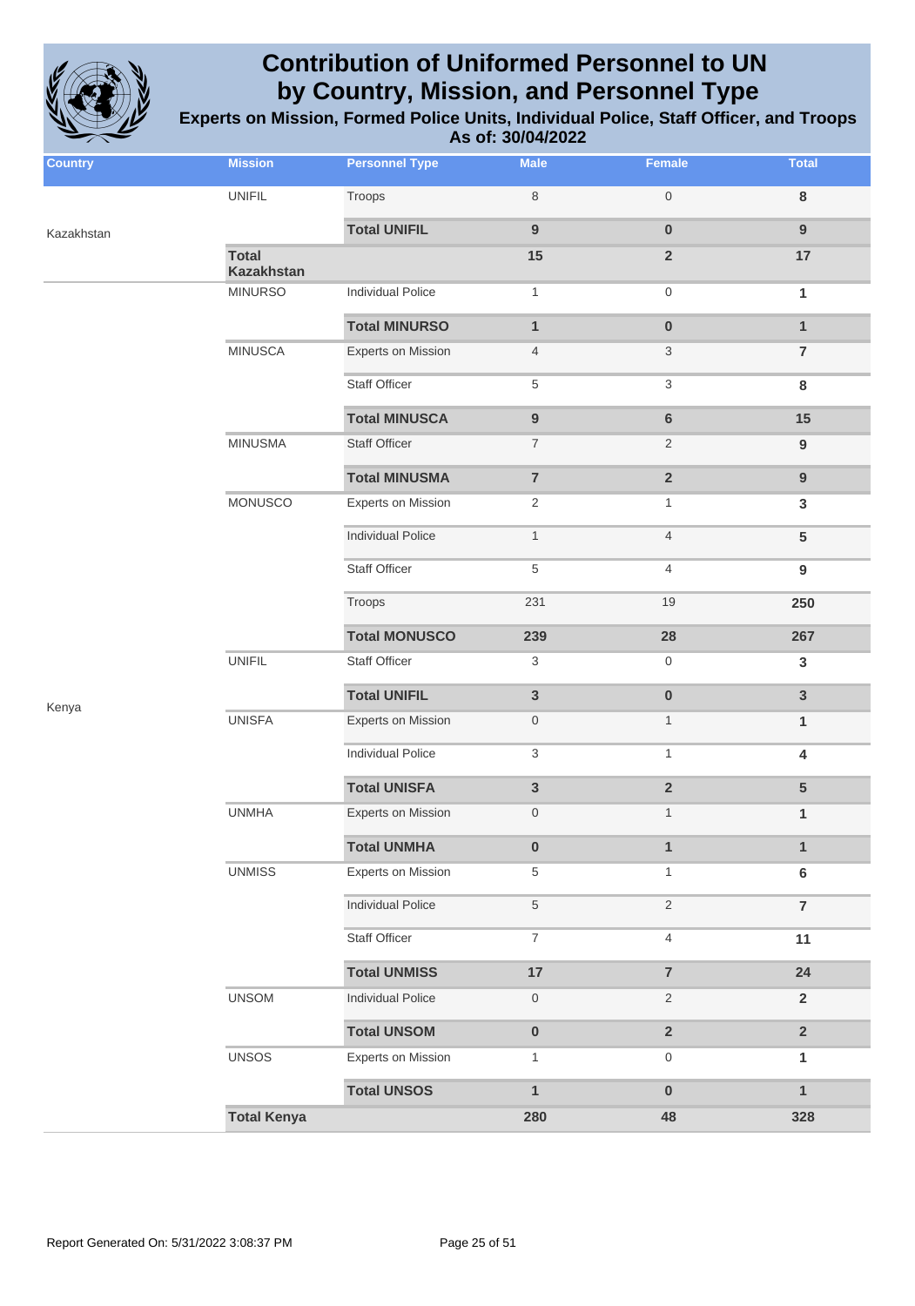

| <b>Country</b> | <b>Mission</b>                    | <b>Personnel Type</b>    | <b>Male</b>         | Female                    | <b>Total</b>            |
|----------------|-----------------------------------|--------------------------|---------------------|---------------------------|-------------------------|
|                | <b>UNIFIL</b>                     | Troops                   | $\,8\,$             | $\mathsf{O}\xspace$       | $\bf8$                  |
| Kazakhstan     |                                   | <b>Total UNIFIL</b>      | $\boldsymbol{9}$    | $\pmb{0}$                 | $\boldsymbol{9}$        |
|                | <b>Total</b><br><b>Kazakhstan</b> |                          | 15                  | $\mathbf 2$               | $17$                    |
|                | <b>MINURSO</b>                    | <b>Individual Police</b> | $\mathbf{1}$        | $\mathsf{O}\xspace$       | 1                       |
|                |                                   | <b>Total MINURSO</b>     | $\mathbf{1}$        | $\pmb{0}$                 | $\mathbf{1}$            |
|                | <b>MINUSCA</b>                    | Experts on Mission       | $\overline{4}$      | $\ensuremath{\mathsf{3}}$ | $\bf 7$                 |
|                |                                   | <b>Staff Officer</b>     | $\,$ 5 $\,$         | $\ensuremath{\mathsf{3}}$ | $\bf8$                  |
|                |                                   | <b>Total MINUSCA</b>     | $\boldsymbol{9}$    | $\bf 6$                   | 15                      |
|                | <b>MINUSMA</b>                    | <b>Staff Officer</b>     | $\boldsymbol{7}$    | $\sqrt{2}$                | $\boldsymbol{9}$        |
|                |                                   | <b>Total MINUSMA</b>     | $\overline{7}$      | $\overline{2}$            | $\boldsymbol{9}$        |
|                | MONUSCO                           | Experts on Mission       | $\sqrt{2}$          | $\mathbf{1}$              | 3                       |
|                |                                   | <b>Individual Police</b> | $\mathbf{1}$        | $\overline{4}$            | 5                       |
|                |                                   | <b>Staff Officer</b>     | $\,$ 5 $\,$         | 4                         | $\boldsymbol{9}$        |
|                |                                   | Troops                   | 231                 | 19                        | 250                     |
|                |                                   | <b>Total MONUSCO</b>     | 239                 | 28                        | 267                     |
|                | <b>UNIFIL</b>                     | Staff Officer            | $\sqrt{3}$          | $\,0\,$                   | 3                       |
| Kenya          |                                   | <b>Total UNIFIL</b>      | $\mathbf{3}$        | $\pmb{0}$                 | 3                       |
|                | <b>UNISFA</b>                     | Experts on Mission       | $\mathsf{O}\xspace$ | $\mathbf{1}$              | $\mathbf{1}$            |
|                |                                   | <b>Individual Police</b> | $\sqrt{3}$          | $\mathbf{1}$              | $\overline{\mathbf{4}}$ |
|                |                                   | <b>Total UNISFA</b>      | $\mathbf{3}$        | $\mathbf 2$               | 5                       |
|                | <b>UNMHA</b>                      | Experts on Mission       | $\boldsymbol{0}$    | $\mathbf{1}$              | 1                       |
|                |                                   | <b>Total UNMHA</b>       | $\mathbf 0$         | $\mathbf{1}$              | $\mathbf{1}$            |
|                | <b>UNMISS</b>                     | Experts on Mission       | $\,$ 5 $\,$         | $\mathbf{1}$              | $\bf 6$                 |
|                |                                   | <b>Individual Police</b> | $\sqrt{5}$          | $\sqrt{2}$                | $\overline{7}$          |
|                |                                   | Staff Officer            | $\overline{7}$      | $\overline{4}$            | 11                      |
|                |                                   | <b>Total UNMISS</b>      | 17                  | $\overline{\mathbf{7}}$   | 24                      |
|                | <b>UNSOM</b>                      | <b>Individual Police</b> | $\mathsf{O}\xspace$ | $\sqrt{2}$                | $\mathbf 2$             |
|                |                                   | <b>Total UNSOM</b>       | $\pmb{0}$           | $\overline{2}$            | $\mathbf 2$             |
|                | <b>UNSOS</b>                      | Experts on Mission       | $\mathbf{1}$        | $\mathsf{O}\xspace$       | 1                       |
|                |                                   | <b>Total UNSOS</b>       | $\mathbf{1}$        | $\pmb{0}$                 | $\mathbf{1}$            |
|                | <b>Total Kenya</b>                |                          | 280                 | 48                        | 328                     |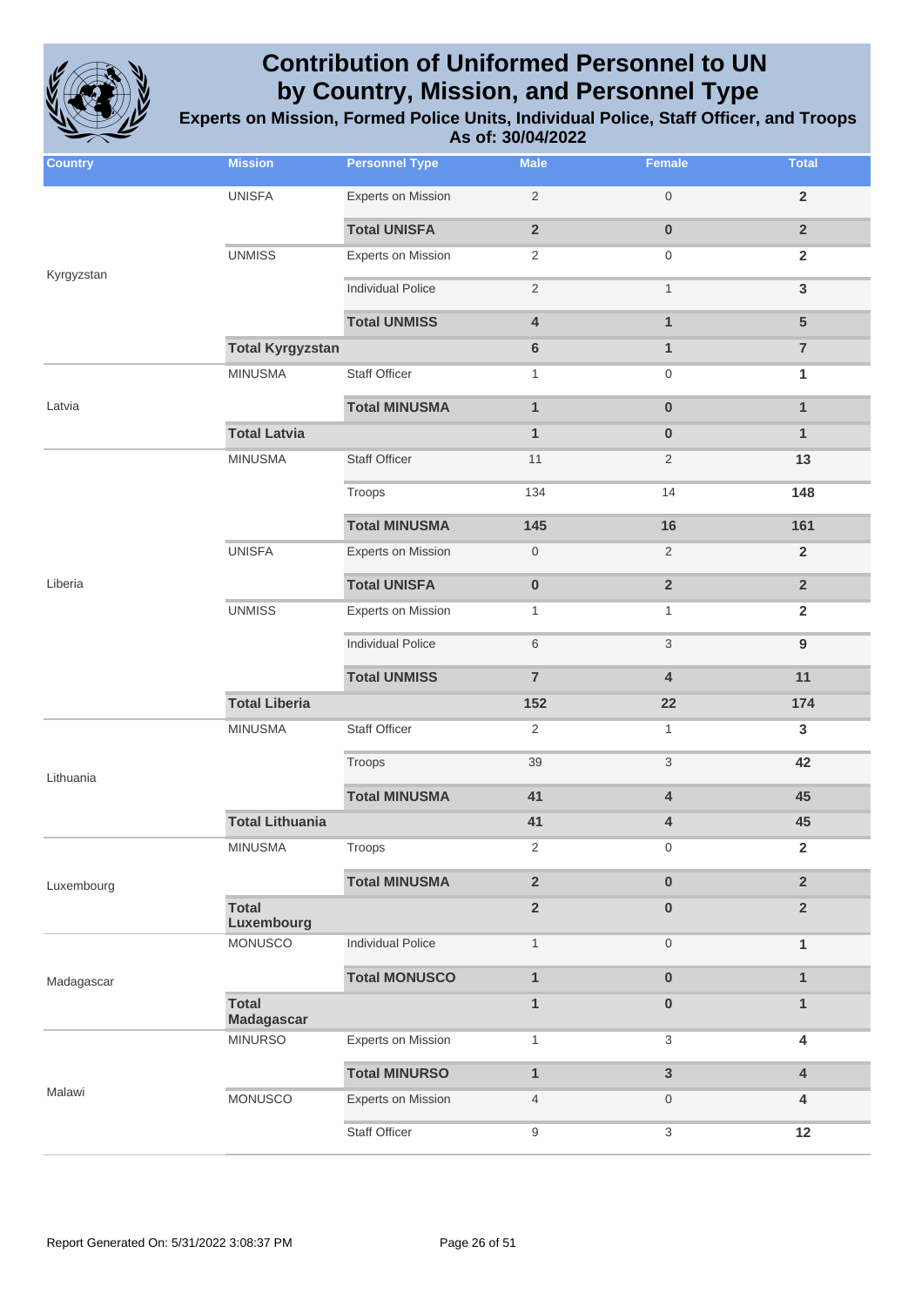

| <b>Country</b> | <b>Mission</b>             | <b>Personnel Type</b>     | <b>Male</b>             | Female                    | <b>Total</b>     |
|----------------|----------------------------|---------------------------|-------------------------|---------------------------|------------------|
|                | <b>UNISFA</b>              | <b>Experts on Mission</b> | $\overline{2}$          | $\mathbf 0$               | $\overline{2}$   |
|                |                            | <b>Total UNISFA</b>       | $\overline{\mathbf{2}}$ | $\bf{0}$                  | $\overline{2}$   |
|                | <b>UNMISS</b>              | <b>Experts on Mission</b> | $\overline{2}$          | $\mathbf 0$               | $\overline{2}$   |
| Kyrgyzstan     |                            | <b>Individual Police</b>  | $\overline{2}$          | $\mathbf{1}$              | $\mathbf{3}$     |
|                |                            | <b>Total UNMISS</b>       | $\overline{\mathbf{4}}$ | $\mathbf{1}$              | $5\phantom{1}$   |
|                | <b>Total Kyrgyzstan</b>    |                           | 6                       | $\mathbf{1}$              | $\overline{7}$   |
|                | <b>MINUSMA</b>             | <b>Staff Officer</b>      | $\mathbf{1}$            | $\mathbf 0$               | 1                |
| Latvia         |                            | <b>Total MINUSMA</b>      | $\mathbf{1}$            | $\bf{0}$                  | $\mathbf{1}$     |
|                | <b>Total Latvia</b>        |                           | $\mathbf{1}$            | $\bf{0}$                  | 1                |
|                | <b>MINUSMA</b>             | <b>Staff Officer</b>      | 11                      | $\overline{2}$            | 13               |
|                |                            | Troops                    | 134                     | 14                        | 148              |
|                |                            | <b>Total MINUSMA</b>      | 145                     | 16                        | 161              |
|                | <b>UNISFA</b>              | <b>Experts on Mission</b> | $\boldsymbol{0}$        | 2                         | $\overline{2}$   |
| Liberia        |                            | <b>Total UNISFA</b>       | $\pmb{0}$               | $\overline{2}$            | $\overline{2}$   |
|                | <b>UNMISS</b>              | <b>Experts on Mission</b> | $\mathbf{1}$            | $\mathbf{1}$              | $\overline{2}$   |
|                |                            | <b>Individual Police</b>  | 6                       | $\ensuremath{\mathsf{3}}$ | $\boldsymbol{9}$ |
|                |                            | <b>Total UNMISS</b>       | $\overline{7}$          | $\overline{\mathbf{4}}$   | 11               |
|                | <b>Total Liberia</b>       |                           | 152                     | 22                        | 174              |
|                | <b>MINUSMA</b>             | <b>Staff Officer</b>      | $\overline{2}$          | $\mathbf{1}$              | 3                |
| Lithuania      |                            | Troops                    | 39                      | 3                         | 42               |
|                |                            | <b>Total MINUSMA</b>      | 41                      | $\overline{4}$            | 45               |
|                | <b>Total Lithuania</b>     |                           | 41                      | 4                         | 45               |
|                | <b>MINUSMA</b>             | Troops                    | $\sqrt{2}$              | $\mathbf 0$               | $\overline{2}$   |
| Luxembourg     |                            | <b>Total MINUSMA</b>      | $\overline{2}$          | $\pmb{0}$                 | $\overline{2}$   |
|                | <b>Total</b><br>Luxembourg |                           | $\overline{2}$          | $\pmb{0}$                 | $\overline{2}$   |
|                | <b>MONUSCO</b>             | <b>Individual Police</b>  | $\mathbf{1}$            | $\mathbf 0$               | $\mathbf{1}$     |
| Madagascar     |                            | <b>Total MONUSCO</b>      | $\mathbf{1}$            | $\pmb{0}$                 | $\mathbf{1}$     |
|                | <b>Total</b><br>Madagascar |                           | $\mathbf{1}$            | $\mathbf 0$               | $\mathbf{1}$     |
|                | <b>MINURSO</b>             | <b>Experts on Mission</b> | $\mathbf{1}$            | 3                         | 4                |
|                |                            | <b>Total MINURSO</b>      | $\mathbf{1}$            | $\overline{3}$            | 4                |
| Malawi         | <b>MONUSCO</b>             | Experts on Mission        | $\overline{4}$          | $\mathbf 0$               | 4                |
|                |                            | <b>Staff Officer</b>      | 9                       | 3                         | 12               |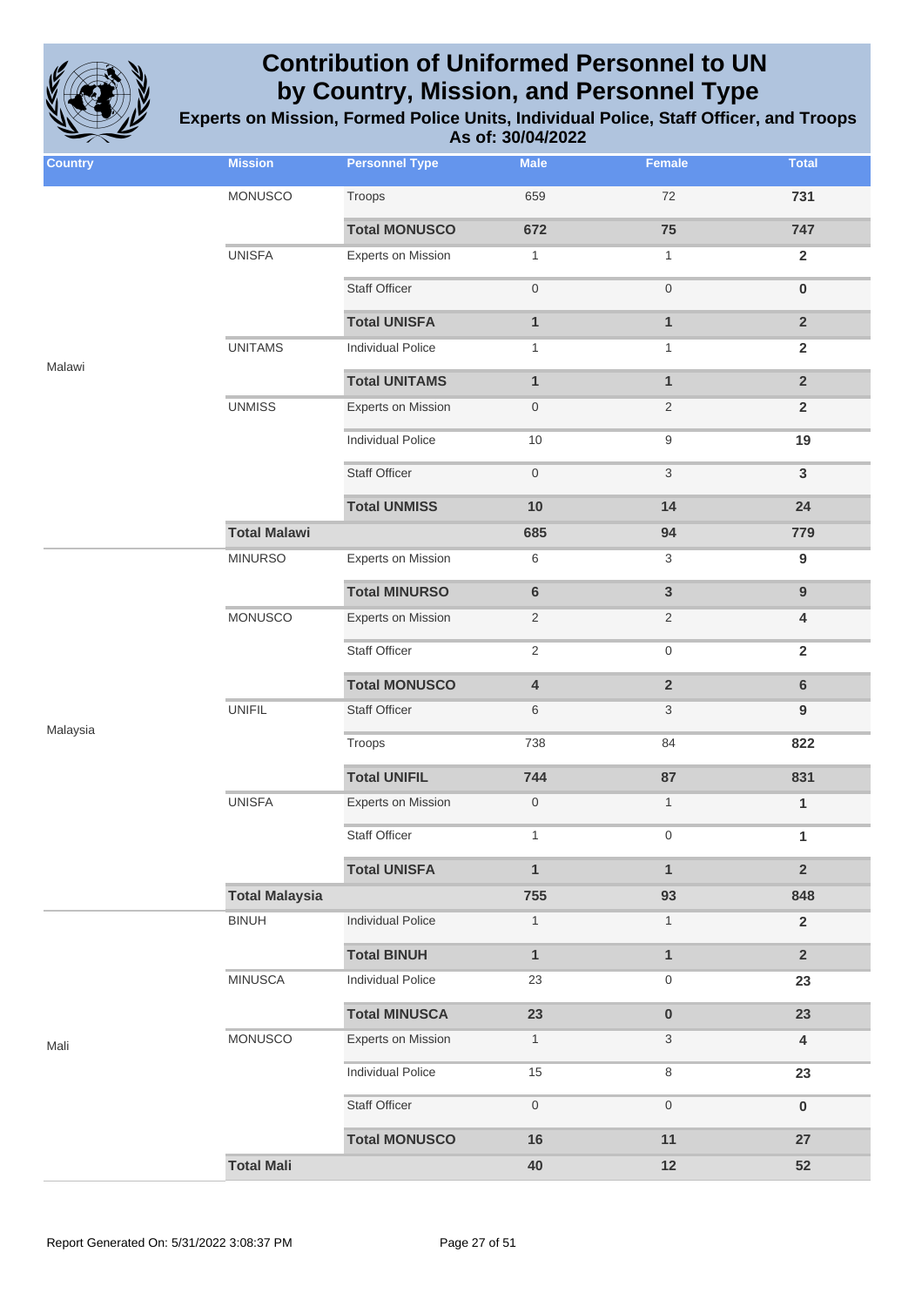

| <b>Country</b> | <b>Mission</b>        | <b>Personnel Type</b>     | <b>Male</b>      | Female              | <b>Total</b>            |
|----------------|-----------------------|---------------------------|------------------|---------------------|-------------------------|
|                | MONUSCO               | Troops                    | 659              | $72\,$              | 731                     |
|                |                       | <b>Total MONUSCO</b>      | 672              | 75                  | 747                     |
|                | <b>UNISFA</b>         | <b>Experts on Mission</b> | $\mathbf{1}$     | $\mathbf{1}$        | $\mathbf 2$             |
|                |                       | <b>Staff Officer</b>      | $\,0\,$          | $\mathsf{O}\xspace$ | $\pmb{0}$               |
|                |                       | <b>Total UNISFA</b>       | $\mathbf{1}$     | $\mathbf{1}$        | $\mathbf 2$             |
|                | <b>UNITAMS</b>        | <b>Individual Police</b>  | $\mathbf{1}$     | $\mathbf{1}$        | $\overline{2}$          |
| Malawi         |                       | <b>Total UNITAMS</b>      | $\mathbf{1}$     | $\mathbf{1}$        | $\overline{2}$          |
|                | <b>UNMISS</b>         | <b>Experts on Mission</b> | $\boldsymbol{0}$ | $\sqrt{2}$          | $\mathbf 2$             |
|                |                       | <b>Individual Police</b>  | 10               | $\boldsymbol{9}$    | 19                      |
|                |                       | <b>Staff Officer</b>      | $\,0\,$          | $\sqrt{3}$          | $\mathbf{3}$            |
|                |                       | <b>Total UNMISS</b>       | 10               | 14                  | 24                      |
|                | <b>Total Malawi</b>   |                           | 685              | 94                  | 779                     |
|                | <b>MINURSO</b>        | <b>Experts on Mission</b> | $\,6$            | 3                   | $\boldsymbol{9}$        |
|                |                       | <b>Total MINURSO</b>      | $\bf 6$          | $\mathbf{3}$        | $9\,$                   |
|                | <b>MONUSCO</b>        | <b>Experts on Mission</b> | $\sqrt{2}$       | $\sqrt{2}$          | 4                       |
|                |                       | Staff Officer             | $\sqrt{2}$       | $\mathsf{O}\xspace$ | $\overline{\mathbf{2}}$ |
|                |                       | <b>Total MONUSCO</b>      | $\pmb{4}$        | $\mathbf 2$         | $\bf 6$                 |
|                | <b>UNIFIL</b>         | <b>Staff Officer</b>      | 6                | $\sqrt{3}$          | $\boldsymbol{9}$        |
| Malaysia       |                       | Troops                    | 738              | 84                  | 822                     |
|                |                       | <b>Total UNIFIL</b>       | 744              | 87                  | 831                     |
|                | <b>UNISFA</b>         | <b>Experts on Mission</b> | $\boldsymbol{0}$ | $\mathbf{1}$        | 1                       |
|                |                       | Staff Officer             | $\mathbf{1}$     | $\mathbf 0$         | $\mathbf{1}$            |
|                |                       | <b>Total UNISFA</b>       | $\mathbf{1}$     | $\mathbf{1}$        | $\overline{2}$          |
|                | <b>Total Malaysia</b> |                           | 755              | 93                  | 848                     |
|                | <b>BINUH</b>          | <b>Individual Police</b>  | $\mathbf{1}$     | $\mathbf{1}$        | $\overline{2}$          |
|                |                       | <b>Total BINUH</b>        | $\mathbf{1}$     | $\mathbf{1}$        | $\overline{2}$          |
|                | <b>MINUSCA</b>        | <b>Individual Police</b>  | 23               | $\mathsf{O}$        | 23                      |
|                |                       | <b>Total MINUSCA</b>      | 23               | $\pmb{0}$           | 23                      |
| Mali           | MONUSCO               | <b>Experts on Mission</b> | $\mathbf{1}$     | 3                   | 4                       |
|                |                       | <b>Individual Police</b>  | 15               | 8                   | 23                      |
|                |                       | Staff Officer             | $\,0\,$          | $\boldsymbol{0}$    | $\bf{0}$                |
|                |                       | <b>Total MONUSCO</b>      | 16               | 11                  | 27                      |
|                | <b>Total Mali</b>     |                           | 40               | 12                  | 52                      |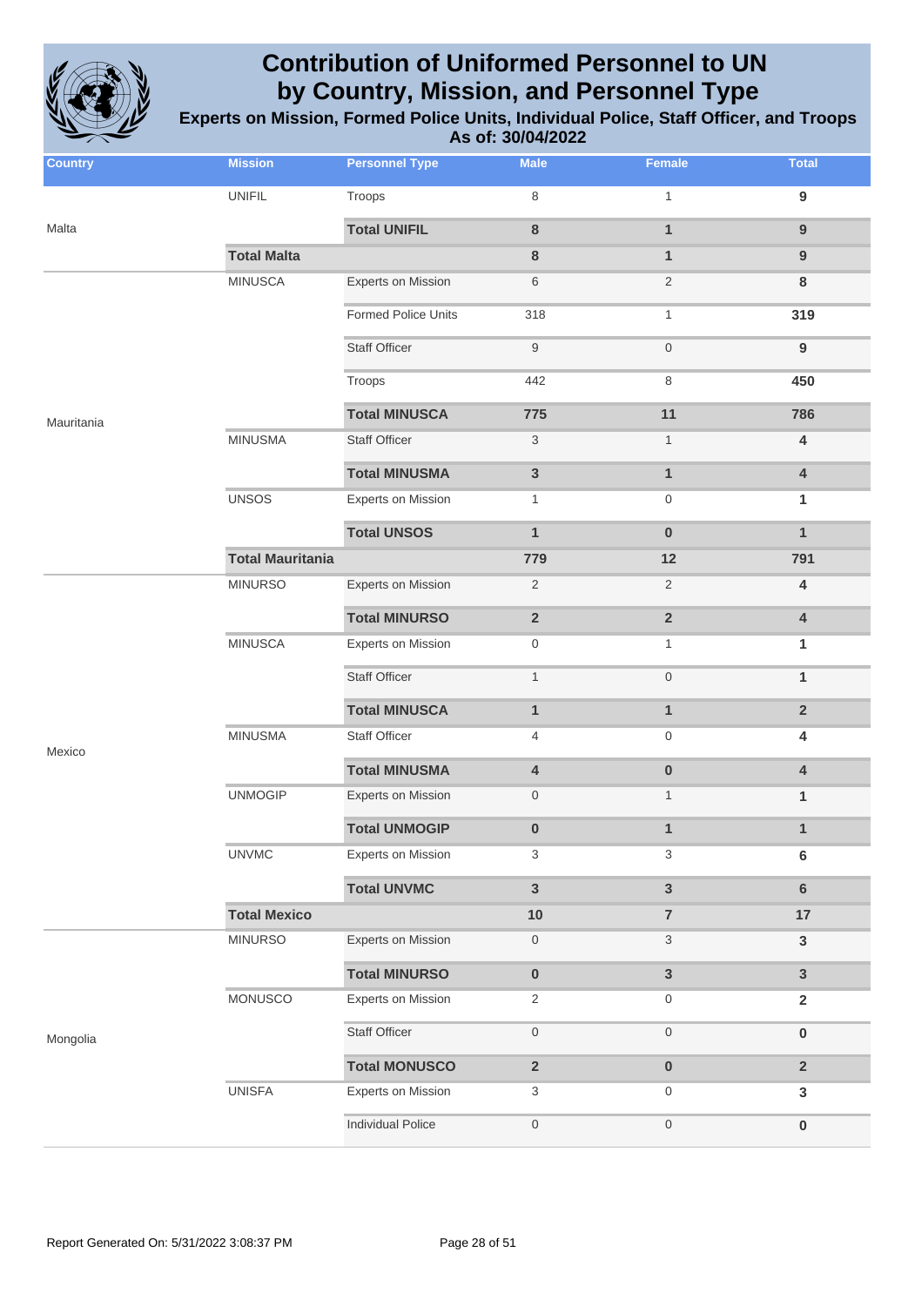

| <b>Country</b> | <b>Mission</b>          | <b>Personnel Type</b>     | <b>Male</b>             | <b>Female</b>           | <b>Total</b>            |
|----------------|-------------------------|---------------------------|-------------------------|-------------------------|-------------------------|
|                | <b>UNIFIL</b>           | Troops                    | 8                       | $\mathbf{1}$            | $\boldsymbol{9}$        |
| Malta          |                         | <b>Total UNIFIL</b>       | $\bf 8$                 | $\mathbf{1}$            | $9$                     |
|                | <b>Total Malta</b>      |                           | 8                       | $\mathbf{1}$            | 9                       |
|                | <b>MINUSCA</b>          | <b>Experts on Mission</b> | 6                       | $\mathbf{2}$            | 8                       |
|                |                         | Formed Police Units       | 318                     | $\mathbf{1}$            | 319                     |
|                |                         | <b>Staff Officer</b>      | 9                       | $\boldsymbol{0}$        | $\boldsymbol{9}$        |
|                |                         | Troops                    | 442                     | 8                       | 450                     |
| Mauritania     |                         | <b>Total MINUSCA</b>      | 775                     | 11                      | 786                     |
|                | <b>MINUSMA</b>          | <b>Staff Officer</b>      | $\sqrt{3}$              | $\mathbf{1}$            | $\overline{\mathbf{4}}$ |
|                |                         | <b>Total MINUSMA</b>      | $\mathbf{3}$            | $\mathbf{1}$            | $\overline{\mathbf{4}}$ |
|                | <b>UNSOS</b>            | <b>Experts on Mission</b> | $\mathbf{1}$            | 0                       | 1                       |
|                |                         | <b>Total UNSOS</b>        | $\mathbf{1}$            | $\bf{0}$                | $\mathbf{1}$            |
|                | <b>Total Mauritania</b> |                           | 779                     | 12                      | 791                     |
|                | <b>MINURSO</b>          | <b>Experts on Mission</b> | $\overline{2}$          | $\overline{2}$          | $\overline{\mathbf{4}}$ |
|                |                         | <b>Total MINURSO</b>      | $\mathbf 2$             | $\overline{\mathbf{2}}$ | $\overline{\mathbf{4}}$ |
|                | <b>MINUSCA</b>          | <b>Experts on Mission</b> | 0                       | $\mathbf{1}$            | 1                       |
|                |                         | <b>Staff Officer</b>      | $\mathbf{1}$            | $\boldsymbol{0}$        | $\mathbf{1}$            |
|                |                         | <b>Total MINUSCA</b>      | $\mathbf{1}$            | $\mathbf{1}$            | $\overline{2}$          |
| Mexico         | <b>MINUSMA</b>          | <b>Staff Officer</b>      | 4                       | 0                       | $\overline{\mathbf{4}}$ |
|                |                         | <b>Total MINUSMA</b>      | 4                       | $\bf{0}$                | $\overline{\mathbf{4}}$ |
|                | <b>UNMOGIP</b>          | <b>Experts on Mission</b> | 0                       | $\mathbf{1}$            | $\mathbf{1}$            |
|                |                         | <b>Total UNMOGIP</b>      | $\pmb{0}$               | $\mathbf{1}$            | $\mathbf{1}$            |
|                | <b>UNVMC</b>            | <b>Experts on Mission</b> | 3                       | 3                       | 6                       |
|                |                         | <b>Total UNVMC</b>        | $\mathbf{3}$            | 3                       | $\bf 6$                 |
|                | <b>Total Mexico</b>     |                           | 10                      | $\overline{\mathbf{7}}$ | 17                      |
|                | <b>MINURSO</b>          | <b>Experts on Mission</b> | 0                       | 3                       | 3                       |
|                |                         | <b>Total MINURSO</b>      | $\pmb{0}$               | 3                       | $\mathbf{3}$            |
|                | <b>MONUSCO</b>          | <b>Experts on Mission</b> | $\mathbf{2}$            | 0                       | $\mathbf{2}$            |
| Mongolia       |                         | <b>Staff Officer</b>      | $\boldsymbol{0}$        | $\boldsymbol{0}$        | $\pmb{0}$               |
|                |                         | <b>Total MONUSCO</b>      | $\overline{\mathbf{2}}$ | $\pmb{0}$               | $\overline{2}$          |
|                | <b>UNISFA</b>           | <b>Experts on Mission</b> | 3                       | 0                       | $\mathbf{3}$            |
|                |                         | <b>Individual Police</b>  | $\mathsf{O}\xspace$     | $\mathsf{O}\xspace$     | $\pmb{0}$               |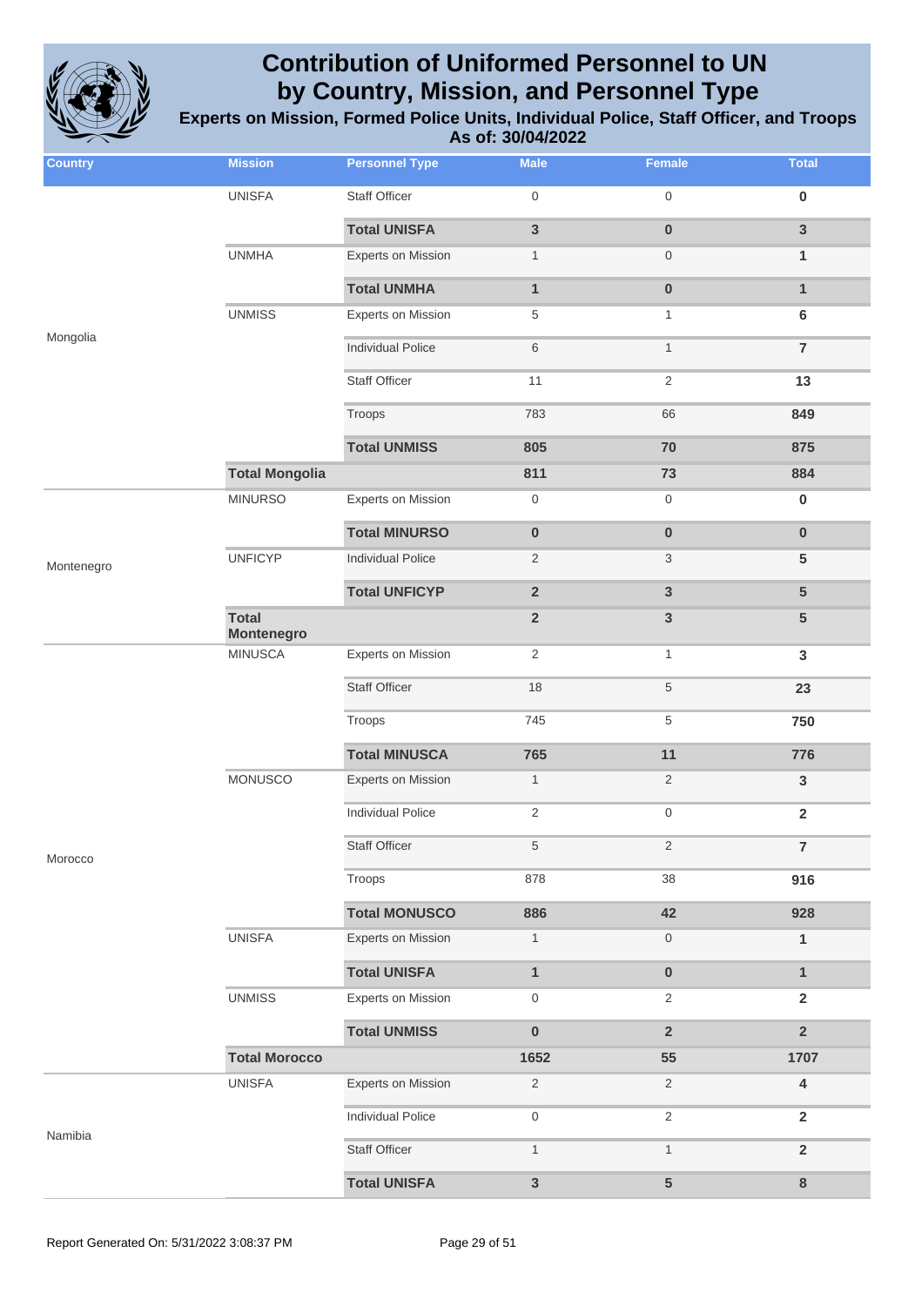

| <b>Country</b> | <b>Mission</b>                    | <b>Personnel Type</b>     | <b>Male</b>             | Female              | <b>Total</b>            |
|----------------|-----------------------------------|---------------------------|-------------------------|---------------------|-------------------------|
|                | <b>UNISFA</b>                     | <b>Staff Officer</b>      | $\mathbf 0$             | $\mathbf 0$         | $\pmb{0}$               |
|                |                                   | <b>Total UNISFA</b>       | $\mathbf{3}$            | $\pmb{0}$           | $\mathbf{3}$            |
|                | <b>UNMHA</b>                      | Experts on Mission        | $\mathbf{1}$            | $\mathbf 0$         | 1                       |
|                |                                   | <b>Total UNMHA</b>        | $\mathbf{1}$            | $\pmb{0}$           | $\mathbf{1}$            |
|                | <b>UNMISS</b>                     | <b>Experts on Mission</b> | $\,$ 5 $\,$             | $\mathbf{1}$        | $\bf 6$                 |
| Mongolia       |                                   | <b>Individual Police</b>  | $\,6$                   | $\mathbf{1}$        | $\overline{7}$          |
|                |                                   | <b>Staff Officer</b>      | 11                      | $\sqrt{2}$          | 13                      |
|                |                                   | Troops                    | 783                     | 66                  | 849                     |
|                |                                   | <b>Total UNMISS</b>       | 805                     | 70                  | 875                     |
|                | <b>Total Mongolia</b>             |                           | 811                     | 73                  | 884                     |
|                | <b>MINURSO</b>                    | <b>Experts on Mission</b> | $\boldsymbol{0}$        | $\boldsymbol{0}$    | $\pmb{0}$               |
|                |                                   | <b>Total MINURSO</b>      | $\pmb{0}$               | $\pmb{0}$           | $\pmb{0}$               |
| Montenegro     | <b>UNFICYP</b>                    | <b>Individual Police</b>  | $\overline{2}$          | 3                   | 5                       |
|                |                                   | <b>Total UNFICYP</b>      | $\overline{\mathbf{2}}$ | $\mathbf{3}$        | 5                       |
|                | <b>Total</b><br><b>Montenegro</b> |                           | $\overline{\mathbf{2}}$ | $\mathbf{3}$        | $5\phantom{.}$          |
|                | <b>MINUSCA</b>                    | <b>Experts on Mission</b> | $\overline{2}$          | $\mathbf{1}$        | $\mathbf{3}$            |
|                |                                   | <b>Staff Officer</b>      | 18                      | $\sqrt{5}$          | 23                      |
|                |                                   | Troops                    | 745                     | $\,$ 5 $\,$         | 750                     |
|                |                                   | <b>Total MINUSCA</b>      | 765                     | 11                  | 776                     |
|                | <b>MONUSCO</b>                    | <b>Experts on Mission</b> | $\mathbf{1}$            | 2                   | $\mathsf 3$             |
|                |                                   | <b>Individual Police</b>  | $\overline{c}$          | $\boldsymbol{0}$    | $\overline{2}$          |
| Morocco        |                                   | Staff Officer             | 5                       | $\overline{2}$      | $\overline{7}$          |
|                |                                   | Troops                    | 878                     | 38                  | 916                     |
|                |                                   | <b>Total MONUSCO</b>      | 886                     | 42                  | 928                     |
|                | <b>UNISFA</b>                     | <b>Experts on Mission</b> | $\mathbf{1}$            | $\mathsf{O}\xspace$ | $\mathbf{1}$            |
|                |                                   | <b>Total UNISFA</b>       | $\mathbf{1}$            | $\pmb{0}$           | $\mathbf{1}$            |
|                | <b>UNMISS</b>                     | <b>Experts on Mission</b> | $\boldsymbol{0}$        | $\overline{2}$      | $\overline{2}$          |
|                |                                   | <b>Total UNMISS</b>       | $\pmb{0}$               | $\overline{2}$      | $\overline{2}$          |
|                | <b>Total Morocco</b>              |                           | 1652                    | 55                  | 1707                    |
|                | <b>UNISFA</b>                     | <b>Experts on Mission</b> | $\sqrt{2}$              | $\overline{2}$      | $\overline{\mathbf{4}}$ |
| Namibia        |                                   | <b>Individual Police</b>  | $\boldsymbol{0}$        | $\sqrt{2}$          | $\overline{2}$          |
|                |                                   | <b>Staff Officer</b>      | $\mathbf{1}$            | $\mathbf{1}$        | $\overline{2}$          |
|                |                                   | <b>Total UNISFA</b>       | $\mathsf 3$             | $\sqrt{5}$          | $\bf 8$                 |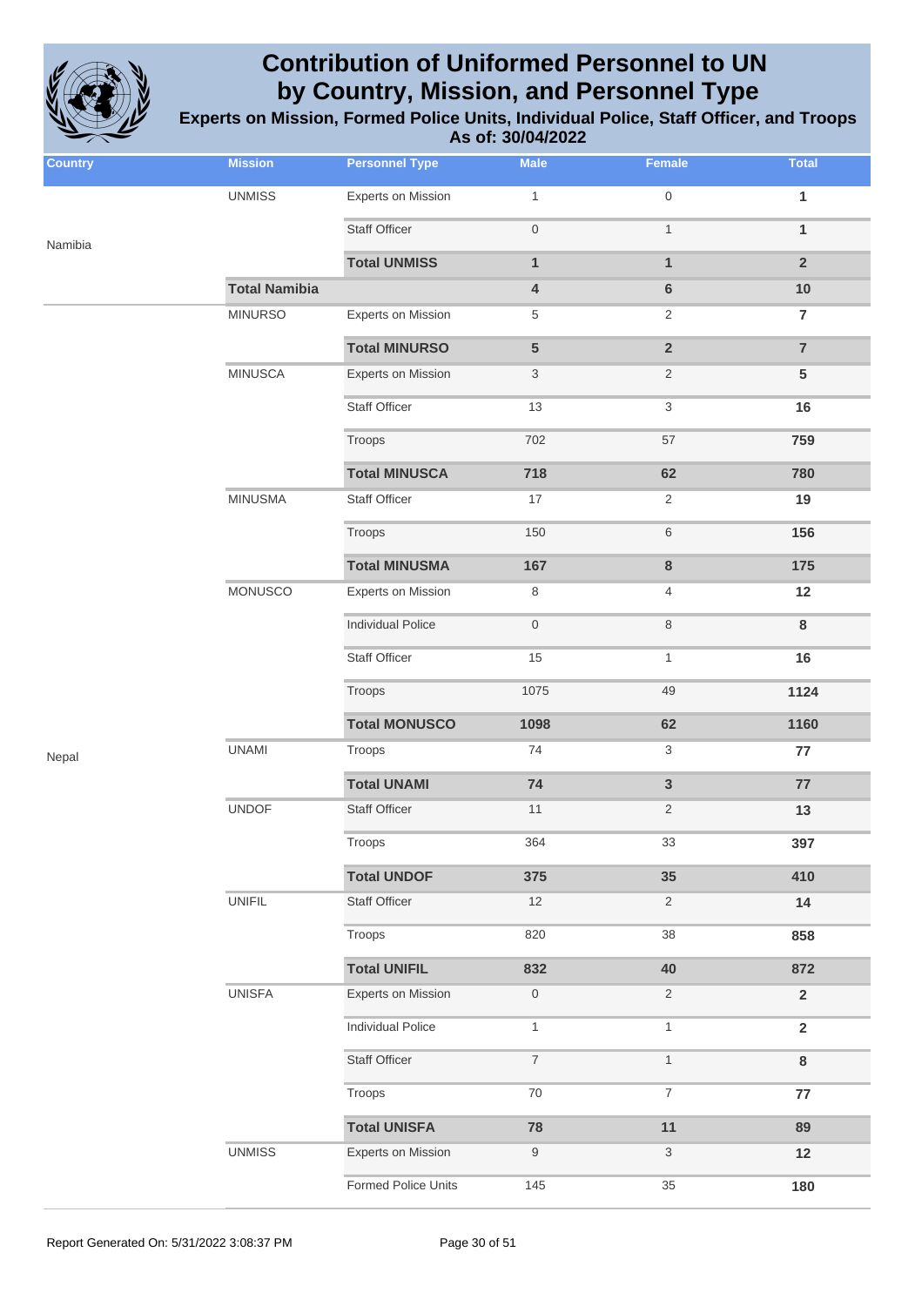

| <b>Country</b> | <b>Mission</b>       | <b>Personnel Type</b>     | <b>Male</b>               | Female                    | <b>Total</b>   |
|----------------|----------------------|---------------------------|---------------------------|---------------------------|----------------|
|                | <b>UNMISS</b>        | <b>Experts on Mission</b> | $\mathbf{1}$              | $\mathsf{O}\xspace$       | $\mathbf{1}$   |
| Namibia        |                      | <b>Staff Officer</b>      | $\mathbf 0$               | $\mathbf{1}$              | $\mathbf{1}$   |
|                |                      | <b>Total UNMISS</b>       | $\mathbf{1}$              | $\mathbf{1}$              | $\overline{2}$ |
|                | <b>Total Namibia</b> |                           | $\overline{\mathbf{4}}$   | 6                         | $10$           |
|                | <b>MINURSO</b>       | <b>Experts on Mission</b> | $\,$ 5 $\,$               | $\overline{2}$            | $\overline{7}$ |
|                |                      | <b>Total MINURSO</b>      | 5                         | $\overline{\mathbf{2}}$   | $\overline{7}$ |
|                | <b>MINUSCA</b>       | <b>Experts on Mission</b> | $\ensuremath{\mathsf{3}}$ | $\sqrt{2}$                | $\overline{5}$ |
|                |                      | Staff Officer             | 13                        | $\ensuremath{\mathsf{3}}$ | 16             |
|                |                      | Troops                    | 702                       | 57                        | 759            |
|                |                      | <b>Total MINUSCA</b>      | 718                       | 62                        | 780            |
|                | <b>MINUSMA</b>       | <b>Staff Officer</b>      | 17                        | $\overline{2}$            | 19             |
|                |                      | Troops                    | 150                       | $\,$ 6 $\,$               | 156            |
|                |                      | <b>Total MINUSMA</b>      | 167                       | 8                         | 175            |
|                | MONUSCO              | <b>Experts on Mission</b> | 8                         | $\overline{4}$            | 12             |
|                |                      | <b>Individual Police</b>  | $\,0\,$                   | $\,8\,$                   | $\bf8$         |
|                |                      | <b>Staff Officer</b>      | 15                        | $\mathbf{1}$              | 16             |
|                |                      | Troops                    | 1075                      | 49                        | 1124           |
|                |                      | <b>Total MONUSCO</b>      | 1098                      | 62                        | 1160           |
| Nepal          | <b>UNAMI</b>         | Troops                    | 74                        | 3                         | 77             |
|                |                      | <b>Total UNAMI</b>        | ${\bf 74}$                | $\mathbf{3}$              | 77             |
|                | <b>UNDOF</b>         | <b>Staff Officer</b>      | 11                        | $\overline{c}$            | 13             |
|                |                      | Troops                    | 364                       | 33                        | 397            |
|                |                      | <b>Total UNDOF</b>        | 375                       | 35                        | 410            |
|                | <b>UNIFIL</b>        | Staff Officer             | 12                        | $\overline{2}$            | 14             |
|                |                      | Troops                    | 820                       | 38                        | 858            |
|                |                      | <b>Total UNIFIL</b>       | 832                       | 40                        | 872            |
|                | <b>UNISFA</b>        | Experts on Mission        | $\boldsymbol{0}$          | $\overline{2}$            | $\overline{2}$ |
|                |                      | <b>Individual Police</b>  | $\mathbf{1}$              | $\mathbf{1}$              | $\overline{2}$ |
|                |                      | Staff Officer             | $\overline{7}$            | $\mathbf{1}$              | $\bf8$         |
|                |                      | Troops                    | 70                        | $\boldsymbol{7}$          | 77             |
|                |                      | <b>Total UNISFA</b>       | 78                        | 11                        | 89             |
|                | <b>UNMISS</b>        | Experts on Mission        | 9                         | $\ensuremath{\mathsf{3}}$ | 12             |
|                |                      | Formed Police Units       | 145                       | 35                        | 180            |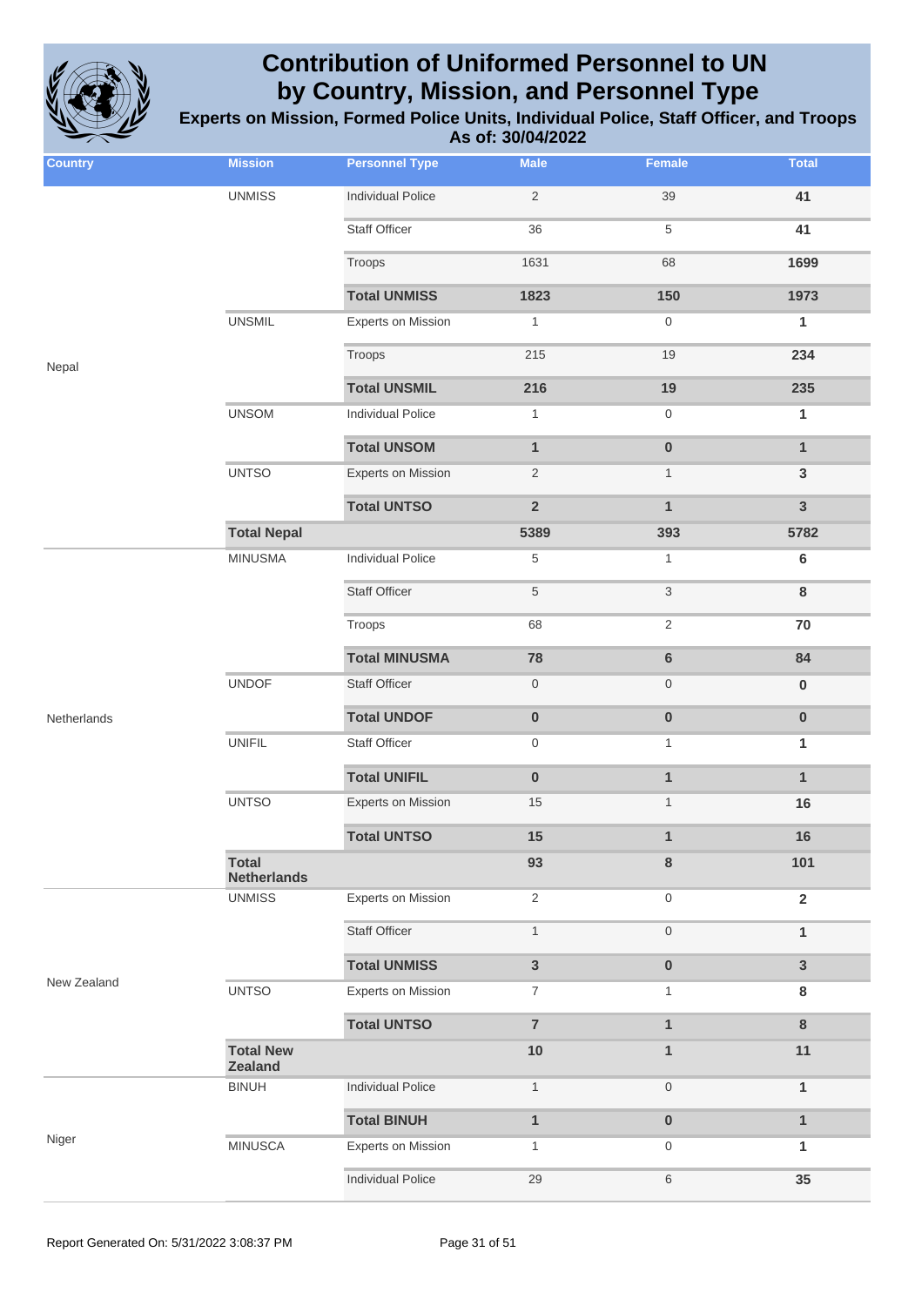

| <b>Country</b> | <b>Mission</b>                     | <b>Personnel Type</b>     | <b>Male</b>      | Female                    | <b>Total</b>   |
|----------------|------------------------------------|---------------------------|------------------|---------------------------|----------------|
|                | <b>UNMISS</b>                      | <b>Individual Police</b>  | $\sqrt{2}$       | 39                        | 41             |
|                |                                    | <b>Staff Officer</b>      | 36               | $\,$ 5 $\,$               | 41             |
|                |                                    | Troops                    | 1631             | 68                        | 1699           |
|                |                                    | <b>Total UNMISS</b>       | 1823             | 150                       | 1973           |
|                | <b>UNSMIL</b>                      | <b>Experts on Mission</b> | $\mathbf{1}$     | $\mathsf{O}\xspace$       | $\mathbf{1}$   |
| Nepal          |                                    | Troops                    | 215              | 19                        | 234            |
|                |                                    | <b>Total UNSMIL</b>       | 216              | 19                        | 235            |
|                | <b>UNSOM</b>                       | <b>Individual Police</b>  | $\mathbf{1}$     | $\boldsymbol{0}$          | $\mathbf{1}$   |
|                |                                    | <b>Total UNSOM</b>        | $\mathbf{1}$     | $\pmb{0}$                 | $\mathbf{1}$   |
|                | <b>UNTSO</b>                       | <b>Experts on Mission</b> | $\sqrt{2}$       | $\mathbf{1}$              | $\mathbf{3}$   |
|                |                                    | <b>Total UNTSO</b>        | $\overline{2}$   | $\mathbf{1}$              | $\mathbf{3}$   |
|                | <b>Total Nepal</b>                 |                           | 5389             | 393                       | 5782           |
|                | <b>MINUSMA</b>                     | <b>Individual Police</b>  | $\,$ 5 $\,$      | $\mathbf{1}$              | $\bf 6$        |
|                |                                    | <b>Staff Officer</b>      | $\,$ 5 $\,$      | $\ensuremath{\mathsf{3}}$ | 8              |
|                |                                    | Troops                    | 68               | $\sqrt{2}$                | $70\,$         |
|                |                                    | <b>Total MINUSMA</b>      | 78               | $\bf 6$                   | 84             |
|                | <b>UNDOF</b>                       | <b>Staff Officer</b>      | $\boldsymbol{0}$ | $\boldsymbol{0}$          | $\pmb{0}$      |
| Netherlands    |                                    | <b>Total UNDOF</b>        | $\pmb{0}$        | $\pmb{0}$                 | $\pmb{0}$      |
|                | <b>UNIFIL</b>                      | <b>Staff Officer</b>      | 0                | $\mathbf{1}$              | 1              |
|                |                                    | <b>Total UNIFIL</b>       | $\pmb{0}$        | $\mathbf{1}$              | $\mathbf{1}$   |
|                | <b>UNTSO</b>                       | <b>Experts on Mission</b> | 15               | $\mathbf{1}$              | 16             |
|                |                                    | <b>Total UNTSO</b>        | 15               | $\mathbf{1}$              | 16             |
|                | <b>Total</b><br><b>Netherlands</b> |                           | 93               | 8                         | 101            |
|                | <b>UNMISS</b>                      | <b>Experts on Mission</b> | $\sqrt{2}$       | $\mathsf{O}\xspace$       | $\overline{2}$ |
|                |                                    | <b>Staff Officer</b>      | $\mathbf{1}$     | $\mathsf{O}\xspace$       | $\mathbf{1}$   |
|                |                                    | <b>Total UNMISS</b>       | $\mathbf{3}$     | $\pmb{0}$                 | $\overline{3}$ |
| New Zealand    | <b>UNTSO</b>                       | <b>Experts on Mission</b> | $\boldsymbol{7}$ | 1                         | 8              |
|                |                                    | <b>Total UNTSO</b>        | $\overline{7}$   | $\mathbf{1}$              | $\bf 8$        |
|                | <b>Total New</b><br><b>Zealand</b> |                           | 10               | $\mathbf{1}$              | 11             |
|                | <b>BINUH</b>                       | <b>Individual Police</b>  | $\mathbf{1}$     | $\mathsf{O}\xspace$       | $\mathbf{1}$   |
|                |                                    | <b>Total BINUH</b>        | $\mathbf{1}$     | $\pmb{0}$                 | $\mathbf{1}$   |
| Niger          | <b>MINUSCA</b>                     | <b>Experts on Mission</b> | $\mathbf{1}$     | $\boldsymbol{0}$          | 1              |
|                |                                    | <b>Individual Police</b>  | 29               | $\,$ 6 $\,$               | 35             |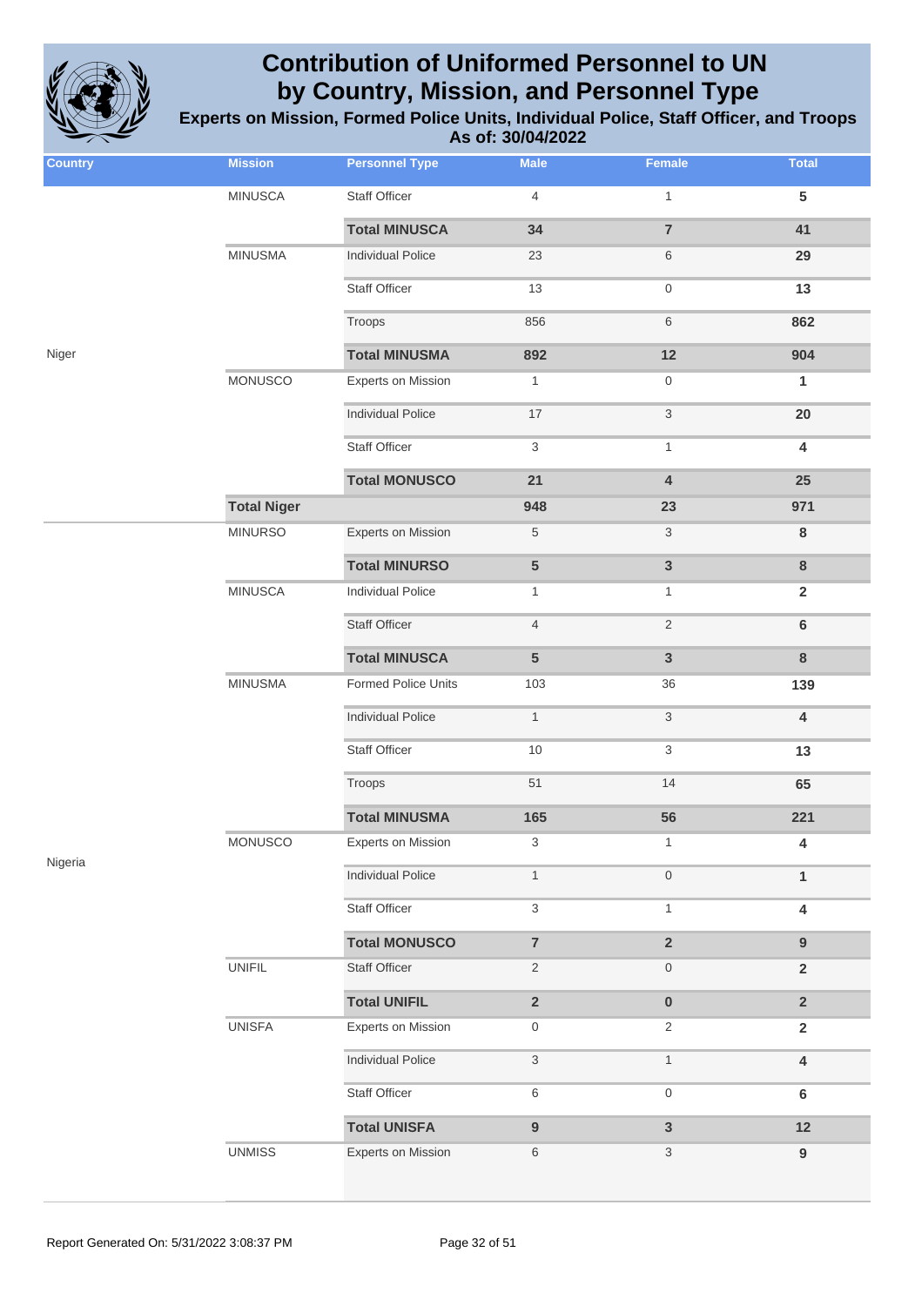

| <b>Country</b> | <b>Mission</b>     | <b>Personnel Type</b>      | <b>Male</b>               | Female                    | <b>Total</b>            |
|----------------|--------------------|----------------------------|---------------------------|---------------------------|-------------------------|
|                | <b>MINUSCA</b>     | Staff Officer              | $\overline{4}$            | $\mathbf{1}$              | $5\phantom{.0}$         |
|                |                    | <b>Total MINUSCA</b>       | 34                        | $\overline{7}$            | 41                      |
|                | <b>MINUSMA</b>     | <b>Individual Police</b>   | 23                        | 6                         | 29                      |
|                |                    | <b>Staff Officer</b>       | 13                        | $\boldsymbol{0}$          | 13                      |
|                |                    | Troops                     | 856                       | $\,6$                     | 862                     |
| Niger          |                    | <b>Total MINUSMA</b>       | 892                       | 12                        | 904                     |
|                | MONUSCO            | <b>Experts on Mission</b>  | $\mathbf{1}$              | $\boldsymbol{0}$          | $\mathbf{1}$            |
|                |                    | <b>Individual Police</b>   | 17                        | $\ensuremath{\mathsf{3}}$ | 20                      |
|                |                    | <b>Staff Officer</b>       | 3                         | $\mathbf{1}$              | $\overline{\mathbf{4}}$ |
|                |                    | <b>Total MONUSCO</b>       | 21                        | $\overline{\mathbf{4}}$   | 25                      |
|                | <b>Total Niger</b> |                            | 948                       | 23                        | 971                     |
|                | <b>MINURSO</b>     | <b>Experts on Mission</b>  | $\,$ 5 $\,$               | 3                         | 8                       |
|                |                    | <b>Total MINURSO</b>       | 5                         | $\mathbf{3}$              | $\bf 8$                 |
|                | <b>MINUSCA</b>     | <b>Individual Police</b>   | $\mathbf{1}$              | 1                         | $\mathbf 2$             |
|                |                    | <b>Staff Officer</b>       | $\overline{4}$            | $\sqrt{2}$                | $\bf 6$                 |
|                |                    | <b>Total MINUSCA</b>       | $\overline{5}$            | $\mathbf{3}$              | $\bf 8$                 |
|                | <b>MINUSMA</b>     | <b>Formed Police Units</b> | 103                       | 36                        | 139                     |
|                |                    | <b>Individual Police</b>   | $\mathbf{1}$              | $\ensuremath{\mathsf{3}}$ | 4                       |
|                |                    | <b>Staff Officer</b>       | 10                        | 3                         | 13                      |
|                |                    | Troops                     | 51                        | 14                        | 65                      |
|                |                    | <b>Total MINUSMA</b>       | 165                       | 56                        | 221                     |
| Nigeria        | MONUSCO            | <b>Experts on Mission</b>  | 3                         | $\mathbf{1}$              | 4                       |
|                |                    | <b>Individual Police</b>   | $\mathbf{1}$              | $\mathsf{O}\xspace$       | $\mathbf{1}$            |
|                |                    | Staff Officer              | $\ensuremath{\mathsf{3}}$ | $\mathbf{1}$              | $\overline{\mathbf{4}}$ |
|                |                    | <b>Total MONUSCO</b>       | $\overline{\mathbf{7}}$   | $\overline{\mathbf{2}}$   | $\boldsymbol{9}$        |
|                | <b>UNIFIL</b>      | Staff Officer              | $\overline{c}$            | $\boldsymbol{0}$          | $\mathbf 2$             |
|                |                    | <b>Total UNIFIL</b>        | $\overline{\mathbf{2}}$   | $\pmb{0}$                 | $\mathbf 2$             |
|                | <b>UNISFA</b>      | <b>Experts on Mission</b>  | $\boldsymbol{0}$          | $\overline{2}$            | $\mathbf 2$             |
|                |                    | <b>Individual Police</b>   | $\ensuremath{\mathsf{3}}$ | $\mathbf{1}$              | $\pmb{4}$               |
|                |                    | Staff Officer              | $\,6$                     | $\mathsf{O}\xspace$       | $\bf 6$                 |
|                |                    | <b>Total UNISFA</b>        | $\boldsymbol{9}$          | $\mathbf{3}$              | 12                      |
|                | <b>UNMISS</b>      | Experts on Mission         | $\,6$                     | $\ensuremath{\mathsf{3}}$ | $\boldsymbol{9}$        |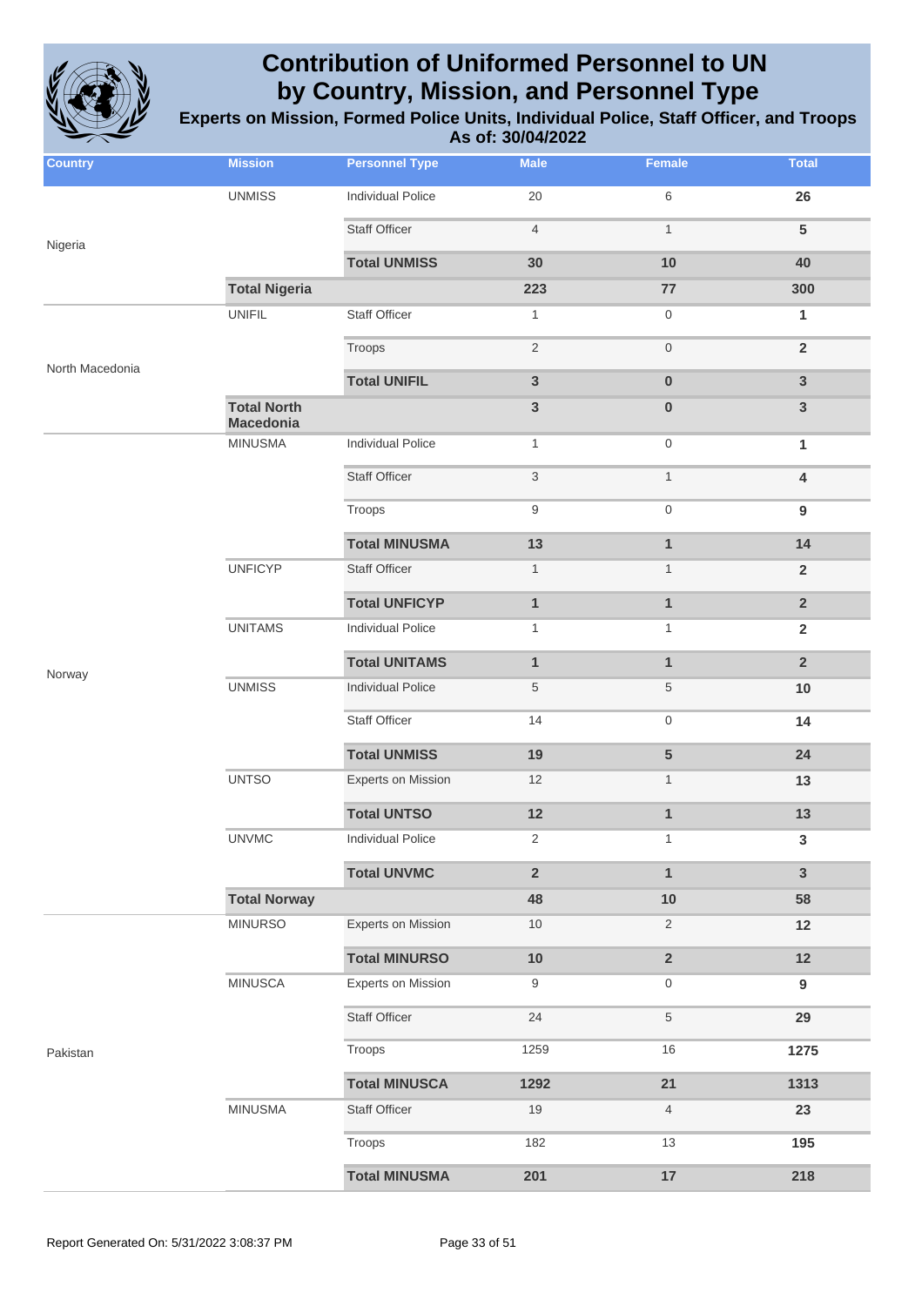

| <b>Country</b>  | <b>Mission</b>                         | <b>Personnel Type</b>     | <b>Male</b>               | <b>Female</b>           | <b>Total</b>     |
|-----------------|----------------------------------------|---------------------------|---------------------------|-------------------------|------------------|
|                 | <b>UNMISS</b>                          | <b>Individual Police</b>  | 20                        | 6                       | 26               |
| Nigeria         |                                        | <b>Staff Officer</b>      | $\overline{4}$            | $\mathbf{1}$            | $5\phantom{1}$   |
|                 |                                        | <b>Total UNMISS</b>       | 30                        | 10                      | 40               |
|                 | <b>Total Nigeria</b>                   |                           | 223                       | $77$                    | 300              |
|                 | <b>UNIFIL</b>                          | Staff Officer             | $\mathbf{1}$              | $\mathbf 0$             | 1                |
|                 |                                        | Troops                    | $\sqrt{2}$                | $\,0\,$                 | $\overline{2}$   |
| North Macedonia |                                        | <b>Total UNIFIL</b>       | $\mathbf{3}$              | $\pmb{0}$               | $\mathsf 3$      |
|                 | <b>Total North</b><br><b>Macedonia</b> |                           | $\mathbf{3}$              | $\pmb{0}$               | $\mathbf{3}$     |
|                 | <b>MINUSMA</b>                         | <b>Individual Police</b>  | $\mathbf{1}$              | $\boldsymbol{0}$        | 1                |
|                 |                                        | <b>Staff Officer</b>      | $\ensuremath{\mathsf{3}}$ | $\mathbf{1}$            | 4                |
|                 |                                        | Troops                    | $\boldsymbol{9}$          | $\boldsymbol{0}$        | $\boldsymbol{9}$ |
|                 |                                        | <b>Total MINUSMA</b>      | 13                        | $\mathbf{1}$            | 14               |
|                 | <b>UNFICYP</b>                         | Staff Officer             | $\mathbf{1}$              | $\mathbf{1}$            | $\overline{2}$   |
|                 |                                        | <b>Total UNFICYP</b>      | $\mathbf{1}$              | $\mathbf{1}$            | $\overline{2}$   |
|                 | <b>UNITAMS</b>                         | <b>Individual Police</b>  | $\mathbf{1}$              | $\mathbf{1}$            | $\overline{2}$   |
| Norway          |                                        | <b>Total UNITAMS</b>      | $\mathbf{1}$              | $\mathbf{1}$            | $\overline{2}$   |
|                 | <b>UNMISS</b>                          | <b>Individual Police</b>  | $\sqrt{5}$                | 5                       | 10               |
|                 |                                        | <b>Staff Officer</b>      | 14                        | $\boldsymbol{0}$        | 14               |
|                 |                                        | <b>Total UNMISS</b>       | 19                        | $\overline{\mathbf{5}}$ | 24               |
|                 | <b>UNTSO</b>                           | <b>Experts on Mission</b> | 12                        | $\mathbf{1}$            | 13               |
|                 |                                        | <b>Total UNTSO</b>        | 12                        | $\mathbf{1}$            | 13               |
|                 | <b>UNVMC</b>                           | Individual Police         | $\overline{2}$            |                         | 3                |
|                 |                                        | <b>Total UNVMC</b>        | $\overline{2}$            | $\mathbf{1}$            | $\overline{3}$   |
|                 | <b>Total Norway</b>                    |                           | 48                        | $10$                    | 58               |
|                 | <b>MINURSO</b>                         | <b>Experts on Mission</b> | 10                        | $\overline{2}$          | 12               |
|                 |                                        | <b>Total MINURSO</b>      | 10                        | $\mathbf 2$             | 12               |
|                 | <b>MINUSCA</b>                         | Experts on Mission        | 9                         | $\mathbf 0$             | 9                |
|                 |                                        | <b>Staff Officer</b>      | 24                        | $\,$ 5 $\,$             | 29               |
| Pakistan        |                                        | Troops                    | 1259                      | 16                      | 1275             |
|                 |                                        | <b>Total MINUSCA</b>      | 1292                      | 21                      | 1313             |
|                 | <b>MINUSMA</b>                         | Staff Officer             | 19                        | $\overline{4}$          | 23               |
|                 |                                        | Troops                    | 182                       | 13                      | 195              |
|                 |                                        | <b>Total MINUSMA</b>      | 201                       | 17                      | 218              |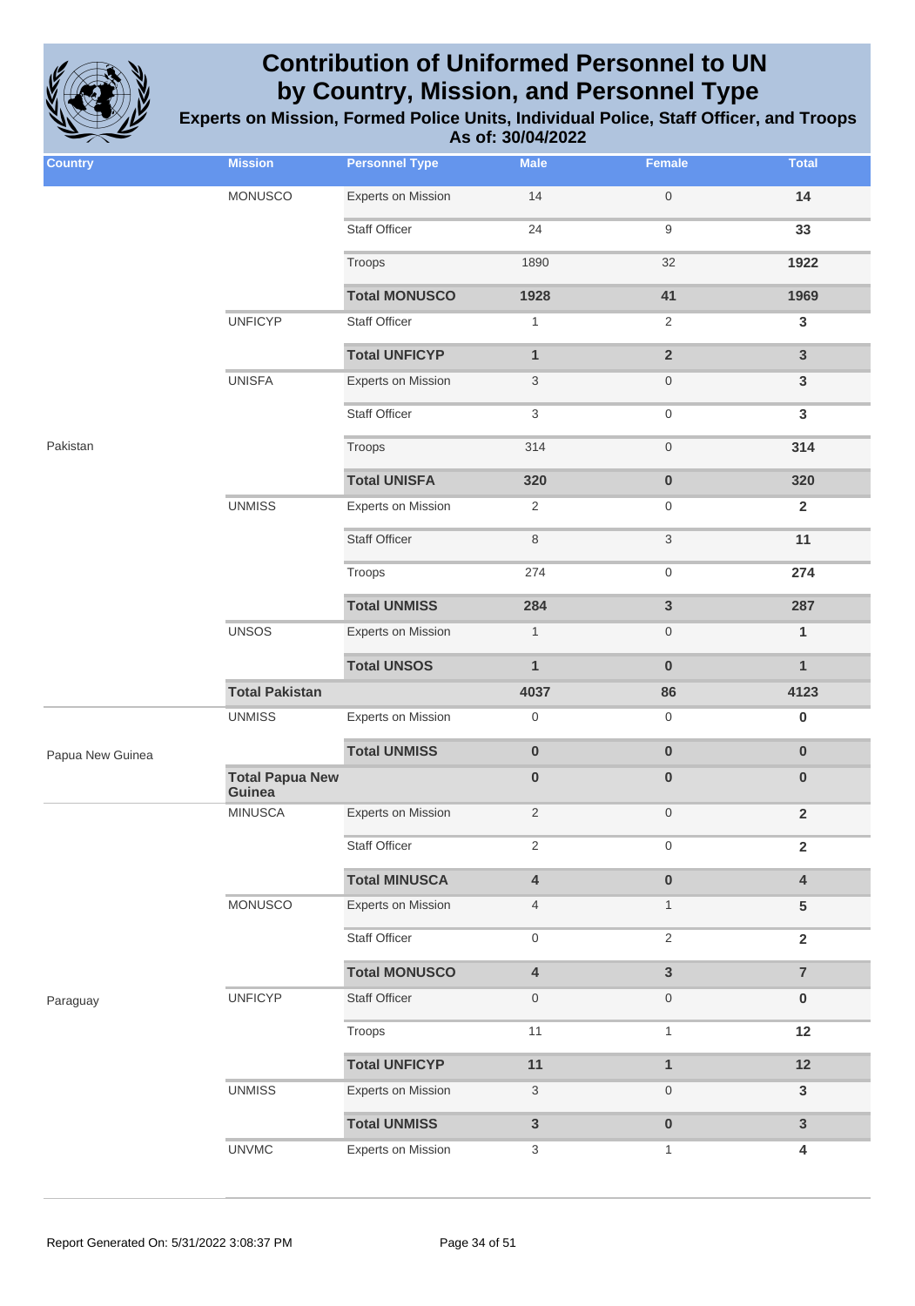

| <b>Country</b>   | <b>Mission</b>                   | <b>Personnel Type</b>     | <b>Male</b>               | Female           | <b>Total</b>            |
|------------------|----------------------------------|---------------------------|---------------------------|------------------|-------------------------|
|                  | MONUSCO                          | Experts on Mission        | 14                        | $\mathbf 0$      | 14                      |
|                  |                                  | <b>Staff Officer</b>      | 24                        | 9                | 33                      |
|                  |                                  | Troops                    | 1890                      | 32               | 1922                    |
|                  |                                  | <b>Total MONUSCO</b>      | 1928                      | 41               | 1969                    |
|                  | <b>UNFICYP</b>                   | <b>Staff Officer</b>      | $\mathbf{1}$              | 2                | $\mathbf{3}$            |
|                  |                                  | <b>Total UNFICYP</b>      | $\mathbf{1}$              | $\overline{2}$   | $\mathbf{3}$            |
|                  | <b>UNISFA</b>                    | Experts on Mission        | $\mathbf{3}$              | $\mathbf 0$      | $\mathsf 3$             |
|                  |                                  | <b>Staff Officer</b>      | $\sqrt{3}$                | $\mathbf 0$      | $\mathbf{3}$            |
| Pakistan         |                                  | Troops                    | 314                       | $\mathbf 0$      | 314                     |
|                  |                                  | <b>Total UNISFA</b>       | 320                       | $\pmb{0}$        | 320                     |
|                  | <b>UNMISS</b>                    | <b>Experts on Mission</b> | $\overline{2}$            | $\mathbf 0$      | $\overline{2}$          |
|                  |                                  | <b>Staff Officer</b>      | 8                         | 3                | 11                      |
|                  |                                  | Troops                    | 274                       | $\boldsymbol{0}$ | 274                     |
|                  |                                  | <b>Total UNMISS</b>       | 284                       | $\mathbf{3}$     | 287                     |
|                  | <b>UNSOS</b>                     | <b>Experts on Mission</b> | $\mathbf{1}$              | $\mathbf 0$      | $\mathbf{1}$            |
|                  |                                  | <b>Total UNSOS</b>        | $\mathbf{1}$              | $\bf{0}$         | $\mathbf{1}$            |
|                  | <b>Total Pakistan</b>            |                           | 4037                      | 86               | 4123                    |
|                  | <b>UNMISS</b>                    | <b>Experts on Mission</b> | $\mathsf{O}\xspace$       | $\boldsymbol{0}$ | $\pmb{0}$               |
| Papua New Guinea |                                  | <b>Total UNMISS</b>       | $\pmb{0}$                 | $\pmb{0}$        | $\bf{0}$                |
|                  | <b>Total Papua New</b><br>Guinea |                           | $\pmb{0}$                 | $\pmb{0}$        | $\bf{0}$                |
|                  | <b>MINUSCA</b>                   | Experts on Mission        | $\overline{2}$            | $\mathbf 0$      | $\overline{2}$          |
|                  |                                  | Staff Officer             | $\sqrt{2}$                | $\mathbf 0$      | $\overline{\mathbf{2}}$ |
|                  |                                  | <b>Total MINUSCA</b>      | $\pmb{4}$                 | $\pmb{0}$        | 4                       |
|                  | MONUSCO                          | Experts on Mission        | $\overline{4}$            | $\mathbf{1}$     | 5                       |
|                  |                                  | <b>Staff Officer</b>      | $\mathbf 0$               | 2                | $\overline{2}$          |
|                  |                                  | <b>Total MONUSCO</b>      | $\pmb{4}$                 | $\overline{3}$   | $\overline{7}$          |
| Paraguay         | <b>UNFICYP</b>                   | Staff Officer             | $\mathbf 0$               | $\mathbf 0$      | $\pmb{0}$               |
|                  |                                  | Troops                    | 11                        | $\mathbf{1}$     | 12                      |
|                  |                                  | <b>Total UNFICYP</b>      | 11                        | $\mathbf{1}$     | 12                      |
|                  | <b>UNMISS</b>                    | Experts on Mission        | $\mathbf{3}$              | $\mathbf 0$      | $\mathbf{3}$            |
|                  |                                  | <b>Total UNMISS</b>       | $\mathbf{3}$              | $\pmb{0}$        | $\mathbf{3}$            |
|                  | <b>UNVMC</b>                     | Experts on Mission        | $\ensuremath{\mathsf{3}}$ | $\mathbf{1}$     | 4                       |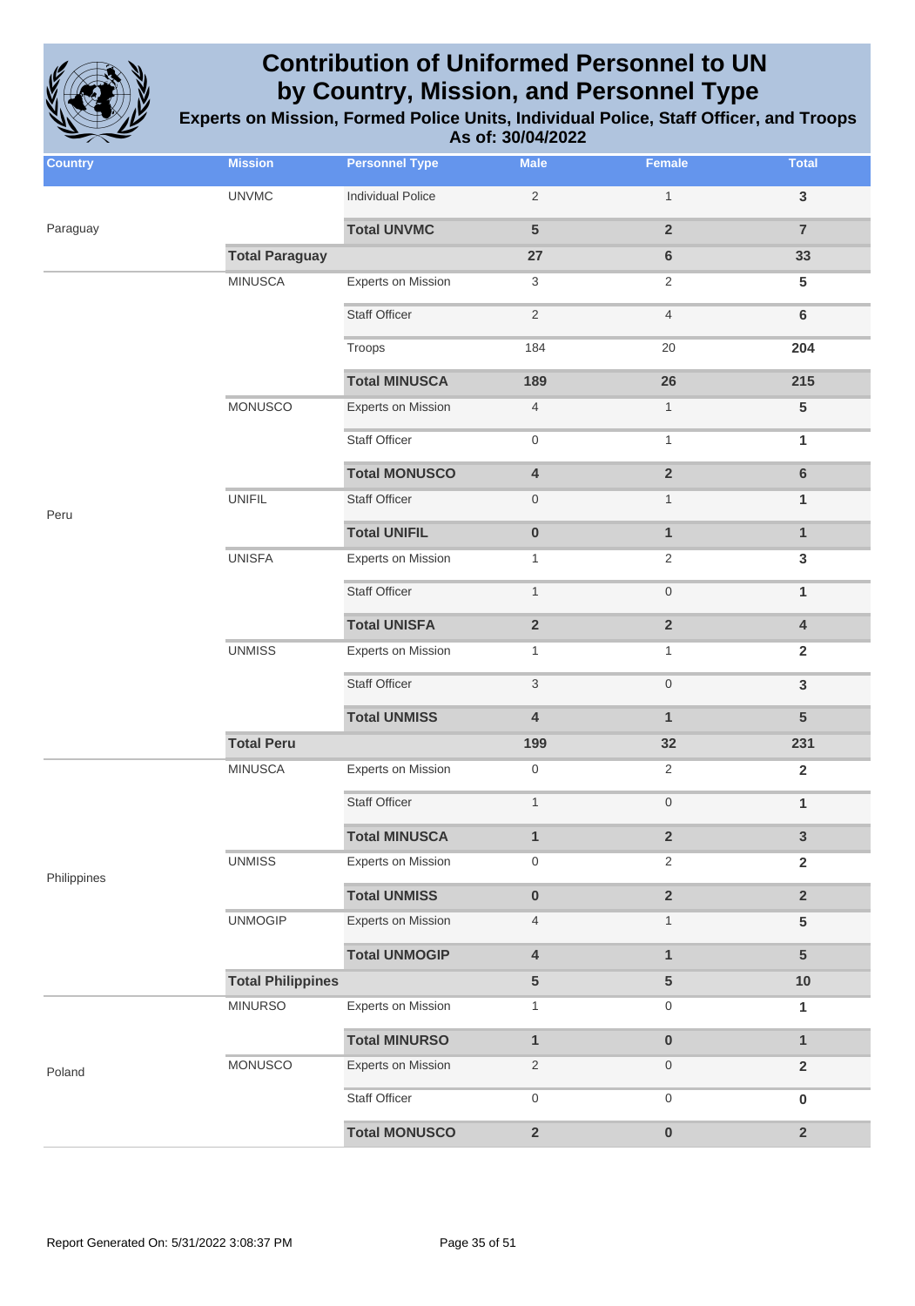

| <b>Country</b> | <b>Mission</b>           | <b>Personnel Type</b>     | <b>Male</b>               | Female                  | <b>Total</b>    |
|----------------|--------------------------|---------------------------|---------------------------|-------------------------|-----------------|
|                | <b>UNVMC</b>             | <b>Individual Police</b>  | $\sqrt{2}$                | $\mathbf{1}$            | $\mathbf{3}$    |
| Paraguay       |                          | <b>Total UNVMC</b>        | $5\phantom{1}$            | $\overline{2}$          | $\overline{7}$  |
|                | <b>Total Paraguay</b>    |                           | 27                        | 6                       | 33              |
|                | <b>MINUSCA</b>           | <b>Experts on Mission</b> | 3                         | $\overline{2}$          | $5\phantom{.0}$ |
|                |                          | <b>Staff Officer</b>      | $\sqrt{2}$                | $\overline{4}$          | $\bf 6$         |
|                |                          | Troops                    | 184                       | 20                      | 204             |
|                |                          | <b>Total MINUSCA</b>      | 189                       | 26                      | 215             |
|                | <b>MONUSCO</b>           | <b>Experts on Mission</b> | $\overline{4}$            | $\mathbf{1}$            | $\sqrt{5}$      |
|                |                          | <b>Staff Officer</b>      | 0                         | $\mathbf{1}$            | 1               |
|                |                          | <b>Total MONUSCO</b>      | $\overline{\mathbf{4}}$   | $\overline{\mathbf{2}}$ | $\bf 6$         |
| Peru           | <b>UNIFIL</b>            | <b>Staff Officer</b>      | $\boldsymbol{0}$          | $\mathbf{1}$            | $\mathbf{1}$    |
|                |                          | <b>Total UNIFIL</b>       | $\pmb{0}$                 | $\mathbf{1}$            | $\mathbf{1}$    |
|                | <b>UNISFA</b>            | <b>Experts on Mission</b> | $\mathbf{1}$              | $\overline{2}$          | $\mathbf{3}$    |
|                |                          | <b>Staff Officer</b>      | $\mathbf{1}$              | $\mathsf{O}\xspace$     | $\mathbf{1}$    |
|                |                          | <b>Total UNISFA</b>       | $\overline{\mathbf{2}}$   | $\mathbf 2$             | $\pmb{4}$       |
|                | <b>UNMISS</b>            | <b>Experts on Mission</b> | $\mathbf{1}$              | 1                       | $\overline{2}$  |
|                |                          | <b>Staff Officer</b>      | $\ensuremath{\mathsf{3}}$ | $\mathsf{O}\xspace$     | $\mathsf 3$     |
|                |                          | <b>Total UNMISS</b>       | 4                         | $\mathbf{1}$            | $5\phantom{1}$  |
|                | <b>Total Peru</b>        |                           | 199                       | 32                      | 231             |
|                | <b>MINUSCA</b>           | <b>Experts on Mission</b> | $\boldsymbol{0}$          | $\overline{2}$          | $\overline{2}$  |
|                |                          | <b>Staff Officer</b>      | $\mathbf{1}$              | $\mathsf{O}\xspace$     | $\mathbf{1}$    |
|                |                          | <b>Total MINUSCA</b>      | $\mathbf{1}$              | $\overline{\mathbf{2}}$ | 3               |
| Philippines    | <b>UNMISS</b>            | <b>Experts on Mission</b> | 0                         | 2                       | $\overline{2}$  |
|                |                          | <b>Total UNMISS</b>       | $\pmb{0}$                 | $\mathbf 2$             | $\overline{2}$  |
|                | <b>UNMOGIP</b>           | <b>Experts on Mission</b> | $\overline{4}$            | $\mathbf{1}$            | $\sqrt{5}$      |
|                |                          | <b>Total UNMOGIP</b>      | $\overline{\mathbf{4}}$   | $\mathbf{1}$            | $5\phantom{.0}$ |
|                | <b>Total Philippines</b> |                           | $\sqrt{5}$                | $\sqrt{5}$              | 10              |
|                | <b>MINURSO</b>           | <b>Experts on Mission</b> | $\mathbf{1}$              | $\boldsymbol{0}$        | $\mathbf{1}$    |
|                |                          | <b>Total MINURSO</b>      | $\mathbf{1}$              | $\pmb{0}$               | $\mathbf{1}$    |
| Poland         | MONUSCO                  | <b>Experts on Mission</b> | $\overline{c}$            | $\boldsymbol{0}$        | $\mathbf 2$     |
|                |                          | <b>Staff Officer</b>      | 0                         | $\boldsymbol{0}$        | $\pmb{0}$       |
|                |                          | <b>Total MONUSCO</b>      | $\overline{\mathbf{2}}$   | $\pmb{0}$               | $\mathbf 2$     |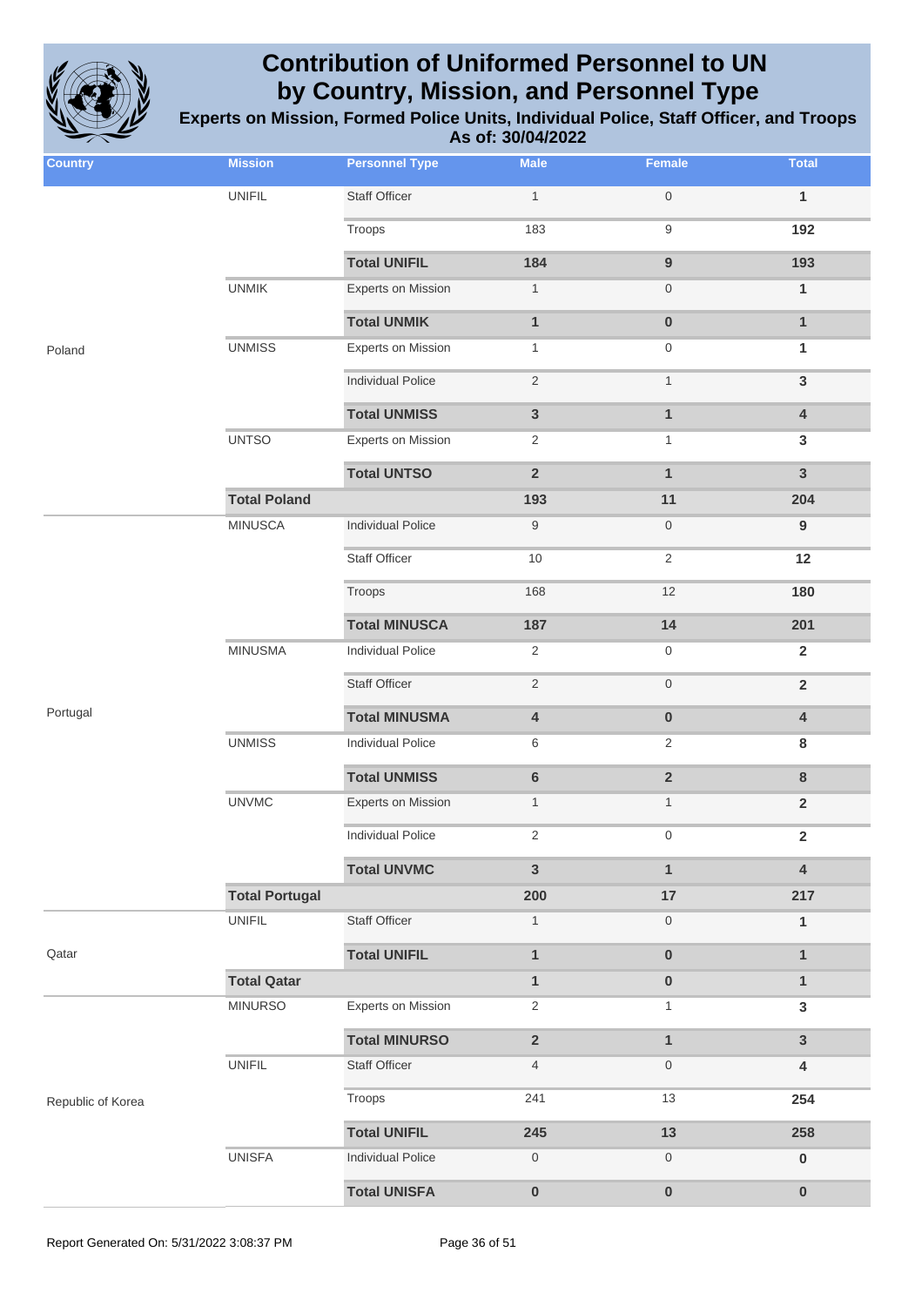

| <b>Country</b>    | <b>Mission</b>        | <b>Personnel Type</b>     | <b>Male</b>             | Female                  | <b>Total</b>            |
|-------------------|-----------------------|---------------------------|-------------------------|-------------------------|-------------------------|
|                   | <b>UNIFIL</b>         | <b>Staff Officer</b>      | $\mathbf{1}$            | $\mathsf{O}\xspace$     | $\mathbf{1}$            |
|                   |                       | Troops                    | 183                     | $\boldsymbol{9}$        | 192                     |
|                   |                       | <b>Total UNIFIL</b>       | 184                     | $\boldsymbol{9}$        | 193                     |
|                   | <b>UNMIK</b>          | <b>Experts on Mission</b> | $\mathbf{1}$            | $\boldsymbol{0}$        | $\mathbf{1}$            |
|                   |                       | <b>Total UNMIK</b>        | $\mathbf{1}$            | $\pmb{0}$               | $\mathbf{1}$            |
| Poland            | <b>UNMISS</b>         | <b>Experts on Mission</b> | $\mathbf{1}$            | $\boldsymbol{0}$        | 1                       |
|                   |                       | <b>Individual Police</b>  | $\sqrt{2}$              | $\mathbf{1}$            | $\mathsf 3$             |
|                   |                       | <b>Total UNMISS</b>       | $\mathbf{3}$            | $\mathbf{1}$            | $\pmb{4}$               |
|                   | <b>UNTSO</b>          | <b>Experts on Mission</b> | $\overline{2}$          | $\mathbf{1}$            | 3                       |
|                   |                       | <b>Total UNTSO</b>        | $\overline{2}$          | $\mathbf{1}$            | $\mathbf{3}$            |
|                   | <b>Total Poland</b>   |                           | 193                     | 11                      | 204                     |
|                   | <b>MINUSCA</b>        | <b>Individual Police</b>  | $\boldsymbol{9}$        | $\boldsymbol{0}$        | $\boldsymbol{9}$        |
|                   |                       | <b>Staff Officer</b>      | 10                      | $\overline{2}$          | 12                      |
|                   |                       | Troops                    | 168                     | 12                      | 180                     |
|                   |                       | <b>Total MINUSCA</b>      | 187                     | 14                      | 201                     |
|                   | <b>MINUSMA</b>        | <b>Individual Police</b>  | $\overline{2}$          | $\boldsymbol{0}$        | $\overline{2}$          |
|                   |                       | <b>Staff Officer</b>      | $\sqrt{2}$              | $\mathsf{O}\xspace$     | $\mathbf 2$             |
| Portugal          |                       | <b>Total MINUSMA</b>      | $\overline{\mathbf{4}}$ | $\pmb{0}$               | $\pmb{4}$               |
|                   | <b>UNMISS</b>         | <b>Individual Police</b>  | 6                       | $\overline{2}$          | 8                       |
|                   |                       | <b>Total UNMISS</b>       | $\bf 6$                 | $\overline{\mathbf{2}}$ | $\bf 8$                 |
|                   | <b>UNVMC</b>          | <b>Experts on Mission</b> | $\mathbf{1}$            | $\mathbf{1}$            | $\overline{2}$          |
|                   |                       | <b>Individual Police</b>  | 2                       | $\mathbf{0}$            | $\overline{\mathbf{2}}$ |
|                   |                       | <b>Total UNVMC</b>        | 3                       | $\mathbf{1}$            | $\overline{\mathbf{4}}$ |
|                   | <b>Total Portugal</b> |                           | 200                     | $17$                    | 217                     |
|                   | <b>UNIFIL</b>         | <b>Staff Officer</b>      | $\mathbf{1}$            | $\boldsymbol{0}$        | $\mathbf{1}$            |
| Qatar             |                       | <b>Total UNIFIL</b>       | $\mathbf{1}$            | $\bf{0}$                | $\mathbf{1}$            |
|                   | <b>Total Qatar</b>    |                           | $\mathbf{1}$            | $\pmb{0}$               | $\mathbf{1}$            |
|                   | <b>MINURSO</b>        | <b>Experts on Mission</b> | $\overline{c}$          | 1                       | $\mathbf{3}$            |
|                   |                       | <b>Total MINURSO</b>      | $\overline{\mathbf{2}}$ | $\mathbf{1}$            | $\mathbf{3}$            |
|                   | <b>UNIFIL</b>         | <b>Staff Officer</b>      | $\overline{4}$          | $\boldsymbol{0}$        | 4                       |
| Republic of Korea |                       | Troops                    | 241                     | 13                      | 254                     |
|                   |                       | <b>Total UNIFIL</b>       | 245                     | 13                      | 258                     |
|                   | <b>UNISFA</b>         | <b>Individual Police</b>  | $\mathsf{O}\xspace$     | $\boldsymbol{0}$        | $\pmb{0}$               |
|                   |                       | <b>Total UNISFA</b>       | $\pmb{0}$               | $\pmb{0}$               | $\pmb{0}$               |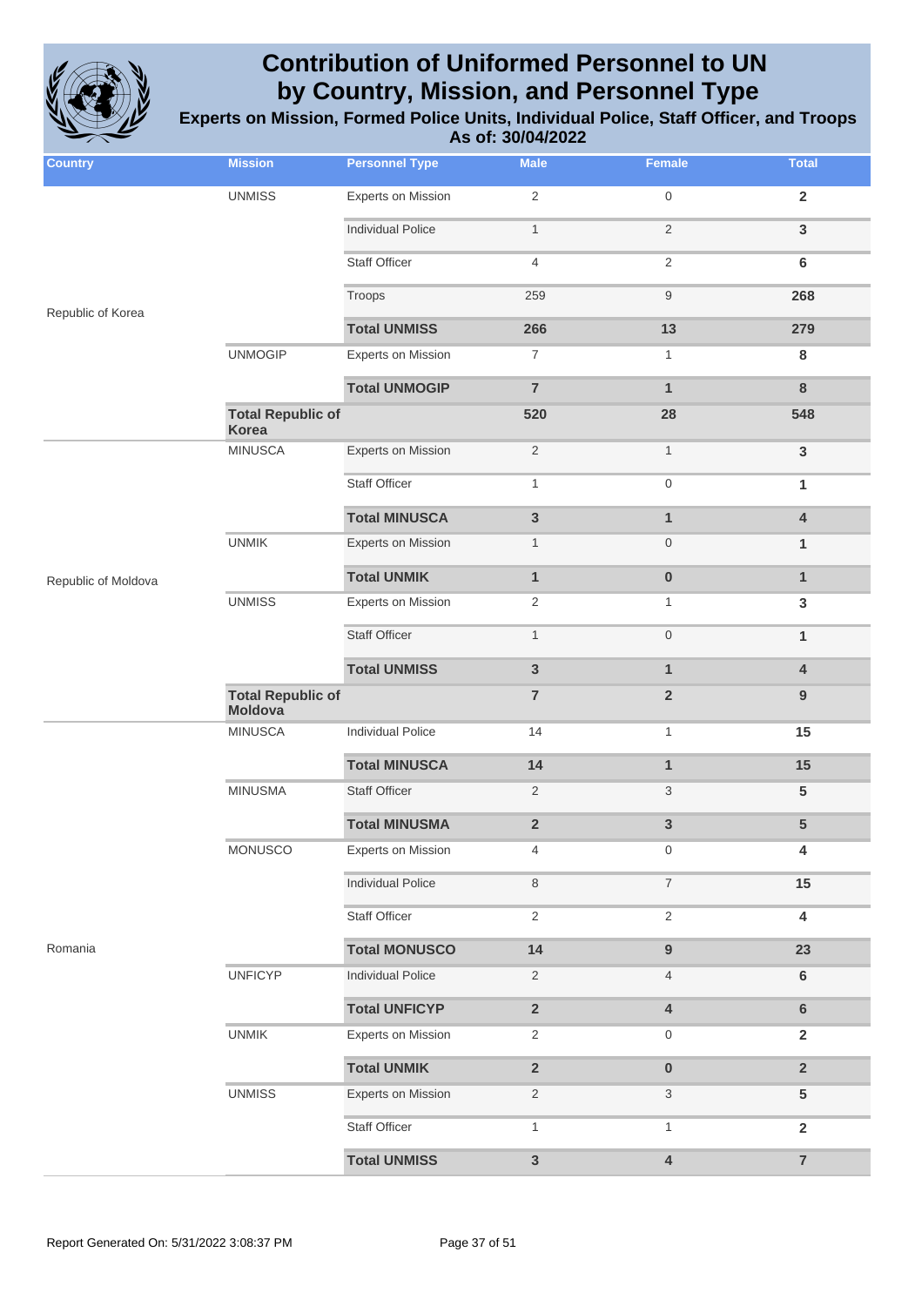

| <b>Country</b>      | <b>Mission</b>                           | <b>Personnel Type</b>     | <b>Male</b>    | Female                  | <b>Total</b>            |
|---------------------|------------------------------------------|---------------------------|----------------|-------------------------|-------------------------|
|                     | <b>UNMISS</b>                            | <b>Experts on Mission</b> | $\sqrt{2}$     | $\mathbf 0$             | $\overline{2}$          |
|                     |                                          | <b>Individual Police</b>  | $\mathbf{1}$   | $\overline{2}$          | $\mathsf 3$             |
|                     |                                          | <b>Staff Officer</b>      | 4              | $\overline{2}$          | $\bf 6$                 |
|                     |                                          | Troops                    | 259            | $\boldsymbol{9}$        | 268                     |
| Republic of Korea   |                                          | <b>Total UNMISS</b>       | 266            | 13                      | 279                     |
|                     | <b>UNMOGIP</b>                           | <b>Experts on Mission</b> | $\overline{7}$ | $\mathbf{1}$            | ${\bf 8}$               |
|                     |                                          | <b>Total UNMOGIP</b>      | $\overline{7}$ | $\mathbf{1}$            | $\bf 8$                 |
|                     | <b>Total Republic of</b><br><b>Korea</b> |                           | 520            | 28                      | 548                     |
|                     | <b>MINUSCA</b>                           | <b>Experts on Mission</b> | $\sqrt{2}$     | $\mathbf{1}$            | $\mathbf{3}$            |
|                     |                                          | <b>Staff Officer</b>      | $\mathbf{1}$   | $\boldsymbol{0}$        | 1                       |
|                     |                                          | <b>Total MINUSCA</b>      | $\mathsf 3$    | $\mathbf{1}$            | $\pmb{4}$               |
|                     | <b>UNMIK</b>                             | <b>Experts on Mission</b> | $\mathbf{1}$   | $\boldsymbol{0}$        | 1                       |
| Republic of Moldova |                                          | <b>Total UNMIK</b>        | $\mathbf{1}$   | $\pmb{0}$               | $\mathbf{1}$            |
|                     | <b>UNMISS</b>                            | <b>Experts on Mission</b> | $\sqrt{2}$     | $\mathbf{1}$            | $\mathsf 3$             |
|                     |                                          | <b>Staff Officer</b>      | $\mathbf{1}$   | $\boldsymbol{0}$        | 1                       |
|                     |                                          | <b>Total UNMISS</b>       | $\mathsf 3$    | $\mathbf{1}$            | 4                       |
|                     | <b>Total Republic of</b><br>Moldova      |                           | $\overline{7}$ | $\mathbf 2$             | $9\,$                   |
|                     | <b>MINUSCA</b>                           | <b>Individual Police</b>  | 14             | $\mathbf{1}$            | 15                      |
|                     |                                          | <b>Total MINUSCA</b>      | 14             | $\mathbf{1}$            | 15                      |
|                     | <b>MINUSMA</b>                           | <b>Staff Officer</b>      | $\overline{2}$ | 3                       | 5                       |
|                     |                                          | <b>Total MINUSMA</b>      | $\mathbf 2$    | $\mathbf{3}$            | 5                       |
|                     | MONUSCO                                  | <b>Experts on Mission</b> | 4              | $\mathbf 0$             | 4                       |
|                     |                                          | <b>Individual Police</b>  | $\,8\,$        | $\overline{7}$          | 15                      |
|                     |                                          | <b>Staff Officer</b>      | $\sqrt{2}$     | $\sqrt{2}$              | $\overline{\mathbf{4}}$ |
| Romania             |                                          | <b>Total MONUSCO</b>      | 14             | $\boldsymbol{9}$        | 23                      |
|                     | <b>UNFICYP</b>                           | <b>Individual Police</b>  | $\overline{2}$ | 4                       | $\bf 6$                 |
|                     |                                          | <b>Total UNFICYP</b>      | $\mathbf 2$    | $\pmb{4}$               | $\bf 6$                 |
|                     | <b>UNMIK</b>                             | <b>Experts on Mission</b> | $\sqrt{2}$     | $\mathbf 0$             | $\overline{2}$          |
|                     |                                          | <b>Total UNMIK</b>        | $\mathbf 2$    | $\pmb{0}$               | $\mathbf 2$             |
|                     | <b>UNMISS</b>                            | Experts on Mission        | $\overline{2}$ | 3                       | 5                       |
|                     |                                          | <b>Staff Officer</b>      | $\mathbf{1}$   | $\mathbf{1}$            | $\overline{2}$          |
|                     |                                          | <b>Total UNMISS</b>       | $\mathbf{3}$   | $\overline{\mathbf{4}}$ | $\overline{7}$          |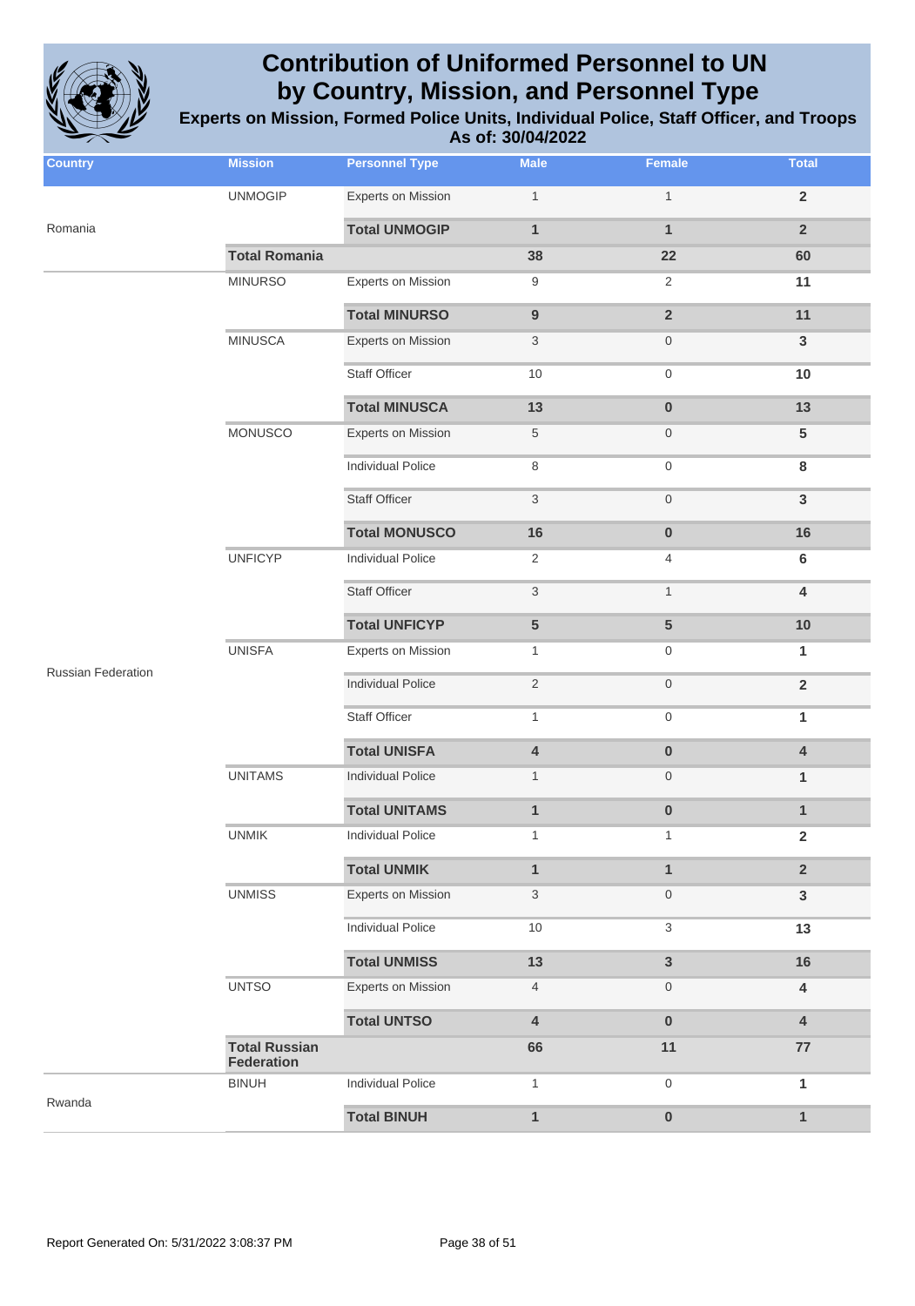

| <b>Country</b>            | <b>Mission</b>                            | <b>Personnel Type</b>     | <b>Male</b>               | <b>Female</b>           | <b>Total</b>            |
|---------------------------|-------------------------------------------|---------------------------|---------------------------|-------------------------|-------------------------|
|                           | <b>UNMOGIP</b>                            | <b>Experts on Mission</b> | $\mathbf{1}$              | $\mathbf{1}$            | $\mathbf 2$             |
| Romania                   |                                           | <b>Total UNMOGIP</b>      | $\mathbf{1}$              | $\mathbf{1}$            | $\overline{2}$          |
|                           | <b>Total Romania</b>                      |                           | 38                        | 22                      | 60                      |
|                           | <b>MINURSO</b>                            | <b>Experts on Mission</b> | 9                         | $\overline{2}$          | 11                      |
|                           |                                           | <b>Total MINURSO</b>      | $\boldsymbol{9}$          | $\overline{\mathbf{2}}$ | 11                      |
|                           | <b>MINUSCA</b>                            | <b>Experts on Mission</b> | $\ensuremath{\mathsf{3}}$ | $\boldsymbol{0}$        | $\mathsf 3$             |
|                           |                                           | <b>Staff Officer</b>      | 10                        | $\mathsf{O}\xspace$     | 10                      |
|                           |                                           | <b>Total MINUSCA</b>      | 13                        | $\pmb{0}$               | 13                      |
|                           | <b>MONUSCO</b>                            | <b>Experts on Mission</b> | 5                         | $\boldsymbol{0}$        | 5                       |
|                           |                                           | <b>Individual Police</b>  | 8                         | $\mathsf{O}$            | 8                       |
|                           |                                           | <b>Staff Officer</b>      | 3                         | $\boldsymbol{0}$        | $\mathsf 3$             |
|                           |                                           | <b>Total MONUSCO</b>      | 16                        | $\pmb{0}$               | 16                      |
|                           | <b>UNFICYP</b>                            | <b>Individual Police</b>  | 2                         | 4                       | 6                       |
|                           |                                           | <b>Staff Officer</b>      | $\sqrt{3}$                | $\mathbf{1}$            | 4                       |
|                           |                                           | <b>Total UNFICYP</b>      | 5                         | 5                       | 10                      |
|                           | <b>UNISFA</b>                             | <b>Experts on Mission</b> | $\mathbf{1}$              | $\boldsymbol{0}$        | $\mathbf{1}$            |
| <b>Russian Federation</b> |                                           | <b>Individual Police</b>  | $\sqrt{2}$                | $\boldsymbol{0}$        | $\mathbf 2$             |
|                           |                                           | <b>Staff Officer</b>      | $\mathbf{1}$              | 0                       | 1                       |
|                           |                                           | <b>Total UNISFA</b>       | 4                         | $\pmb{0}$               | 4                       |
|                           | <b>UNITAMS</b>                            | <b>Individual Police</b>  | $\mathbf{1}$              | $\boldsymbol{0}$        | 1                       |
|                           |                                           | <b>Total UNITAMS</b>      | $\mathbf{1}$              | $\pmb{0}$               | $\mathbf{1}$            |
|                           | <b>UNMIK</b>                              | Individual Police         | $\mathbf{1}$              | $\mathbf{1}$            | $\overline{\mathbf{2}}$ |
|                           |                                           | <b>Total UNMIK</b>        | $\mathbf{1}$              | $\mathbf{1}$            | $\overline{2}$          |
|                           | <b>UNMISS</b>                             | <b>Experts on Mission</b> | $\ensuremath{\mathsf{3}}$ | $\boldsymbol{0}$        | $\mathbf{3}$            |
|                           |                                           | <b>Individual Police</b>  | $10$                      | 3                       | 13                      |
|                           |                                           | <b>Total UNMISS</b>       | 13                        | 3                       | 16                      |
|                           | <b>UNTSO</b>                              | <b>Experts on Mission</b> | 4                         | $\boldsymbol{0}$        | 4                       |
|                           |                                           | <b>Total UNTSO</b>        | $\overline{\mathbf{4}}$   | $\pmb{0}$               | $\overline{\mathbf{4}}$ |
|                           | <b>Total Russian</b><br><b>Federation</b> |                           | 66                        | 11                      | ${\bf 77}$              |
|                           | <b>BINUH</b>                              | <b>Individual Police</b>  | $\mathbf{1}$              | 0                       | 1                       |
| Rwanda                    |                                           | <b>Total BINUH</b>        | $\mathbf{1}$              | $\pmb{0}$               | $\mathbf{1}$            |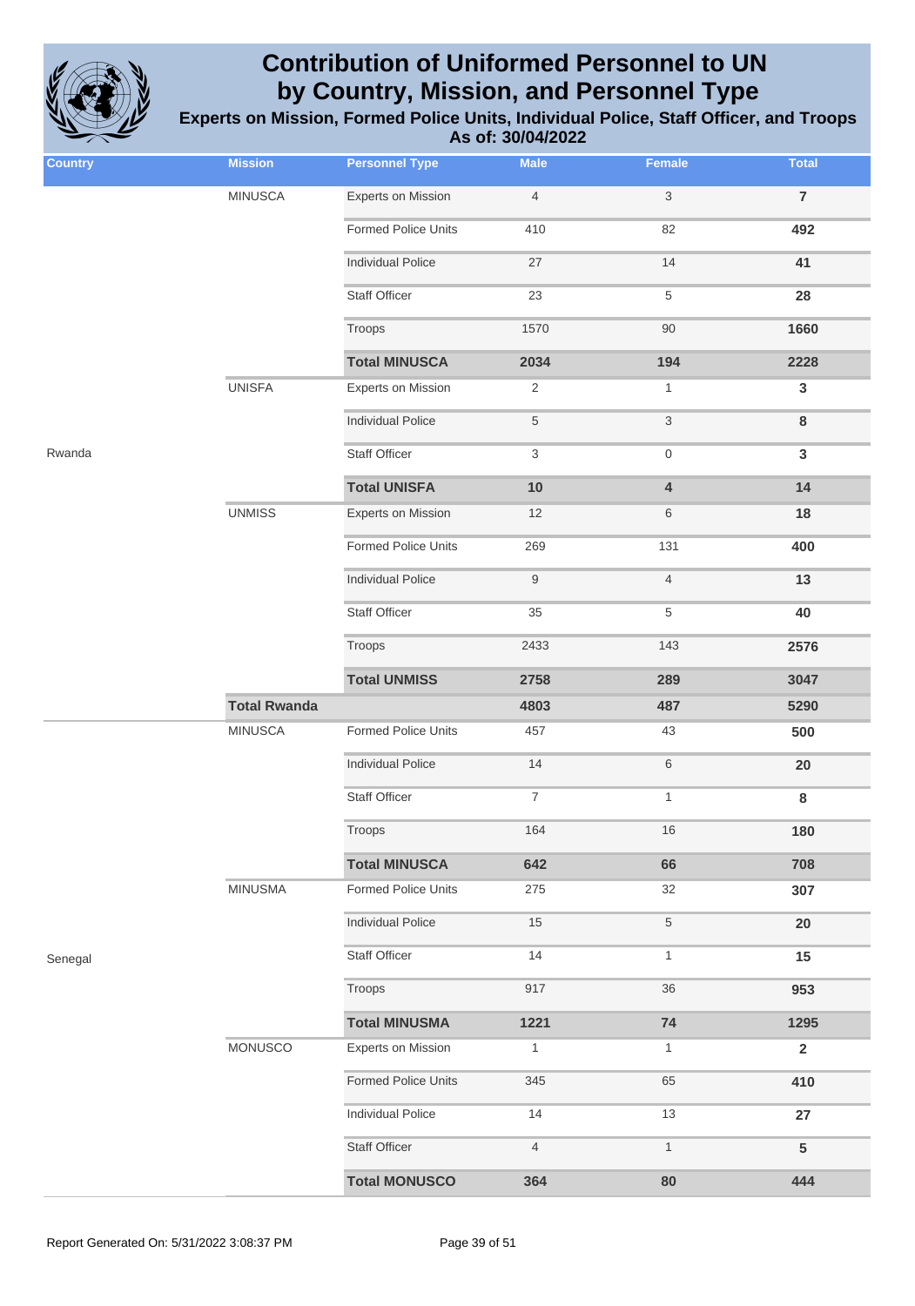

| <b>Country</b> | <b>Mission</b>      | <b>Personnel Type</b>      | <b>Male</b>      | Female                    | <b>Total</b>    |
|----------------|---------------------|----------------------------|------------------|---------------------------|-----------------|
|                |                     |                            |                  |                           |                 |
|                | <b>MINUSCA</b>      | <b>Experts on Mission</b>  | $\overline{4}$   | $\ensuremath{\mathsf{3}}$ | $\overline{7}$  |
|                |                     | <b>Formed Police Units</b> | 410              | 82                        | 492             |
|                |                     | <b>Individual Police</b>   | 27               | 14                        | 41              |
|                |                     | <b>Staff Officer</b>       | 23               | $\,$ 5 $\,$               | 28              |
|                |                     | Troops                     | 1570             | 90                        | 1660            |
|                |                     | <b>Total MINUSCA</b>       | 2034             | 194                       | 2228            |
|                | <b>UNISFA</b>       | <b>Experts on Mission</b>  | $\overline{2}$   | $\mathbf{1}$              | $\mathbf{3}$    |
|                |                     | <b>Individual Police</b>   | $\,$ 5 $\,$      | $\ensuremath{\mathsf{3}}$ | $\bf 8$         |
| Rwanda         |                     | Staff Officer              | 3                | $\mathbf 0$               | $\mathbf{3}$    |
|                |                     | <b>Total UNISFA</b>        | 10               | $\overline{\mathbf{4}}$   | 14              |
|                | <b>UNMISS</b>       | Experts on Mission         | 12               | 6                         | 18              |
|                |                     | <b>Formed Police Units</b> | 269              | 131                       | 400             |
|                |                     | <b>Individual Police</b>   | $9$              | $\overline{4}$            | 13              |
|                |                     | Staff Officer              | 35               | $\,$ 5 $\,$               | 40              |
|                |                     | Troops                     | 2433             | 143                       | 2576            |
|                |                     | <b>Total UNMISS</b>        | 2758             | 289                       | 3047            |
|                | <b>Total Rwanda</b> |                            | 4803             | 487                       | 5290            |
|                | <b>MINUSCA</b>      | <b>Formed Police Units</b> | 457              | 43                        | 500             |
|                |                     | <b>Individual Police</b>   | 14               | $\,6\,$                   | 20              |
|                |                     | Staff Officer              | $\boldsymbol{7}$ | $\mathbf{1}$              | $\bf8$          |
|                |                     | Troops                     | 164              | 16                        | 180             |
|                |                     | <b>Total MINUSCA</b>       | 642              | 66                        | 708             |
|                | <b>MINUSMA</b>      | Formed Police Units        | 275              | $32\,$                    | 307             |
|                |                     | <b>Individual Police</b>   | 15               | $\,$ 5 $\,$               | 20              |
| Senegal        |                     | <b>Staff Officer</b>       | 14               | $\mathbf{1}$              | 15              |
|                |                     | Troops                     | 917              | 36                        | 953             |
|                |                     | <b>Total MINUSMA</b>       | 1221             | 74                        | 1295            |
|                | MONUSCO             | <b>Experts on Mission</b>  | $\mathbf{1}$     | $\mathbf{1}$              | $\overline{2}$  |
|                |                     | <b>Formed Police Units</b> | 345              | 65                        | 410             |
|                |                     | <b>Individual Police</b>   | 14               | 13                        | 27              |
|                |                     | Staff Officer              | $\overline{4}$   | $\mathbf{1}$              | $5\phantom{.0}$ |
|                |                     | <b>Total MONUSCO</b>       | 364              | 80                        | 444             |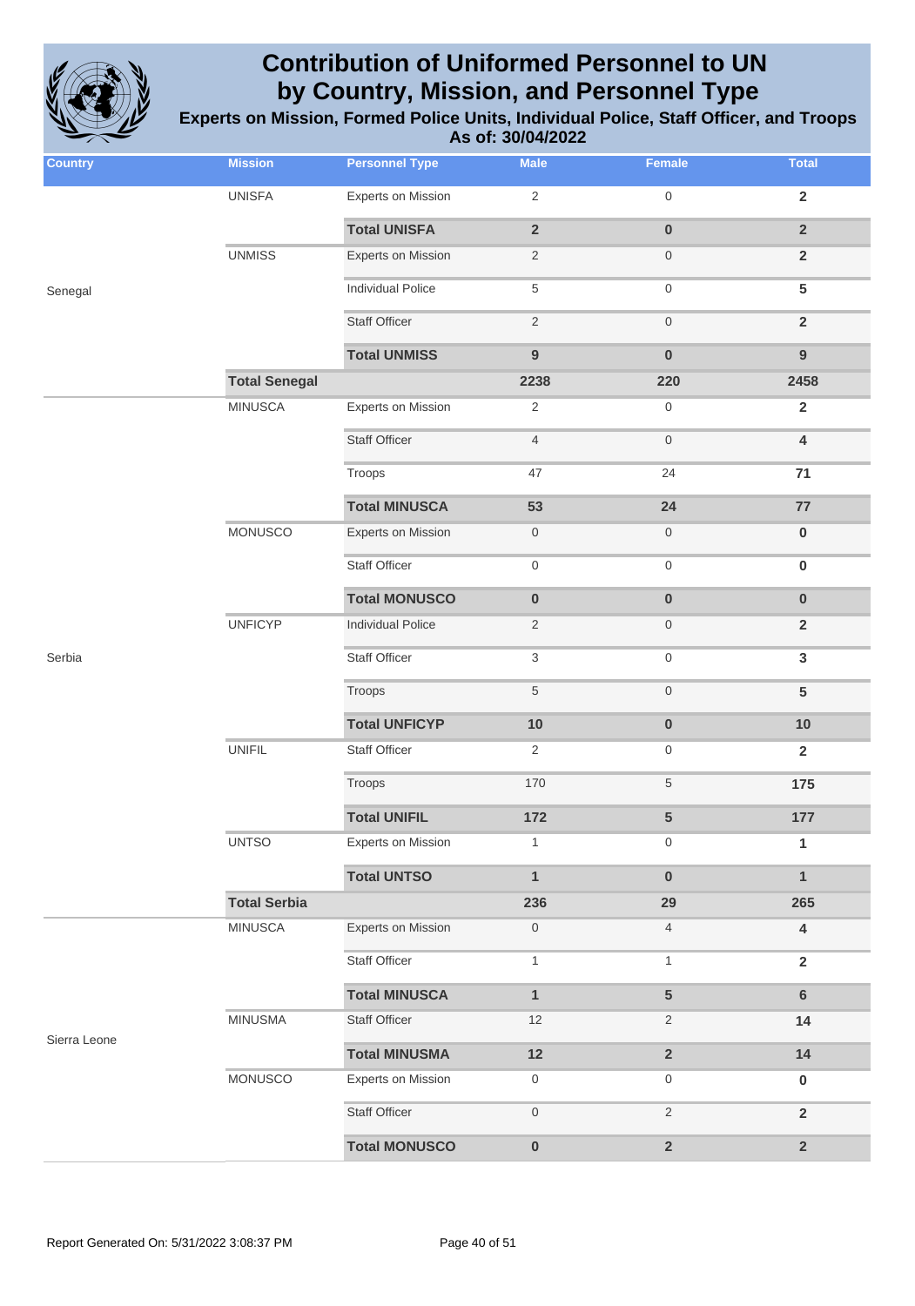

| <b>Country</b> | <b>Mission</b>       | <b>Personnel Type</b>     | <b>Male</b>             | Female                  | <b>Total</b>            |
|----------------|----------------------|---------------------------|-------------------------|-------------------------|-------------------------|
|                | <b>UNISFA</b>        | <b>Experts on Mission</b> | $\sqrt{2}$              | $\mathbf 0$             | $\overline{2}$          |
|                |                      | <b>Total UNISFA</b>       | $\overline{\mathbf{2}}$ | $\pmb{0}$               | $\overline{2}$          |
|                | <b>UNMISS</b>        | <b>Experts on Mission</b> | $\overline{c}$          | $\mathsf{O}$            | $\overline{2}$          |
| Senegal        |                      | <b>Individual Police</b>  | $\sqrt{5}$              | $\,0\,$                 | 5                       |
|                |                      | <b>Staff Officer</b>      | $\sqrt{2}$              | $\,0\,$                 | $\overline{2}$          |
|                |                      | <b>Total UNMISS</b>       | $\overline{9}$          | $\bf{0}$                | $\overline{9}$          |
|                | <b>Total Senegal</b> |                           | 2238                    | 220                     | 2458                    |
|                | <b>MINUSCA</b>       | <b>Experts on Mission</b> | $\sqrt{2}$              | $\mathsf{O}$            | $\overline{2}$          |
|                |                      | <b>Staff Officer</b>      | $\overline{4}$          | $\,0\,$                 | $\overline{\mathbf{4}}$ |
|                |                      | Troops                    | 47                      | 24                      | 71                      |
|                |                      | <b>Total MINUSCA</b>      | 53                      | 24                      | 77                      |
|                | <b>MONUSCO</b>       | <b>Experts on Mission</b> | $\boldsymbol{0}$        | $\boldsymbol{0}$        | $\pmb{0}$               |
|                |                      | <b>Staff Officer</b>      | $\boldsymbol{0}$        | $\,0\,$                 | $\pmb{0}$               |
|                |                      | <b>Total MONUSCO</b>      | $\pmb{0}$               | $\pmb{0}$               | $\pmb{0}$               |
|                | <b>UNFICYP</b>       | <b>Individual Police</b>  | $\overline{2}$          | $\mathsf{O}$            | $\overline{2}$          |
| Serbia         |                      | <b>Staff Officer</b>      | 3                       | $\boldsymbol{0}$        | $\mathbf{3}$            |
|                |                      | Troops                    | $\sqrt{5}$              | $\mathbf 0$             | $5\phantom{1}$          |
|                |                      | <b>Total UNFICYP</b>      | 10                      | $\pmb{0}$               | 10                      |
|                | <b>UNIFIL</b>        | <b>Staff Officer</b>      | $\overline{2}$          | $\boldsymbol{0}$        | $\overline{2}$          |
|                |                      | Troops                    | 170                     | $\,$ 5 $\,$             | 175                     |
|                |                      | <b>Total UNIFIL</b>       | 172                     | 5                       | 177                     |
|                | <b>UNTSO</b>         | <b>Experts on Mission</b> | $\mathbf{1}$            | $\boldsymbol{0}$        | 1                       |
|                |                      | <b>Total UNTSO</b>        | $\mathbf{1}$            | $\mathbf 0$             | $\mathbf{1}$            |
|                | <b>Total Serbia</b>  |                           | 236                     | 29                      | 265                     |
|                | <b>MINUSCA</b>       | <b>Experts on Mission</b> | $\boldsymbol{0}$        | $\overline{4}$          | 4                       |
|                |                      | <b>Staff Officer</b>      | $\mathbf{1}$            | $\mathbf{1}$            | $\mathbf{2}$            |
|                |                      | <b>Total MINUSCA</b>      | $\mathbf{1}$            | $\overline{\mathbf{5}}$ | $6\phantom{a}$          |
| Sierra Leone   | <b>MINUSMA</b>       | Staff Officer             | 12                      | $\overline{2}$          | 14                      |
|                |                      | <b>Total MINUSMA</b>      | 12                      | $\overline{2}$          | 14                      |
|                | MONUSCO              | <b>Experts on Mission</b> | $\boldsymbol{0}$        | $\boldsymbol{0}$        | $\pmb{0}$               |
|                |                      | <b>Staff Officer</b>      | $\mathsf{O}\xspace$     | $\sqrt{2}$              | $\overline{2}$          |
|                |                      | <b>Total MONUSCO</b>      | $\pmb{0}$               | $\mathbf 2$             | $\overline{\mathbf{2}}$ |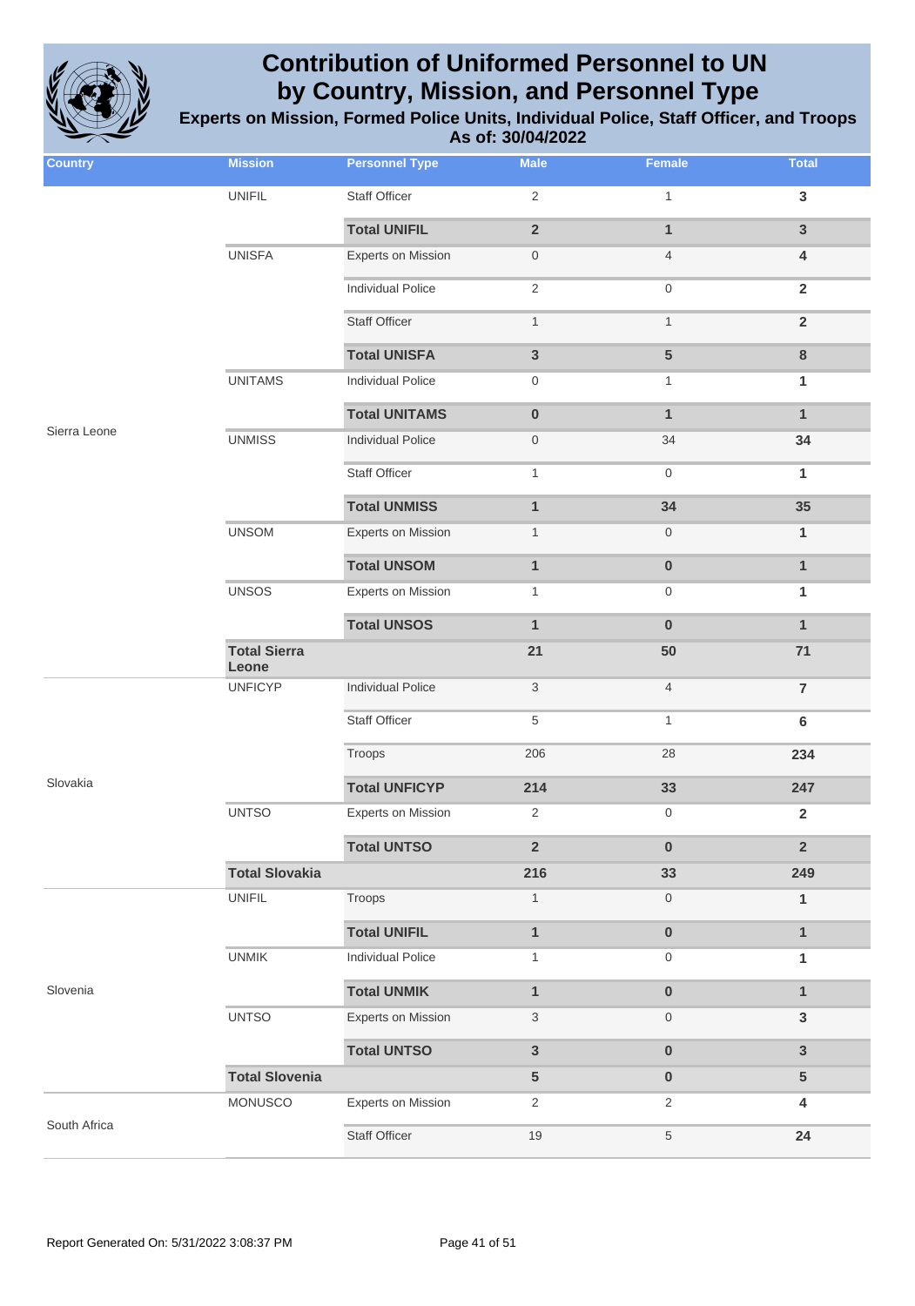

**Experts on Mission, Formed Police Units, Individual Police, Staff Officer, and Troops As of: 30/04/2022**

| <b>Country</b> | <b>Mission</b>               | <b>Personnel Type</b>     | <b>Male</b>      | <b>Female</b>  | <b>Total</b>            |
|----------------|------------------------------|---------------------------|------------------|----------------|-------------------------|
|                | <b>UNIFIL</b>                | Staff Officer             | $\overline{2}$   | $\mathbf{1}$   | $\mathbf{3}$            |
|                |                              | <b>Total UNIFIL</b>       | $\overline{2}$   | $\mathbf{1}$   | $\overline{3}$          |
|                | <b>UNISFA</b>                | <b>Experts on Mission</b> | $\boldsymbol{0}$ | $\overline{4}$ | $\overline{\mathbf{4}}$ |
|                |                              | <b>Individual Police</b>  | $\overline{2}$   | 0              | $\overline{2}$          |
|                |                              | <b>Staff Officer</b>      | $\mathbf{1}$     | $\mathbf{1}$   | $\overline{2}$          |
|                |                              | <b>Total UNISFA</b>       | $\mathbf{3}$     | 5              | $\bf 8$                 |
|                | <b>UNITAMS</b>               | <b>Individual Police</b>  | $\mathbf 0$      | $\mathbf{1}$   | 1                       |
|                |                              | <b>Total UNITAMS</b>      | $\pmb{0}$        | $\mathbf{1}$   | $\mathbf{1}$            |
| Sierra Leone   | <b>UNMISS</b>                | <b>Individual Police</b>  | $\boldsymbol{0}$ | 34             | 34                      |
|                |                              | <b>Staff Officer</b>      | $\mathbf{1}$     | 0              | 1                       |
|                |                              | <b>Total UNMISS</b>       | $\mathbf{1}$     | 34             | 35                      |
|                | <b>UNSOM</b>                 | Experts on Mission        | $\mathbf{1}$     | 0              | $\mathbf{1}$            |
|                |                              | <b>Total UNSOM</b>        | $\mathbf{1}$     | $\bf{0}$       | $\mathbf{1}$            |
|                | <b>UNSOS</b>                 | Experts on Mission        | 1                | 0              | 1                       |
|                |                              | <b>Total UNSOS</b>        | $\mathbf{1}$     | $\bf{0}$       | $\mathbf{1}$            |
|                | <b>Total Sierra</b><br>Leone |                           | 21               | 50             | 71                      |
|                | <b>UNFICYP</b>               | <b>Individual Police</b>  | $\mathbf{3}$     | $\overline{4}$ | $\overline{7}$          |
|                |                              | Staff Officer             | 5                | $\mathbf{1}$   | $6\phantom{1}$          |
|                |                              | Troops                    | 206              | 28             | 234                     |
| Slovakia       |                              | <b>Total UNFICYP</b>      | 214              | 33             | 247                     |
|                | <b>UNTSO</b>                 | <b>Experts on Mission</b> | $\overline{2}$   | 0              | $\mathbf{2}$            |
|                |                              | <b>Total UNTSO</b>        | $\mathbf 2$      | $\bf{0}$       | $\overline{2}$          |
|                | <b>Total Slovakia</b>        |                           | 216              | 33             | 249                     |
|                | <b>UNIFIL</b>                | Troops                    | $\mathbf{1}$     | 0              | $\mathbf{1}$            |
|                |                              | <b>Total UNIFIL</b>       | $\mathbf{1}$     | $\pmb{0}$      | $\mathbf{1}$            |
|                | <b>UNMIK</b>                 | <b>Individual Police</b>  | $\mathbf{1}$     | 0              | 1                       |
| Slovenia       |                              | <b>Total UNMIK</b>        | $\mathbf{1}$     | $\bf{0}$       | $\mathbf{1}$            |
|                | <b>UNTSO</b>                 | Experts on Mission        | 3                | 0              | $\mathbf{3}$            |
|                |                              | <b>Total UNTSO</b>        | $\mathbf{3}$     | $\pmb{0}$      | $\mathbf{3}$            |
|                | <b>Total Slovenia</b>        |                           | 5                | $\bf{0}$       | $5\phantom{.0}$         |
|                | MONUSCO                      | Experts on Mission        | $\overline{2}$   | $\overline{2}$ | $\overline{\mathbf{4}}$ |
| South Africa   |                              | Staff Officer             | $19$             | 5              | 24                      |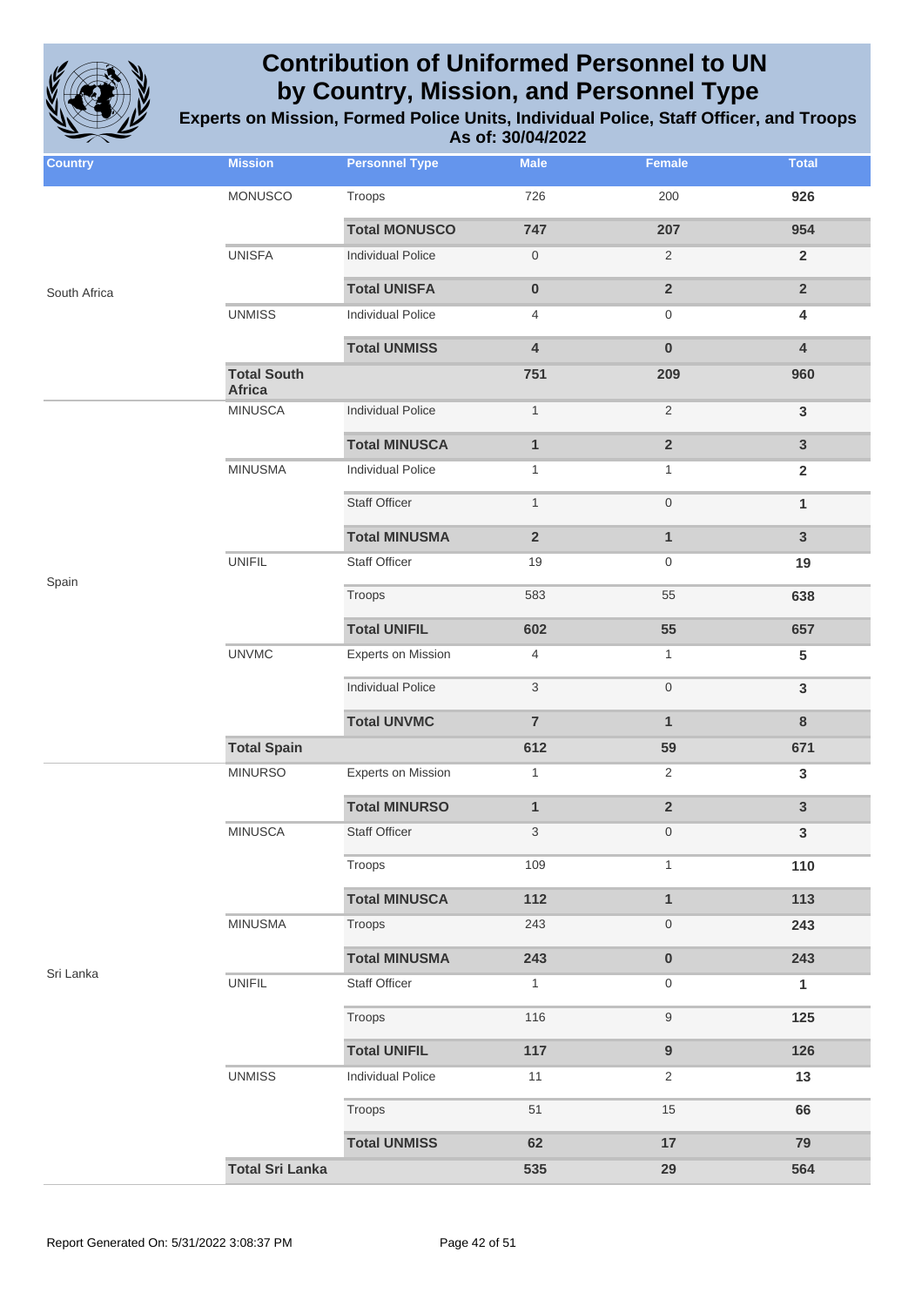

**Experts on Mission, Formed Police Units, Individual Police, Staff Officer, and Troops As of: 30/04/2022**

| <b>Country</b> | <b>Mission</b>                      | <b>Personnel Type</b>     | <b>Male</b>         | <b>Female</b>           | <b>Total</b>            |
|----------------|-------------------------------------|---------------------------|---------------------|-------------------------|-------------------------|
|                | MONUSCO                             | Troops                    | 726                 | 200                     | 926                     |
|                |                                     | <b>Total MONUSCO</b>      | 747                 | 207                     | 954                     |
|                | <b>UNISFA</b>                       | <b>Individual Police</b>  | $\mathsf{O}\xspace$ | $\mathbf{2}$            | $\overline{2}$          |
| South Africa   |                                     | <b>Total UNISFA</b>       | $\pmb{0}$           | $\overline{\mathbf{2}}$ | $\overline{2}$          |
|                | <b>UNMISS</b>                       | <b>Individual Police</b>  | 4                   | 0                       | $\overline{\mathbf{4}}$ |
|                |                                     | <b>Total UNMISS</b>       | 4                   | $\bf{0}$                | $\overline{\mathbf{4}}$ |
|                | <b>Total South</b><br><b>Africa</b> |                           | 751                 | 209                     | 960                     |
|                | <b>MINUSCA</b>                      | <b>Individual Police</b>  | $\mathbf{1}$        | $\mathbf{2}$            | $\mathbf{3}$            |
|                |                                     | <b>Total MINUSCA</b>      | $\mathbf{1}$        | $\overline{\mathbf{2}}$ | $\mathbf{3}$            |
|                | <b>MINUSMA</b>                      | <b>Individual Police</b>  | $\mathbf{1}$        | $\mathbf{1}$            | $\overline{2}$          |
|                |                                     | <b>Staff Officer</b>      | $\mathbf{1}$        | $\boldsymbol{0}$        | $\mathbf{1}$            |
|                |                                     | <b>Total MINUSMA</b>      | $\mathbf 2$         | $\mathbf{1}$            | $\mathbf{3}$            |
|                | <b>UNIFIL</b>                       | <b>Staff Officer</b>      | $19$                | 0                       | 19                      |
| Spain          |                                     | Troops                    | 583                 | 55                      | 638                     |
|                |                                     | <b>Total UNIFIL</b>       | 602                 | 55                      | 657                     |
|                | <b>UNVMC</b>                        | <b>Experts on Mission</b> | 4                   | $\mathbf{1}$            | $5\phantom{.0}$         |
|                |                                     | <b>Individual Police</b>  | 3                   | 0                       | $\mathbf{3}$            |
|                |                                     | <b>Total UNVMC</b>        | $\overline{7}$      | $\mathbf{1}$            | $\bf{8}$                |
|                | <b>Total Spain</b>                  |                           | 612                 | 59                      | 671                     |
|                | <b>MINURSO</b>                      | <b>Experts on Mission</b> | $\mathbf{1}$        | 2                       | $\mathbf{3}$            |
|                |                                     | <b>Total MINURSO</b>      | $\mathbf{1}$        | $\overline{\mathbf{2}}$ | $\mathbf{3}$            |
|                | <b>MINUSCA</b>                      | <b>Staff Officer</b>      | 3                   | 0                       | 3                       |
|                |                                     | Troops                    | 109                 | $\mathbf{1}$            | 110                     |
|                |                                     | <b>Total MINUSCA</b>      | 112                 | $\mathbf{1}$            | 113                     |
|                | <b>MINUSMA</b>                      | Troops                    | 243                 | 0                       | 243                     |
|                |                                     | <b>Total MINUSMA</b>      | 243                 | $\bf{0}$                | 243                     |
| Sri Lanka      | <b>UNIFIL</b>                       | <b>Staff Officer</b>      | $\mathbf{1}$        | 0                       | $\mathbf{1}$            |
|                |                                     | Troops                    | 116                 | 9                       | 125                     |
|                |                                     | <b>Total UNIFIL</b>       | 117                 | 9                       | 126                     |
|                | <b>UNMISS</b>                       | <b>Individual Police</b>  | 11                  | 2                       | 13                      |
|                |                                     | Troops                    | 51                  | 15                      | 66                      |
|                |                                     | <b>Total UNMISS</b>       | 62                  | 17                      | 79                      |
|                | <b>Total Sri Lanka</b>              |                           | 535                 | 29                      | 564                     |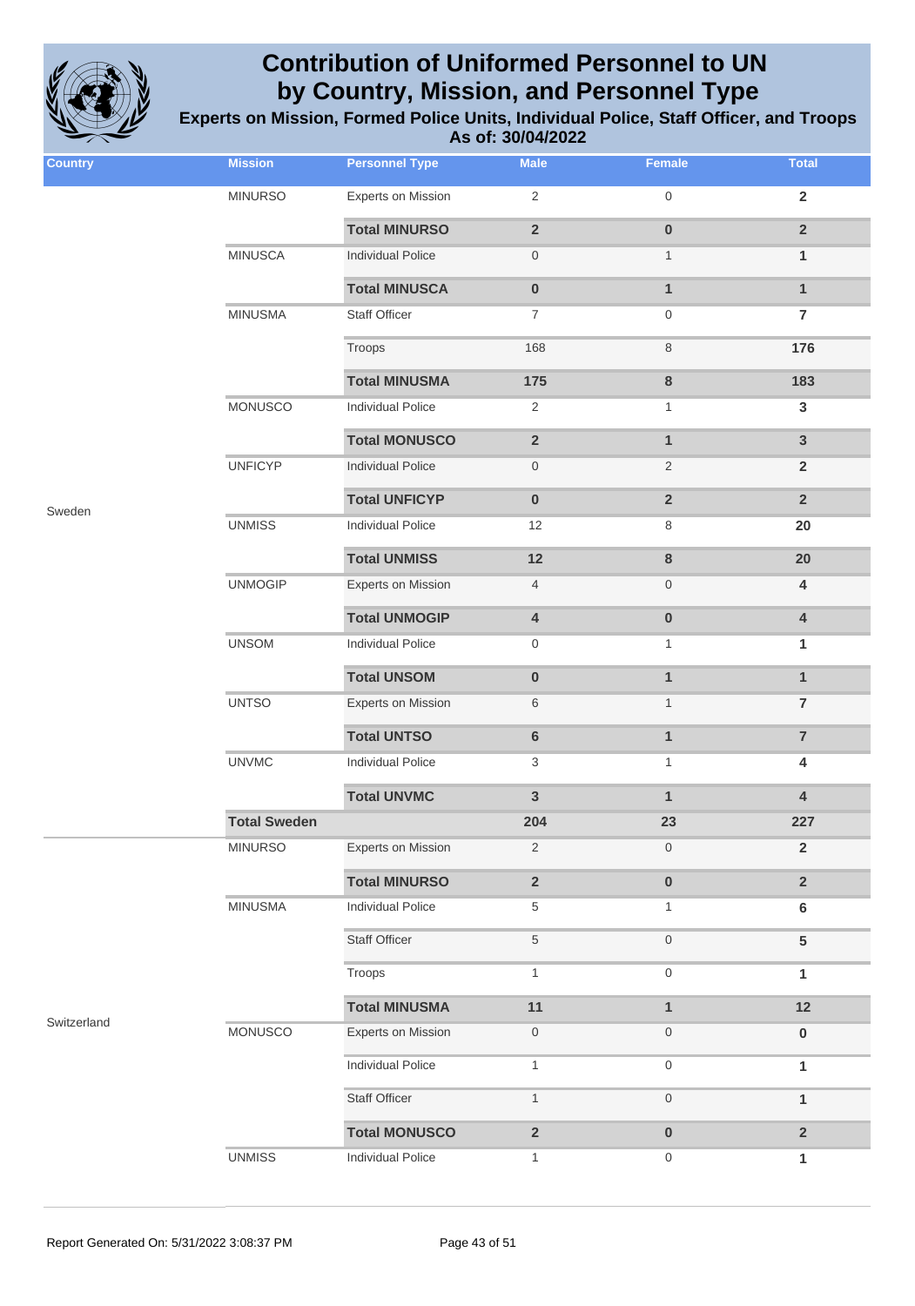

| <b>Country</b> | <b>Mission</b>      | <b>Personnel Type</b>     | <b>Male</b>             | <b>Female</b>    | <b>Total</b>            |
|----------------|---------------------|---------------------------|-------------------------|------------------|-------------------------|
|                | <b>MINURSO</b>      | <b>Experts on Mission</b> | $\sqrt{2}$              | $\boldsymbol{0}$ | $\overline{2}$          |
|                |                     | <b>Total MINURSO</b>      | $\mathbf 2$             | $\pmb{0}$        | $\overline{2}$          |
|                | <b>MINUSCA</b>      | <b>Individual Police</b>  | $\mathsf{O}\xspace$     | $\mathbf{1}$     | $\mathbf{1}$            |
|                |                     | <b>Total MINUSCA</b>      | $\pmb{0}$               | $\mathbf{1}$     | $\mathbf{1}$            |
|                | <b>MINUSMA</b>      | <b>Staff Officer</b>      | $\overline{7}$          | $\boldsymbol{0}$ | $\overline{\mathbf{7}}$ |
|                |                     | Troops                    | 168                     | $\,8\,$          | 176                     |
|                |                     | <b>Total MINUSMA</b>      | 175                     | 8                | 183                     |
|                | <b>MONUSCO</b>      | <b>Individual Police</b>  | $\overline{2}$          | $\mathbf{1}$     | $\mathbf{3}$            |
|                |                     | <b>Total MONUSCO</b>      | $\overline{2}$          | $\mathbf{1}$     | 3                       |
|                | <b>UNFICYP</b>      | <b>Individual Police</b>  | $\boldsymbol{0}$        | $\overline{2}$   | $\overline{2}$          |
| Sweden         |                     | <b>Total UNFICYP</b>      | $\pmb{0}$               | $\overline{2}$   | $\overline{2}$          |
|                | <b>UNMISS</b>       | <b>Individual Police</b>  | 12                      | 8                | 20                      |
|                |                     | <b>Total UNMISS</b>       | 12                      | $\bf 8$          | 20                      |
|                | <b>UNMOGIP</b>      | Experts on Mission        | $\overline{4}$          | $\mathbf 0$      | 4                       |
|                |                     | <b>Total UNMOGIP</b>      | $\sqrt{4}$              | $\pmb{0}$        | 4                       |
|                | <b>UNSOM</b>        | <b>Individual Police</b>  | $\overline{0}$          | 1                | 1                       |
|                |                     | <b>Total UNSOM</b>        | $\pmb{0}$               | $\mathbf{1}$     | $\mathbf{1}$            |
|                | <b>UNTSO</b>        | Experts on Mission        | 6                       | $\mathbf{1}$     | $\overline{7}$          |
|                |                     | <b>Total UNTSO</b>        | $\bf 6$                 | $\mathbf{1}$     | $\overline{7}$          |
|                | <b>UNVMC</b>        | <b>Individual Police</b>  | 3                       | $\mathbf{1}$     | 4                       |
|                |                     | <b>Total UNVMC</b>        | $\mathbf{3}$            | $\mathbf{1}$     | 4                       |
|                | <b>Total Sweden</b> |                           | 204                     | 23               | 227                     |
|                | <b>MINURSO</b>      | <b>Experts on Mission</b> | $\overline{2}$          | $\mathbf 0$      | $\overline{2}$          |
|                |                     | <b>Total MINURSO</b>      | $\mathbf 2$             | $\pmb{0}$        | $\overline{2}$          |
|                | <b>MINUSMA</b>      | <b>Individual Police</b>  | 5                       | 1                | 6                       |
|                |                     | Staff Officer             | $\,$ 5 $\,$             | $\mathbf 0$      | 5                       |
|                |                     | Troops                    | $\mathbf{1}$            | $\mathbf 0$      | 1                       |
| Switzerland    |                     | <b>Total MINUSMA</b>      | 11                      | $\mathbf{1}$     | 12                      |
|                | MONUSCO             | Experts on Mission        | $\mathsf{O}\xspace$     | $\mathbf 0$      | 0                       |
|                |                     | <b>Individual Police</b>  | $\mathbf{1}$            | $\mathbf 0$      | 1                       |
|                |                     | <b>Staff Officer</b>      | $\mathbf{1}$            | $\mathbf 0$      | $\mathbf{1}$            |
|                |                     | <b>Total MONUSCO</b>      | $\overline{\mathbf{2}}$ | $\pmb{0}$        | $\overline{2}$          |
|                | <b>UNMISS</b>       | Individual Police         | $\mathbf{1}$            | 0                | 1                       |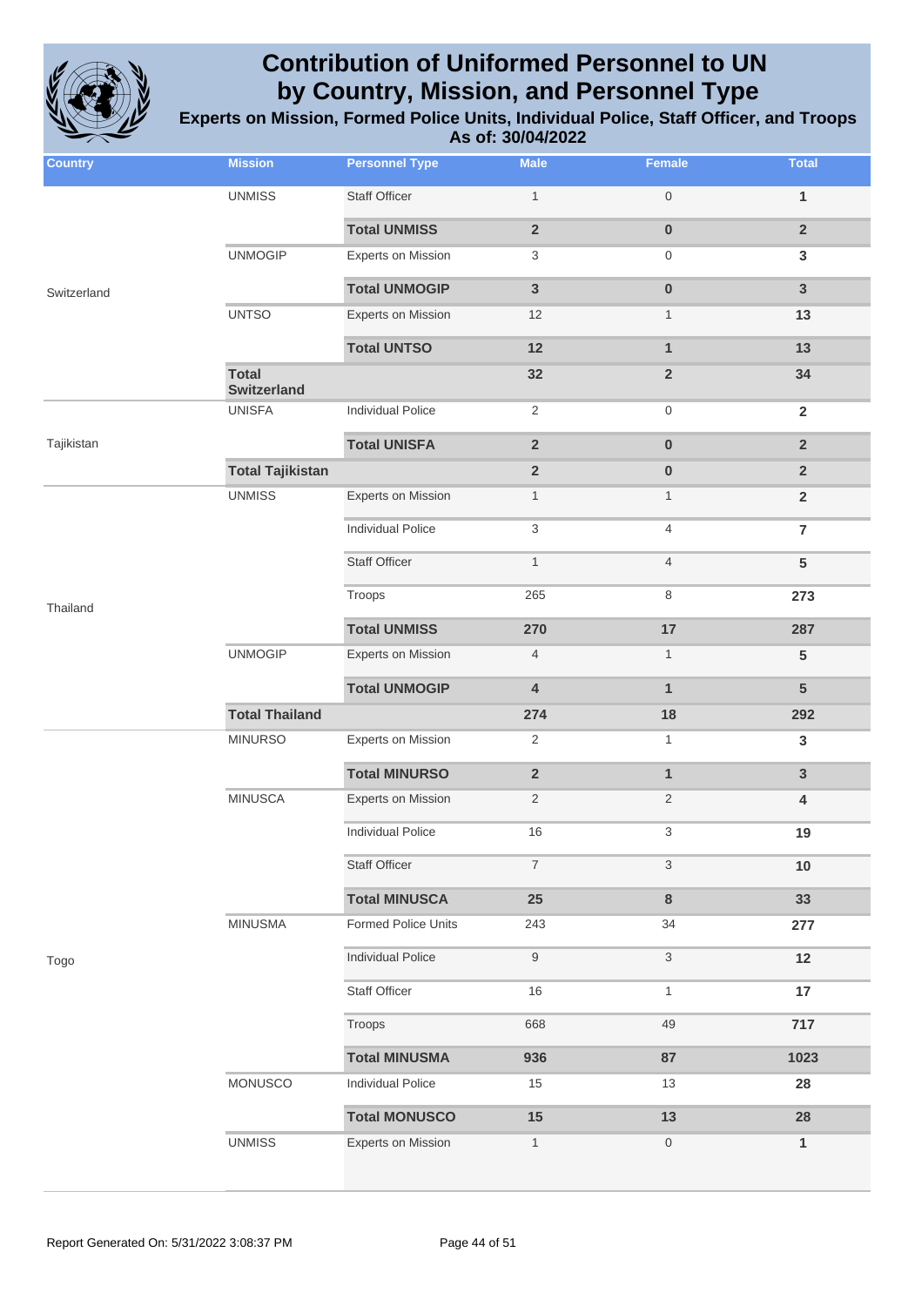

| <b>Country</b> | <b>Mission</b>                     | <b>Personnel Type</b>     | <b>Male</b>               | Female           | <b>Total</b>   |
|----------------|------------------------------------|---------------------------|---------------------------|------------------|----------------|
|                | <b>UNMISS</b>                      | <b>Staff Officer</b>      | $\mathbf{1}$              | $\boldsymbol{0}$ | 1              |
|                |                                    | <b>Total UNMISS</b>       | $\mathbf 2$               | $\pmb{0}$        | $\mathbf 2$    |
|                | <b>UNMOGIP</b>                     | <b>Experts on Mission</b> | $\ensuremath{\mathsf{3}}$ | 0                | $\mathbf{3}$   |
| Switzerland    |                                    | <b>Total UNMOGIP</b>      | $\mathbf{3}$              | $\pmb{0}$        | $\mathbf{3}$   |
|                | <b>UNTSO</b>                       | <b>Experts on Mission</b> | 12                        | $\mathbf{1}$     | 13             |
|                |                                    | <b>Total UNTSO</b>        | 12                        | $\mathbf{1}$     | 13             |
|                | <b>Total</b><br><b>Switzerland</b> |                           | 32                        | $\overline{2}$   | 34             |
|                | <b>UNISFA</b>                      | <b>Individual Police</b>  | $\overline{2}$            | 0                | $\overline{2}$ |
| Tajikistan     |                                    | <b>Total UNISFA</b>       | $\mathbf 2$               | $\bf{0}$         | $\overline{2}$ |
|                | <b>Total Tajikistan</b>            |                           | $\mathbf 2$               | $\bf{0}$         | $\overline{2}$ |
|                | <b>UNMISS</b>                      | <b>Experts on Mission</b> | $\mathbf{1}$              | $\mathbf{1}$     | $\overline{2}$ |
|                |                                    | <b>Individual Police</b>  | 3                         | 4                | $\overline{7}$ |
|                |                                    | <b>Staff Officer</b>      | $\mathbf{1}$              | $\overline{4}$   | ${\bf 5}$      |
| Thailand       |                                    | Troops                    | 265                       | 8                | 273            |
|                |                                    | <b>Total UNMISS</b>       | 270                       | 17               | 287            |
|                | <b>UNMOGIP</b>                     | <b>Experts on Mission</b> | $\overline{4}$            | $\mathbf{1}$     | $\sqrt{5}$     |
|                |                                    | <b>Total UNMOGIP</b>      | $\pmb{4}$                 | $\mathbf{1}$     | $5\phantom{1}$ |
|                | <b>Total Thailand</b>              |                           | 274                       | 18               | 292            |
|                | <b>MINURSO</b>                     | <b>Experts on Mission</b> | $\sqrt{2}$                | 1                | $\mathbf{3}$   |
|                |                                    | <b>Total MINURSO</b>      | $\mathbf 2$               | $\mathbf{1}$     | $\mathbf{3}$   |
|                | <b>MINUSCA</b>                     | <b>Experts on Mission</b> | $\overline{2}$            | 2                | 4              |
|                |                                    | <b>Individual Police</b>  | 16                        | 3                | 19             |
|                |                                    | <b>Staff Officer</b>      | $\overline{7}$            | 3                | $10$           |
|                |                                    | <b>Total MINUSCA</b>      | 25                        | 8                | 33             |
|                | <b>MINUSMA</b>                     | Formed Police Units       | 243                       | 34               | 277            |
| Togo           |                                    | <b>Individual Police</b>  | 9                         | 3                | 12             |
|                |                                    | <b>Staff Officer</b>      | 16                        | $\mathbf{1}$     | 17             |
|                |                                    | Troops                    | 668                       | 49               | 717            |
|                |                                    | <b>Total MINUSMA</b>      | 936                       | 87               | 1023           |
|                | MONUSCO                            | <b>Individual Police</b>  | 15                        | 13               | 28             |
|                |                                    | <b>Total MONUSCO</b>      | 15                        | 13               | 28             |
|                | <b>UNMISS</b>                      | <b>Experts on Mission</b> | $\mathbf{1}$              | 0                | 1              |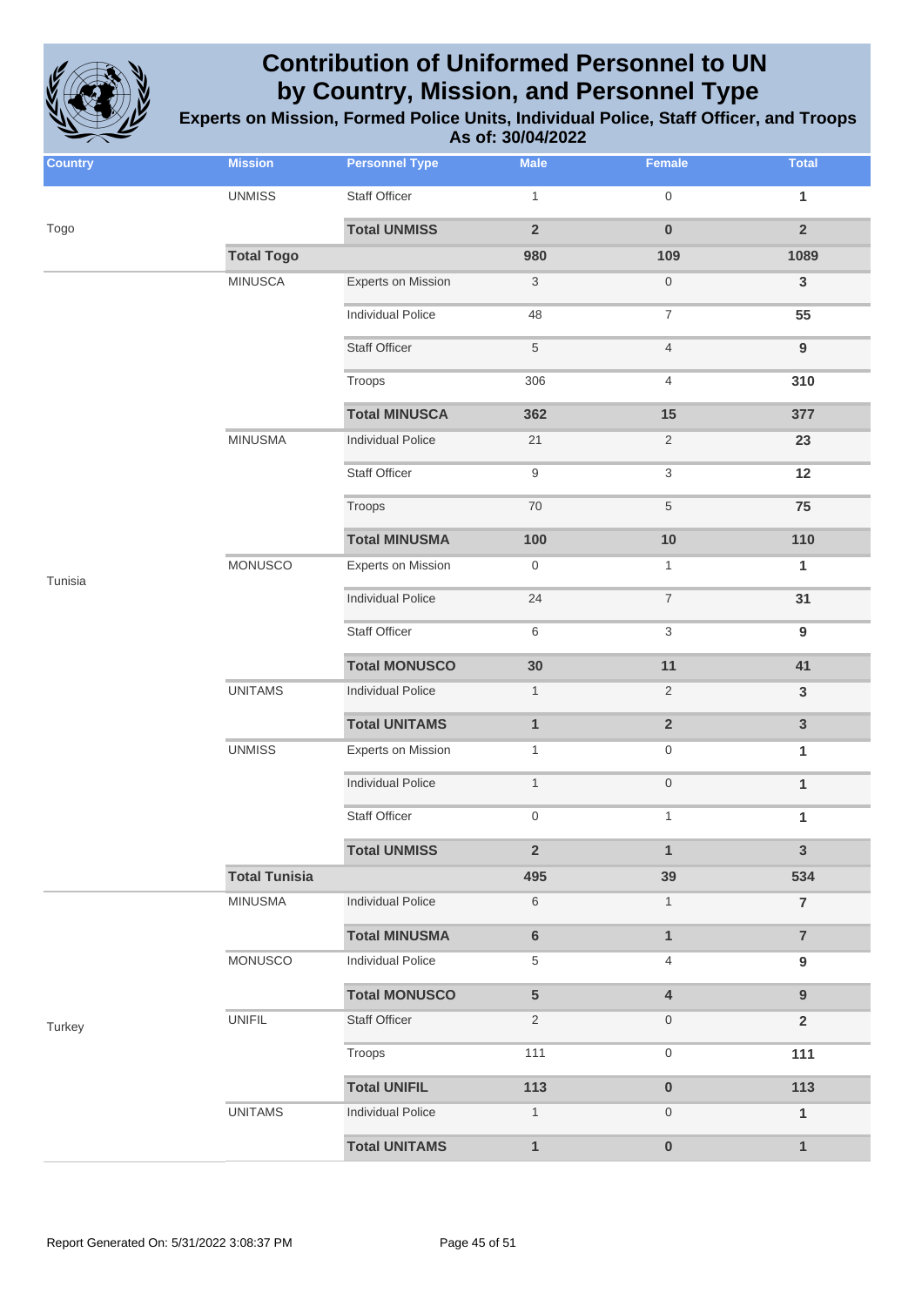

| <b>Country</b> | <b>Mission</b>       | <b>Personnel Type</b>     | <b>Male</b>      | Female                    | <b>Total</b>     |
|----------------|----------------------|---------------------------|------------------|---------------------------|------------------|
|                | <b>UNMISS</b>        | Staff Officer             | $\mathbf{1}$     | $\mathbf 0$               | 1                |
| Togo           |                      | <b>Total UNMISS</b>       | $\overline{2}$   | $\bf{0}$                  | $\overline{2}$   |
|                | <b>Total Togo</b>    |                           | 980              | 109                       | 1089             |
|                | <b>MINUSCA</b>       | <b>Experts on Mission</b> | $\mathbf{3}$     | $\,0\,$                   | $\mathbf{3}$     |
|                |                      | <b>Individual Police</b>  | 48               | $\boldsymbol{7}$          | 55               |
|                |                      | <b>Staff Officer</b>      | $\,$ 5 $\,$      | $\overline{4}$            | $\boldsymbol{9}$ |
|                |                      | Troops                    | 306              | $\overline{4}$            | 310              |
|                |                      | <b>Total MINUSCA</b>      | 362              | 15                        | 377              |
|                | <b>MINUSMA</b>       | <b>Individual Police</b>  | 21               | $\overline{2}$            | 23               |
|                |                      | <b>Staff Officer</b>      | $\boldsymbol{9}$ | $\ensuremath{\mathsf{3}}$ | 12               |
|                |                      | Troops                    | $70\,$           | $\,$ 5 $\,$               | 75               |
|                |                      | <b>Total MINUSMA</b>      | 100              | 10                        | 110              |
| Tunisia        | <b>MONUSCO</b>       | <b>Experts on Mission</b> | $\boldsymbol{0}$ | $\mathbf{1}$              | $\mathbf{1}$     |
|                |                      | <b>Individual Police</b>  | 24               | $\overline{7}$            | 31               |
|                |                      | <b>Staff Officer</b>      | 6                | 3                         | $\boldsymbol{9}$ |
|                |                      | <b>Total MONUSCO</b>      | 30               | 11                        | 41               |
|                | <b>UNITAMS</b>       | <b>Individual Police</b>  | $\mathbf{1}$     | $\overline{2}$            | $\mathsf 3$      |
|                |                      | <b>Total UNITAMS</b>      | $\mathbf{1}$     | $\mathbf 2$               | $\mathbf{3}$     |
|                | <b>UNMISS</b>        | Experts on Mission        | $\mathbf{1}$     | $\boldsymbol{0}$          | 1                |
|                |                      | <b>Individual Police</b>  | $\mathbf{1}$     | $\,0\,$                   | $\mathbf{1}$     |
|                |                      | <b>Staff Officer</b>      | $\mathbf 0$      | $\mathbf{1}$              | 1                |
|                |                      | <b>Total UNMISS</b>       | $\overline{2}$   | $\mathbf{1}$              | $\mathbf{3}$     |
|                | <b>Total Tunisia</b> |                           | 495              | 39                        | 534              |
|                | <b>MINUSMA</b>       | <b>Individual Police</b>  | $\,6\,$          | $\mathbf{1}$              | $\overline{7}$   |
|                |                      | <b>Total MINUSMA</b>      | $\bf 6$          | $\mathbf{1}$              | $\overline{7}$   |
|                | <b>MONUSCO</b>       | <b>Individual Police</b>  | $\,$ 5 $\,$      | 4                         | $\boldsymbol{9}$ |
|                |                      | <b>Total MONUSCO</b>      | $\sqrt{5}$       | $\overline{4}$            | $\boldsymbol{9}$ |
| Turkey         | <b>UNIFIL</b>        | <b>Staff Officer</b>      | $\overline{2}$   | $\boldsymbol{0}$          | $\overline{2}$   |
|                |                      | Troops                    | 111              | $\boldsymbol{0}$          | 111              |
|                |                      | <b>Total UNIFIL</b>       | 113              | $\pmb{0}$                 | 113              |
|                | <b>UNITAMS</b>       | <b>Individual Police</b>  | $\mathbf{1}$     | $\mathbf 0$               | $\mathbf{1}$     |
|                |                      | <b>Total UNITAMS</b>      | $\mathbf{1}$     | $\pmb{0}$                 | $\mathbf{1}$     |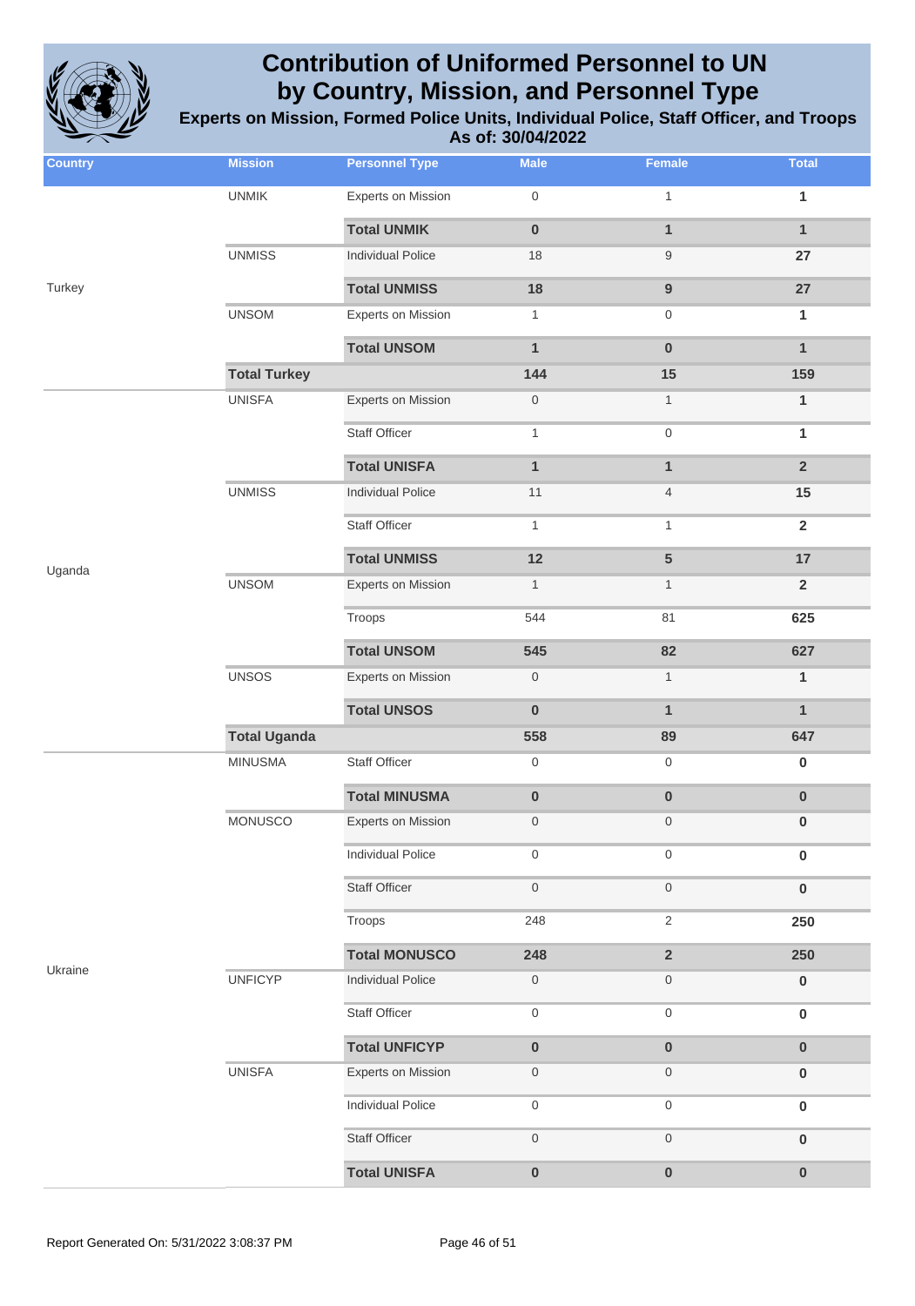

**Experts on Mission, Formed Police Units, Individual Police, Staff Officer, and Troops As of: 30/04/2022**

| <b>Country</b> | <b>Mission</b>      | <b>Personnel Type</b>     | <b>Male</b>         | Female                  | <b>Total</b>   |
|----------------|---------------------|---------------------------|---------------------|-------------------------|----------------|
|                | <b>UNMIK</b>        | <b>Experts on Mission</b> | $\boldsymbol{0}$    | $\mathbf{1}$            | 1              |
|                |                     | <b>Total UNMIK</b>        | $\pmb{0}$           | $\mathbf{1}$            | $\mathbf{1}$   |
|                | <b>UNMISS</b>       | <b>Individual Police</b>  | 18                  | 9                       | 27             |
| Turkey         |                     | <b>Total UNMISS</b>       | 18                  | $\boldsymbol{9}$        | 27             |
|                | <b>UNSOM</b>        | <b>Experts on Mission</b> | $\mathbf{1}$        | 0                       | 1              |
|                |                     | <b>Total UNSOM</b>        | $\mathbf{1}$        | $\pmb{0}$               | $\mathbf{1}$   |
|                | <b>Total Turkey</b> |                           | 144                 | 15                      | 159            |
|                | <b>UNISFA</b>       | <b>Experts on Mission</b> | $\boldsymbol{0}$    | 1                       | 1              |
|                |                     | <b>Staff Officer</b>      | $\mathbf{1}$        | 0                       | $\mathbf{1}$   |
|                |                     | <b>Total UNISFA</b>       | $\mathbf{1}$        | $\mathbf{1}$            | $\overline{2}$ |
|                | <b>UNMISS</b>       | <b>Individual Police</b>  | 11                  | $\overline{4}$          | 15             |
|                |                     | <b>Staff Officer</b>      | $\mathbf{1}$        | $\mathbf{1}$            | $\overline{2}$ |
| Uganda         |                     | <b>Total UNMISS</b>       | 12                  | 5                       | 17             |
|                | <b>UNSOM</b>        | Experts on Mission        | $\mathbf{1}$        | $\mathbf{1}$            | $\overline{2}$ |
|                |                     | Troops                    | 544                 | 81                      | 625            |
|                |                     | <b>Total UNSOM</b>        | 545                 | 82                      | 627            |
|                | <b>UNSOS</b>        | Experts on Mission        | $\,0\,$             | $\mathbf{1}$            | $\mathbf{1}$   |
|                |                     | <b>Total UNSOS</b>        | $\pmb{0}$           | $\mathbf{1}$            | $\mathbf{1}$   |
|                | <b>Total Uganda</b> |                           | 558                 | 89                      | 647            |
|                | <b>MINUSMA</b>      | Staff Officer             | $\mathsf{O}\xspace$ | 0                       | $\pmb{0}$      |
|                |                     | <b>Total MINUSMA</b>      | $\pmb{0}$           | $\pmb{0}$               | $\pmb{0}$      |
|                | MONUSCO             | Experts on Mission        | $\mathsf{O}\xspace$ | $\boldsymbol{0}$        | $\pmb{0}$      |
|                |                     | <b>Individual Police</b>  | 0                   | 0                       | $\bf{0}$       |
|                |                     | <b>Staff Officer</b>      | $\mathsf{O}\xspace$ | $\boldsymbol{0}$        | $\pmb{0}$      |
|                |                     | Troops                    | 248                 | $\overline{2}$          | 250            |
|                |                     | <b>Total MONUSCO</b>      | 248                 | $\overline{\mathbf{2}}$ | 250            |
| Ukraine        | <b>UNFICYP</b>      | <b>Individual Police</b>  | $\boldsymbol{0}$    | 0                       | $\pmb{0}$      |
|                |                     | <b>Staff Officer</b>      | $\mathsf{O}\xspace$ | 0                       | $\pmb{0}$      |
|                |                     | <b>Total UNFICYP</b>      | $\pmb{0}$           | $\pmb{0}$               | $\bf{0}$       |
|                | <b>UNISFA</b>       | <b>Experts on Mission</b> | $\boldsymbol{0}$    | 0                       | $\bf{0}$       |
|                |                     | <b>Individual Police</b>  | $\boldsymbol{0}$    | 0                       | $\pmb{0}$      |
|                |                     | <b>Staff Officer</b>      | $\mathbf 0$         | 0                       | $\pmb{0}$      |
|                |                     | <b>Total UNISFA</b>       | $\pmb{0}$           | $\pmb{0}$               | $\pmb{0}$      |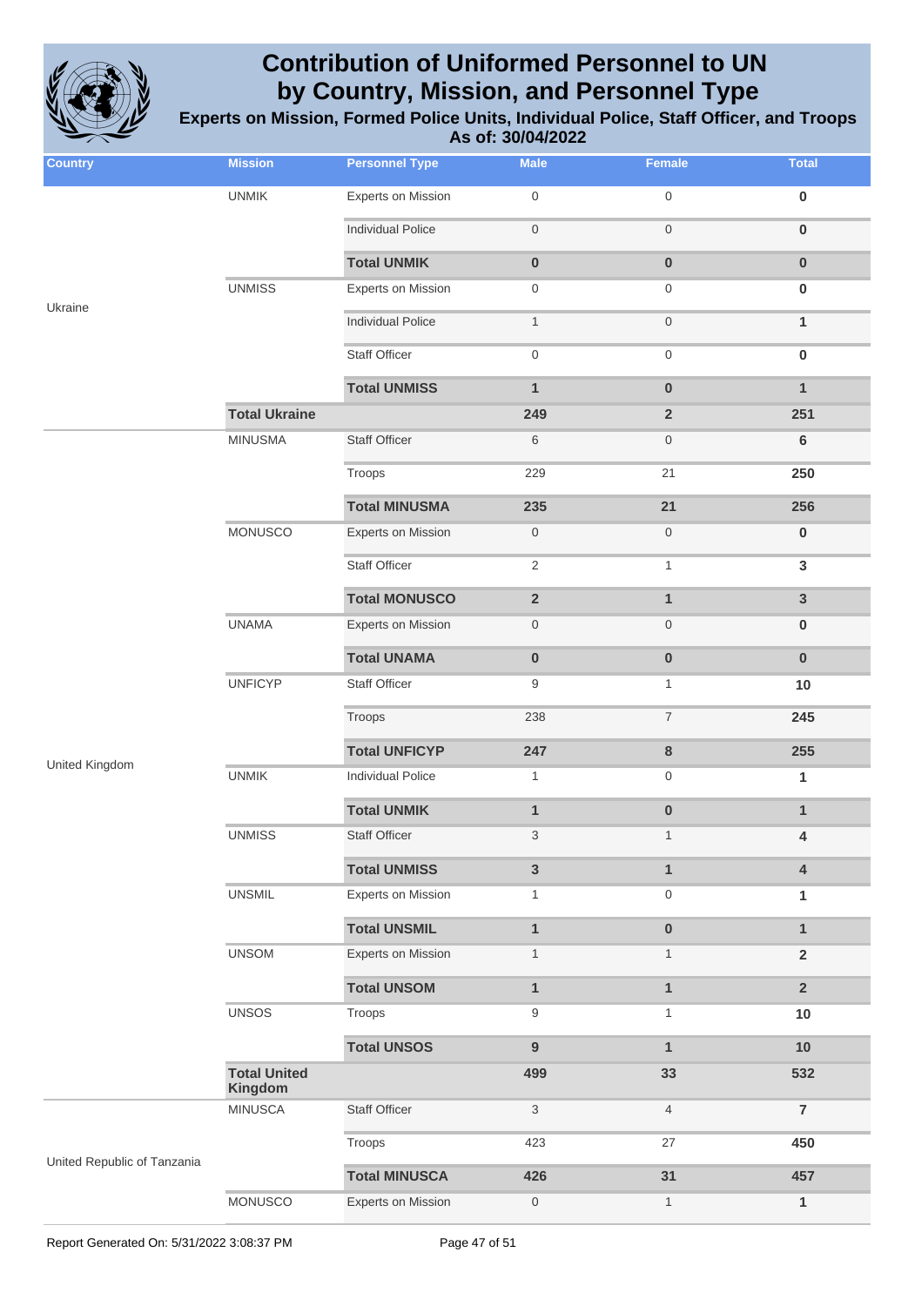

| <b>Country</b>              | <b>Mission</b>                 | <b>Personnel Type</b>     | <b>Male</b>             | Female           | <b>Total</b>   |
|-----------------------------|--------------------------------|---------------------------|-------------------------|------------------|----------------|
|                             | <b>UNMIK</b>                   | <b>Experts on Mission</b> | $\boldsymbol{0}$        | $\boldsymbol{0}$ | $\pmb{0}$      |
|                             |                                | <b>Individual Police</b>  | $\,0\,$                 | $\mathbf 0$      | $\pmb{0}$      |
|                             |                                | <b>Total UNMIK</b>        | $\pmb{0}$               | $\bf{0}$         | $\pmb{0}$      |
|                             | <b>UNMISS</b>                  | <b>Experts on Mission</b> | $\boldsymbol{0}$        | $\boldsymbol{0}$ | $\bf{0}$       |
| Ukraine                     |                                | <b>Individual Police</b>  | $\mathbf{1}$            | $\mathbf 0$      | $\mathbf{1}$   |
|                             |                                | <b>Staff Officer</b>      | $\mathbf 0$             | $\mathbf 0$      | $\pmb{0}$      |
|                             |                                | <b>Total UNMISS</b>       | $\mathbf{1}$            | $\pmb{0}$        | $\mathbf{1}$   |
|                             | <b>Total Ukraine</b>           |                           | 249                     | $\overline{2}$   | 251            |
|                             | <b>MINUSMA</b>                 | <b>Staff Officer</b>      | 6                       | $\mathbf 0$      | $\bf 6$        |
|                             |                                | Troops                    | 229                     | 21               | 250            |
|                             |                                | <b>Total MINUSMA</b>      | 235                     | 21               | 256            |
|                             | MONUSCO                        | <b>Experts on Mission</b> | $\boldsymbol{0}$        | $\mathbf 0$      | $\pmb{0}$      |
|                             |                                | <b>Staff Officer</b>      | $\sqrt{2}$              | $\mathbf{1}$     | $\mathbf 3$    |
|                             |                                | <b>Total MONUSCO</b>      | $\overline{\mathbf{2}}$ | $\mathbf{1}$     | $\mathsf 3$    |
|                             | <b>UNAMA</b>                   | <b>Experts on Mission</b> | $\boldsymbol{0}$        | $\mathbf 0$      | $\bf{0}$       |
|                             |                                | <b>Total UNAMA</b>        | $\pmb{0}$               | $\mathbf 0$      | $\pmb{0}$      |
|                             | <b>UNFICYP</b>                 | Staff Officer             | 9                       | $\mathbf{1}$     | 10             |
|                             |                                | Troops                    | 238                     | $\overline{7}$   | 245            |
| United Kingdom              |                                | <b>Total UNFICYP</b>      | 247                     | 8                | 255            |
|                             | <b>UNMIK</b>                   | <b>Individual Police</b>  | $\mathbf{1}$            | $\boldsymbol{0}$ | 1              |
|                             |                                | <b>Total UNMIK</b>        | $\mathbf{1}$            | $\bf{0}$         | $\mathbf{1}$   |
|                             | <b>UNMISS</b>                  | Staff Officer             | 3                       | $\mathbf{1}$     | 4              |
|                             |                                | <b>Total UNMISS</b>       | $\mathbf{3}$            | $\mathbf{1}$     | $\pmb{4}$      |
|                             | <b>UNSMIL</b>                  | <b>Experts on Mission</b> | $\mathbf{1}$            | $\mathbf 0$      | 1              |
|                             |                                | <b>Total UNSMIL</b>       | $\mathbf{1}$            | $\pmb{0}$        | $\mathbf{1}$   |
|                             | <b>UNSOM</b>                   | <b>Experts on Mission</b> | $\mathbf{1}$            | $\mathbf{1}$     | $\overline{2}$ |
|                             |                                | <b>Total UNSOM</b>        | $\mathbf{1}$            | $\mathbf{1}$     | $\overline{2}$ |
|                             | <b>UNSOS</b>                   | Troops                    | 9                       | $\mathbf{1}$     | 10             |
|                             |                                | <b>Total UNSOS</b>        | 9                       | $\mathbf{1}$     | 10             |
|                             | <b>Total United</b><br>Kingdom |                           | 499                     | 33               | 532            |
|                             | <b>MINUSCA</b>                 | Staff Officer             | $\sqrt{3}$              | $\overline{4}$   | $\overline{7}$ |
| United Republic of Tanzania |                                | Troops                    | 423                     | 27               | 450            |
|                             |                                | <b>Total MINUSCA</b>      | 426                     | 31               | 457            |
|                             | MONUSCO                        | <b>Experts on Mission</b> | $\boldsymbol{0}$        | $\mathbf{1}$     | 1              |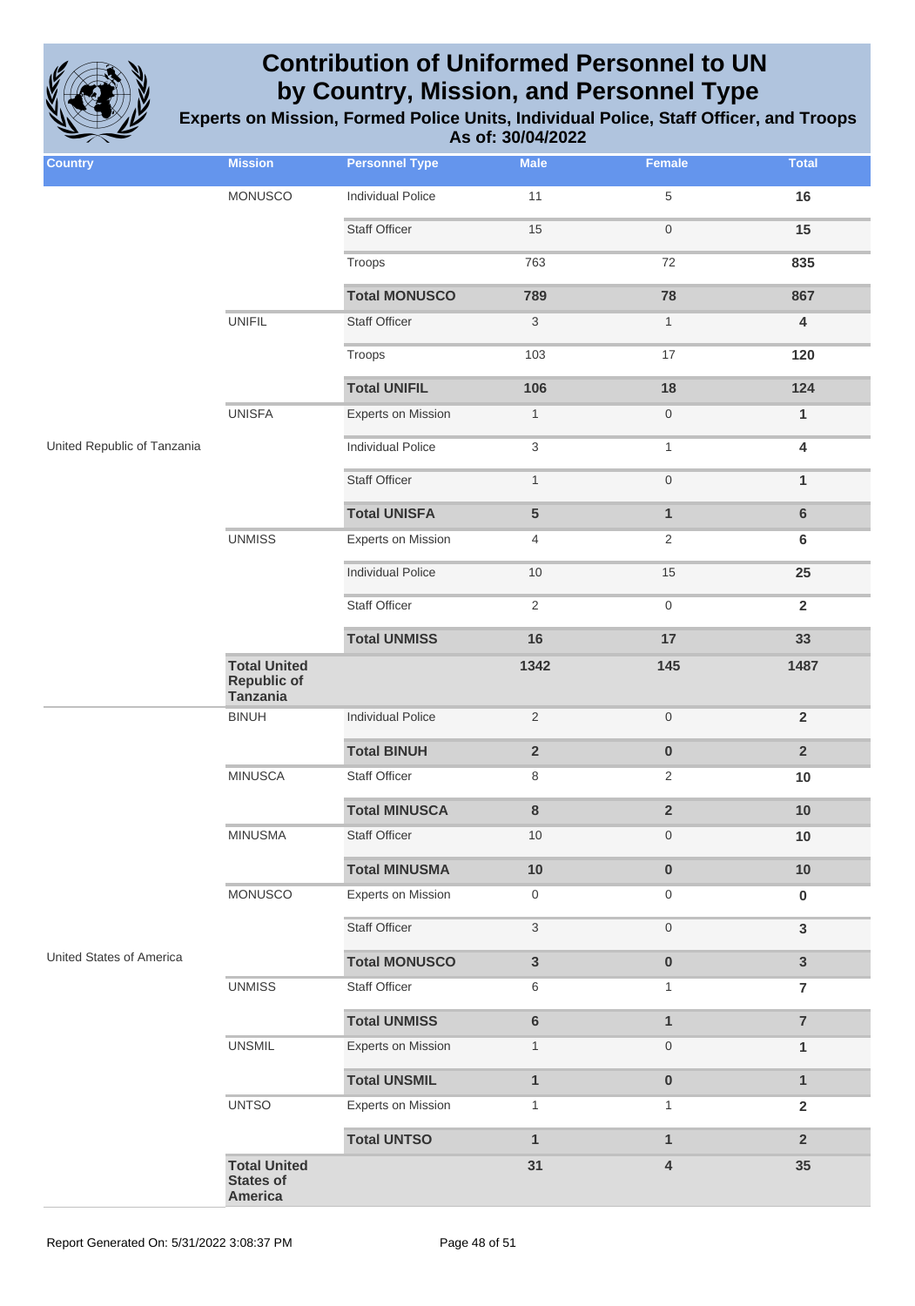

| <b>Country</b>              | <b>Mission</b>                                               | <b>Personnel Type</b>     | <b>Male</b>               | Female                  | <b>Total</b>            |
|-----------------------------|--------------------------------------------------------------|---------------------------|---------------------------|-------------------------|-------------------------|
|                             | <b>MONUSCO</b>                                               | <b>Individual Police</b>  | 11                        | $\,$ 5 $\,$             | 16                      |
|                             |                                                              | <b>Staff Officer</b>      | 15                        | $\mathsf{O}\xspace$     | 15                      |
|                             |                                                              | Troops                    | 763                       | 72                      | 835                     |
|                             |                                                              | <b>Total MONUSCO</b>      | 789                       | 78                      | 867                     |
|                             | <b>UNIFIL</b>                                                | <b>Staff Officer</b>      | $\sqrt{3}$                | $\mathbf{1}$            | $\overline{4}$          |
|                             |                                                              | Troops                    | 103                       | 17                      | 120                     |
|                             |                                                              | <b>Total UNIFIL</b>       | 106                       | 18                      | 124                     |
|                             | <b>UNISFA</b>                                                | <b>Experts on Mission</b> | $\mathbf{1}$              | $\mathsf{O}\xspace$     | $\mathbf{1}$            |
| United Republic of Tanzania |                                                              | <b>Individual Police</b>  | $\ensuremath{\mathsf{3}}$ | $\mathbf{1}$            | $\overline{\mathbf{4}}$ |
|                             |                                                              | <b>Staff Officer</b>      | $\mathbf{1}$              | $\mathsf{O}\xspace$     | $\mathbf{1}$            |
|                             |                                                              | <b>Total UNISFA</b>       | 5                         | $\mathbf{1}$            | $6\phantom{1}$          |
|                             | <b>UNMISS</b>                                                | <b>Experts on Mission</b> | 4                         | $\overline{2}$          | $\bf 6$                 |
|                             |                                                              | <b>Individual Police</b>  | 10                        | 15                      | 25                      |
|                             |                                                              | <b>Staff Officer</b>      | $\sqrt{2}$                | $\mathsf{O}\xspace$     | $\overline{2}$          |
|                             |                                                              | <b>Total UNMISS</b>       | 16                        | 17                      | 33                      |
|                             | <b>Total United</b><br><b>Republic of</b><br><b>Tanzania</b> |                           | 1342                      | 145                     | 1487                    |
|                             | <b>BINUH</b>                                                 | <b>Individual Police</b>  | $\overline{2}$            | $\mathsf{O}\xspace$     | $\overline{2}$          |
|                             |                                                              | <b>Total BINUH</b>        | $\overline{\mathbf{2}}$   | $\pmb{0}$               | $\overline{2}$          |
|                             | <b>MINUSCA</b>                                               | Staff Officer             | 8                         | $\overline{2}$          | 10                      |
|                             |                                                              | <b>Total MINUSCA</b>      | 8                         | $\overline{\mathbf{2}}$ | 10                      |
|                             | <b>MINUSMA</b>                                               | Staff Officer             | 10                        | $\mathbf 0$             | $10$                    |
|                             |                                                              | <b>Total MINUSMA</b>      | 10                        | $\pmb{0}$               | $10$                    |
|                             | <b>MONUSCO</b>                                               | Experts on Mission        | 0                         | 0                       | $\bf{0}$                |
|                             |                                                              | Staff Officer             | $\ensuremath{\mathsf{3}}$ | $\mathbf 0$             | $\mathbf{3}$            |
| United States of America    |                                                              | <b>Total MONUSCO</b>      | $\mathbf{3}$              | $\pmb{0}$               | $\mathbf{3}$            |
|                             | <b>UNMISS</b>                                                | Staff Officer             | 6                         | 1                       | $\overline{7}$          |
|                             |                                                              | <b>Total UNMISS</b>       | $\bf 6$                   | $\mathbf{1}$            | $\overline{7}$          |
|                             | <b>UNSMIL</b>                                                | Experts on Mission        | $\mathbf{1}$              | $\boldsymbol{0}$        | 1                       |
|                             |                                                              | <b>Total UNSMIL</b>       | $\mathbf{1}$              | $\pmb{0}$               | $\mathbf{1}$            |
|                             | <b>UNTSO</b>                                                 | <b>Experts on Mission</b> | $\mathbf{1}$              | 1                       | $\overline{2}$          |
|                             |                                                              | <b>Total UNTSO</b>        | $\mathbf{1}$              | $\mathbf{1}$            | $\overline{2}$          |
|                             | <b>Total United</b><br><b>States of</b><br>America           |                           | 31                        | $\overline{\mathbf{4}}$ | 35                      |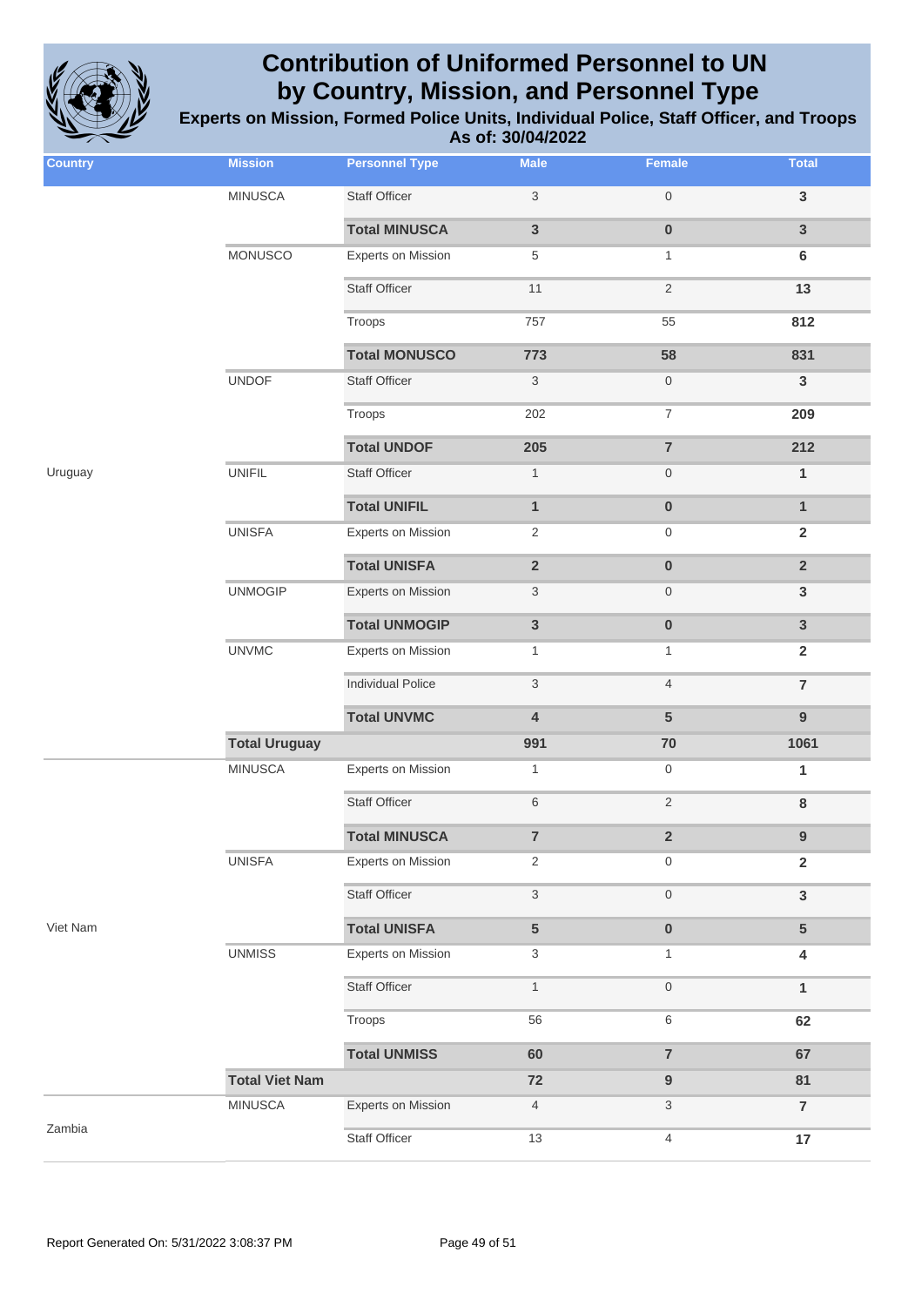

| <b>Country</b> | <b>Mission</b>        | <b>Personnel Type</b>     | <b>Male</b>               | <b>Female</b>           | <b>Total</b>   |
|----------------|-----------------------|---------------------------|---------------------------|-------------------------|----------------|
|                | <b>MINUSCA</b>        | <b>Staff Officer</b>      | $\ensuremath{\mathsf{3}}$ | $\,0\,$                 | $\mathsf 3$    |
|                |                       | <b>Total MINUSCA</b>      | $\mathbf{3}$              | $\pmb{0}$               | $\mathsf 3$    |
|                | MONUSCO               | Experts on Mission        | $\,$ 5 $\,$               | $\mathbf{1}$            | $\bf 6$        |
|                |                       | <b>Staff Officer</b>      | 11                        | $\sqrt{2}$              | 13             |
|                |                       | Troops                    | 757                       | 55                      | 812            |
|                |                       | <b>Total MONUSCO</b>      | 773                       | 58                      | 831            |
|                | <b>UNDOF</b>          | <b>Staff Officer</b>      | $\sqrt{3}$                | $\mathsf{O}$            | $\mathbf{3}$   |
|                |                       | Troops                    | 202                       | $\boldsymbol{7}$        | 209            |
|                |                       | <b>Total UNDOF</b>        | 205                       | $\overline{7}$          | 212            |
| Uruguay        | <b>UNIFIL</b>         | <b>Staff Officer</b>      | $\mathbf{1}$              | $\mathsf{O}$            | $\mathbf{1}$   |
|                |                       | <b>Total UNIFIL</b>       | $\mathbf{1}$              | $\pmb{0}$               | $\mathbf{1}$   |
|                | <b>UNISFA</b>         | <b>Experts on Mission</b> | 2                         | $\mathsf{O}$            | $\mathbf 2$    |
|                |                       | <b>Total UNISFA</b>       | $\mathbf 2$               | $\pmb{0}$               | $\overline{2}$ |
|                | <b>UNMOGIP</b>        | <b>Experts on Mission</b> | $\ensuremath{\mathsf{3}}$ | $\,0\,$                 | $\mathbf{3}$   |
|                |                       | <b>Total UNMOGIP</b>      | $\mathbf{3}$              | $\pmb{0}$               | $\mathbf{3}$   |
|                | <b>UNVMC</b>          | <b>Experts on Mission</b> | $\mathbf{1}$              | $\mathbf{1}$            | $\overline{2}$ |
|                |                       | <b>Individual Police</b>  | $\sqrt{3}$                | $\overline{4}$          | $\overline{7}$ |
|                |                       | <b>Total UNVMC</b>        | $\overline{\mathbf{4}}$   | $5\phantom{1}$          | $\overline{9}$ |
|                | <b>Total Uruguay</b>  |                           | 991                       | $70\,$                  | 1061           |
| Viet Nam       | <b>MINUSCA</b>        | Experts on Mission        | $\mathbf{1}$              | $\mathbf 0$             | $\mathbf{1}$   |
|                |                       | <b>Staff Officer</b>      | $\,$ 6 $\,$               | $\sqrt{2}$              | $\bf8$         |
|                |                       | <b>Total MINUSCA</b>      | $\overline{7}$            | $\overline{\mathbf{2}}$ | 9              |
|                | <b>UNISFA</b>         | Experts on Mission        | 2                         | $\mathbf 0$             | $\overline{2}$ |
|                |                       | <b>Staff Officer</b>      | $\sqrt{3}$                | $\,0\,$                 | $\mathsf 3$    |
|                |                       | <b>Total UNISFA</b>       | $\overline{5}$            | $\pmb{0}$               | $5\phantom{.}$ |
|                | <b>UNMISS</b>         | Experts on Mission        | 3                         | $\mathbf{1}$            | 4              |
|                |                       | <b>Staff Officer</b>      | $\mathbf{1}$              | $\,0\,$                 | $\mathbf{1}$   |
|                |                       | Troops                    | 56                        | 6                       | 62             |
|                |                       | <b>Total UNMISS</b>       | 60                        | $\overline{7}$          | 67             |
|                | <b>Total Viet Nam</b> |                           | $72$                      | $\boldsymbol{9}$        | 81             |
| Zambia         | <b>MINUSCA</b>        | Experts on Mission        | $\overline{4}$            | 3                       | $\overline{7}$ |
|                |                       | <b>Staff Officer</b>      | 13                        | $\overline{4}$          | 17             |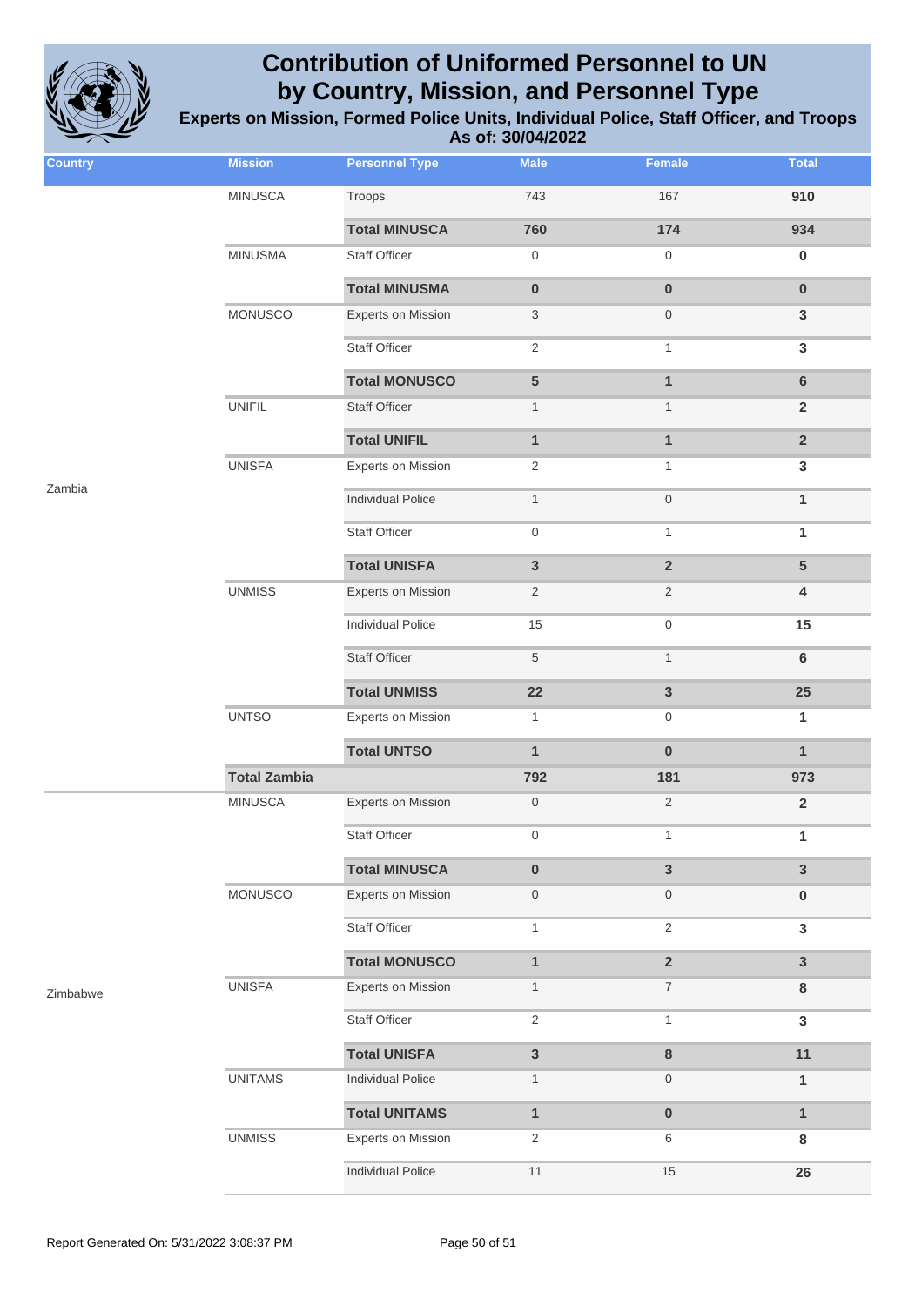

| <b>Country</b> | <b>Mission</b>      | <b>Personnel Type</b>     | <b>Male</b>      | Female           | <b>Total</b>            |
|----------------|---------------------|---------------------------|------------------|------------------|-------------------------|
|                | <b>MINUSCA</b>      | Troops                    | 743              | 167              | 910                     |
|                |                     | <b>Total MINUSCA</b>      | 760              | 174              | 934                     |
|                | <b>MINUSMA</b>      | Staff Officer             | $\mathbf 0$      | $\mathsf{O}$     | $\bf{0}$                |
|                |                     | <b>Total MINUSMA</b>      | $\pmb{0}$        | $\mathbf 0$      | $\pmb{0}$               |
|                | MONUSCO             | <b>Experts on Mission</b> | 3                | $\boldsymbol{0}$ | $\mathbf{3}$            |
|                |                     | <b>Staff Officer</b>      | 2                | $\mathbf{1}$     | $\mathbf{3}$            |
|                |                     | <b>Total MONUSCO</b>      | $5\phantom{.0}$  | $\mathbf{1}$     | $\bf 6$                 |
|                | <b>UNIFIL</b>       | <b>Staff Officer</b>      | $\mathbf{1}$     | $\mathbf{1}$     | $\overline{2}$          |
|                |                     | <b>Total UNIFIL</b>       | $\mathbf{1}$     | $\mathbf{1}$     | $\mathbf 2$             |
|                | <b>UNISFA</b>       | <b>Experts on Mission</b> | 2                | $\mathbf{1}$     | $\mathbf 3$             |
| Zambia         |                     | <b>Individual Police</b>  | $\mathbf{1}$     | $\,0\,$          | $\mathbf{1}$            |
|                |                     | <b>Staff Officer</b>      | $\mathbf 0$      | $\mathbf{1}$     | 1                       |
|                |                     | <b>Total UNISFA</b>       | $\mathbf{3}$     | $\overline{2}$   | $5\phantom{1}$          |
|                | <b>UNMISS</b>       | <b>Experts on Mission</b> | $\overline{2}$   | $\overline{2}$   | 4                       |
|                |                     | <b>Individual Police</b>  | 15               | $\boldsymbol{0}$ | 15                      |
|                |                     | <b>Staff Officer</b>      | $\sqrt{5}$       | $\mathbf{1}$     | $\bf 6$                 |
|                |                     | <b>Total UNMISS</b>       | 22               | $\mathbf{3}$     | 25                      |
|                | <b>UNTSO</b>        | <b>Experts on Mission</b> | $\mathbf{1}$     | $\boldsymbol{0}$ | 1                       |
|                |                     | <b>Total UNTSO</b>        | $\mathbf{1}$     | $\mathbf 0$      | $\mathbf{1}$            |
|                | <b>Total Zambia</b> |                           | 792              | 181              | 973                     |
| Zimbabwe       | <b>MINUSCA</b>      | <b>Experts on Mission</b> | $\boldsymbol{0}$ | $\sqrt{2}$       | $\overline{\mathbf{2}}$ |
|                |                     | Staff Officer             | 0                | 1                | 1                       |
|                |                     | <b>Total MINUSCA</b>      | $\pmb{0}$        | $\overline{3}$   | $\overline{3}$          |
|                | <b>MONUSCO</b>      | Experts on Mission        | $\boldsymbol{0}$ | $\mathsf{O}$     | $\bf{0}$                |
|                |                     | <b>Staff Officer</b>      | $\mathbf{1}$     | $\overline{2}$   | $\mathbf{3}$            |
|                |                     | <b>Total MONUSCO</b>      | $\mathbf{1}$     | $\overline{2}$   | $\mathbf{3}$            |
|                | <b>UNISFA</b>       | Experts on Mission        | $\mathbf{1}$     | $\overline{7}$   | 8                       |
|                |                     | <b>Staff Officer</b>      | 2                | $\mathbf{1}$     | $\mathbf{3}$            |
|                |                     | <b>Total UNISFA</b>       | $\mathbf{3}$     | $\bf 8$          | 11                      |
|                | <b>UNITAMS</b>      | <b>Individual Police</b>  | $\mathbf{1}$     | $\boldsymbol{0}$ | $\mathbf{1}$            |
|                |                     | <b>Total UNITAMS</b>      | $\mathbf{1}$     | $\pmb{0}$        | $\mathbf{1}$            |
|                | <b>UNMISS</b>       | <b>Experts on Mission</b> | 2                | 6                | 8                       |
|                |                     | <b>Individual Police</b>  | 11               | $15$             | 26                      |